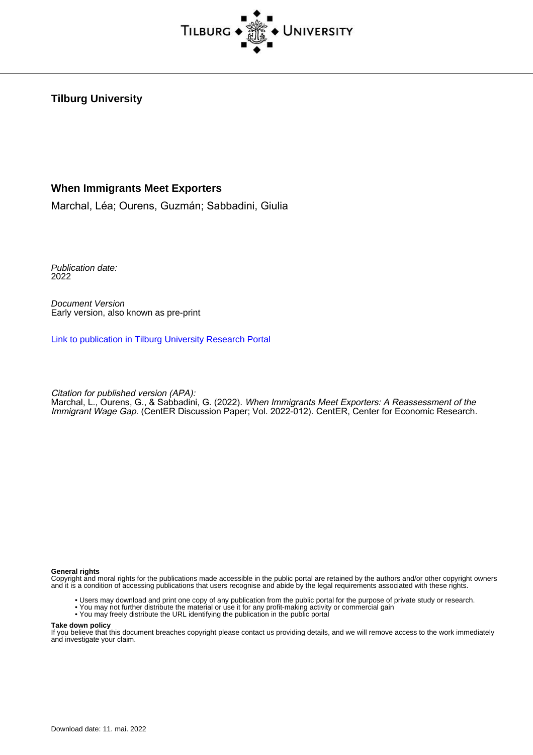

**Tilburg University**

### **When Immigrants Meet Exporters**

Marchal, Léa; Ourens, Guzmán; Sabbadini, Giulia

Publication date: 2022

Document Version Early version, also known as pre-print

[Link to publication in Tilburg University Research Portal](https://research.tilburguniversity.edu/en/publications/121ba291-7dcb-42bc-b9fb-2e8f7e7c6e2f)

Citation for published version (APA):

Marchal, L., Ourens, G., & Sabbadini, G. (2022). When Immigrants Meet Exporters: A Reassessment of the Immigrant Wage Gap. (CentER Discussion Paper; Vol. 2022-012). CentER, Center for Economic Research.

#### **General rights**

Copyright and moral rights for the publications made accessible in the public portal are retained by the authors and/or other copyright owners and it is a condition of accessing publications that users recognise and abide by the legal requirements associated with these rights.

- Users may download and print one copy of any publication from the public portal for the purpose of private study or research.
- You may not further distribute the material or use it for any profit-making activity or commercial gain
- You may freely distribute the URL identifying the publication in the public portal

#### **Take down policy**

If you believe that this document breaches copyright please contact us providing details, and we will remove access to the work immediately and investigate your claim.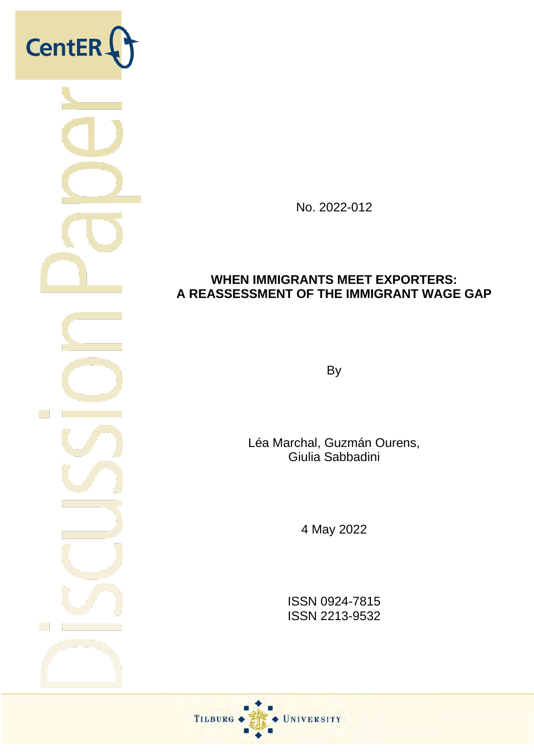

No. 2022-012

# **WHEN IMMIGRANTS MEET EXPORTERS: A REASSESSMENT OF THE IMMIGRANT WAGE GAP**

By

Léa Marchal, Guzmán Ourens, Giulia Sabbadini

4 May 2022

ISSN 0924-7815 ISSN 2213-9532

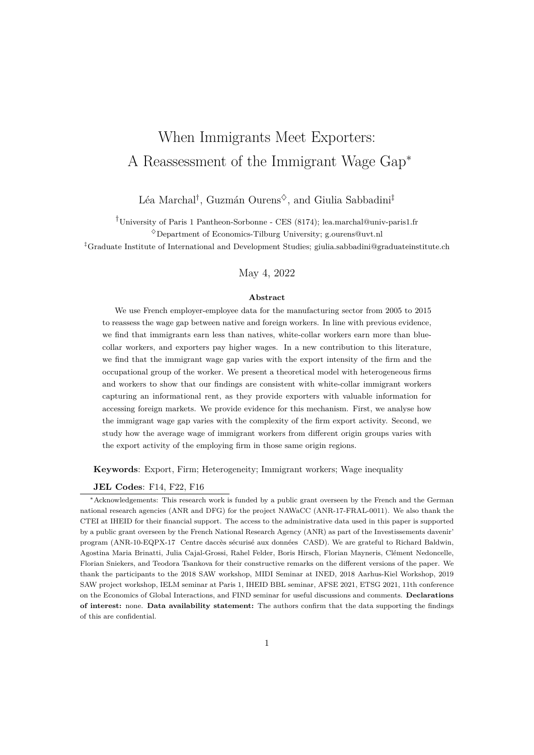# When Immigrants Meet Exporters: A Reassessment of the Immigrant Wage Gap*<sup>∗</sup>*

### Léa Marchal*†* , Guzmán Ourens*♢*, and Giulia Sabbadini*‡*

*†*University of Paris 1 Pantheon-Sorbonne - CES (8174); lea.marchal@univ-paris1.fr

*♢*Department of Economics-Tilburg University; g.ourens@uvt.nl

*‡*Graduate Institute of International and Development Studies; giulia.sabbadini@graduateinstitute.ch

### May 4, 2022

#### **Abstract**

We use French employer-employee data for the manufacturing sector from 2005 to 2015 to reassess the wage gap between native and foreign workers. In line with previous evidence, we find that immigrants earn less than natives, white-collar workers earn more than bluecollar workers, and exporters pay higher wages. In a new contribution to this literature, we find that the immigrant wage gap varies with the export intensity of the firm and the occupational group of the worker. We present a theoretical model with heterogeneous firms and workers to show that our findings are consistent with white-collar immigrant workers capturing an informational rent, as they provide exporters with valuable information for accessing foreign markets. We provide evidence for this mechanism. First, we analyse how the immigrant wage gap varies with the complexity of the firm export activity. Second, we study how the average wage of immigrant workers from different origin groups varies with the export activity of the employing firm in those same origin regions.

**Keywords**: Export, Firm; Heterogeneity; Immigrant workers; Wage inequality

#### **JEL Codes**: F14, F22, F16

*<sup>∗</sup>*Acknowledgements: This research work is funded by a public grant overseen by the French and the German national research agencies (ANR and DFG) for the project NAWaCC (ANR-17-FRAL-0011). We also thank the CTEI at IHEID for their financial support. The access to the administrative data used in this paper is supported by a public grant overseen by the French National Research Agency (ANR) as part of the Investissements davenir' program (ANR-10-EQPX-17 Centre daccès sécurisé aux données CASD). We are grateful to Richard Baldwin, Agostina Maria Brinatti, Julia Cajal-Grossi, Rahel Felder, Boris Hirsch, Florian Mayneris, Clément Nedoncelle, Florian Sniekers, and Teodora Tsankova for their constructive remarks on the different versions of the paper. We thank the participants to the 2018 SAW workshop, MIDI Seminar at INED, 2018 Aarhus-Kiel Workshop, 2019 SAW project workshop, IELM seminar at Paris 1, IHEID BBL seminar, AFSE 2021, ETSG 2021, 11th conference on the Economics of Global Interactions, and FIND seminar for useful discussions and comments. **Declarations of interest:** none. **Data availability statement:** The authors confirm that the data supporting the findings of this are confidential.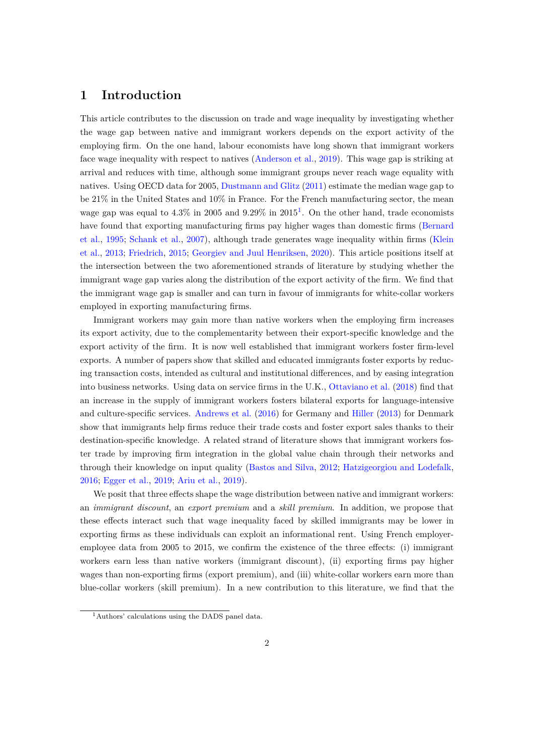### **1 Introduction**

This article contributes to the discussion on trade and wage inequality by investigating whether the wage gap between native and immigrant workers depends on the export activity of the employing firm. On the one hand, labour economists have long shown that immigrant workers face wage inequality with respect to natives ([Anderson et al.](#page-35-0), [2019\)](#page-35-0). This wage gap is striking at arrival and reduces with time, although some immigrant groups never reach wage equality with natives. Using OECD data for 2005, [Dustmann and Glitz](#page-36-0) [\(2011](#page-36-0)) estimate the median wage gap to be 21% in the United States and 10% in France. For the French manufacturing sector, the mean wage gap was equal to  $4.3\%$  in  $2005$  and  $9.29\%$  in  $2015<sup>1</sup>$ . On the other hand, trade economists have found that exporting manufacturing firms pay higher wages than domestic firms ([Bernard](#page-35-1) [et al.,](#page-35-1) [1995](#page-35-1); [Schank et al.,](#page-37-0) [2007\)](#page-37-0), although trade generates wage inequality within firms ([Klein](#page-36-1) [et al.](#page-36-1), [2013](#page-36-1); [Friedrich](#page-36-2), [2015](#page-36-2); [Georgiev and Juul Henriksen,](#page-36-3) [2020\)](#page-36-3). This article positions itself at the intersection between the two aforementioned strands of literature by studying whether the immigrant wage gap varies along the distribution of the export activity of the firm. We find that the immigrant wage gap is smaller and can turn in favour of immigrants for white-collar workers employed in exporting manufacturing firms.

Immigrant workers may gain more than native workers when the employing firm increases its export activity, due to the complementarity between their export-specific knowledge and the export activity of the firm. It is now well established that immigrant workers foster firm-level exports. A number of papers show that skilled and educated immigrants foster exports by reducing transaction costs, intended as cultural and institutional differences, and by easing integration into business networks. Using data on service firms in the U.K., [Ottaviano et al.](#page-37-1) ([2018\)](#page-37-1) find that an increase in the supply of immigrant workers fosters bilateral exports for language-intensive and culture-specific services. [Andrews et al.](#page-35-2) ([2016\)](#page-35-2) for Germany and [Hiller](#page-36-4) ([2013\)](#page-36-4) for Denmark show that immigrants help firms reduce their trade costs and foster export sales thanks to their destination-specific knowledge. A related strand of literature shows that immigrant workers foster trade by improving firm integration in the global value chain through their networks and through their knowledge on input quality ([Bastos and Silva](#page-35-3), [2012](#page-35-3); [Hatzigeorgiou and Lodefalk](#page-36-5), [2016](#page-36-5); [Egger et al.,](#page-36-6) [2019;](#page-36-6) [Ariu et al.](#page-35-4), [2019](#page-35-4)).

We posit that three effects shape the wage distribution between native and immigrant workers: an *immigrant discount*, an *export premium* and a *skill premium*. In addition, we propose that these effects interact such that wage inequality faced by skilled immigrants may be lower in exporting firms as these individuals can exploit an informational rent. Using French employeremployee data from 2005 to 2015, we confirm the existence of the three effects: (i) immigrant workers earn less than native workers (immigrant discount), (ii) exporting firms pay higher wages than non-exporting firms (export premium), and (iii) white-collar workers earn more than blue-collar workers (skill premium). In a new contribution to this literature, we find that the

<sup>1</sup>Authors' calculations using the DADS panel data.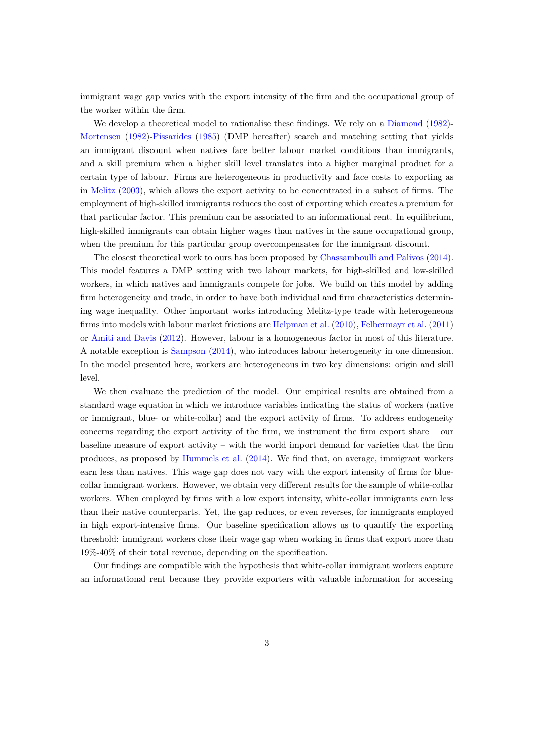immigrant wage gap varies with the export intensity of the firm and the occupational group of the worker within the firm.

We develop a theoretical model to rationalise these findings. We rely on a [Diamond](#page-36-7) ([1982\)](#page-36-7)-[Mortensen](#page-37-2) [\(1982](#page-37-2))[-Pissarides](#page-37-3) ([1985\)](#page-37-3) (DMP hereafter) search and matching setting that yields an immigrant discount when natives face better labour market conditions than immigrants, and a skill premium when a higher skill level translates into a higher marginal product for a certain type of labour. Firms are heterogeneous in productivity and face costs to exporting as in [Melitz](#page-36-8) [\(2003\)](#page-36-8), which allows the export activity to be concentrated in a subset of firms. The employment of high-skilled immigrants reduces the cost of exporting which creates a premium for that particular factor. This premium can be associated to an informational rent. In equilibrium, high-skilled immigrants can obtain higher wages than natives in the same occupational group, when the premium for this particular group overcompensates for the immigrant discount.

The closest theoretical work to ours has been proposed by [Chassamboulli and Palivos](#page-36-9) [\(2014](#page-36-9)). This model features a DMP setting with two labour markets, for high-skilled and low-skilled workers, in which natives and immigrants compete for jobs. We build on this model by adding firm heterogeneity and trade, in order to have both individual and firm characteristics determining wage inequality. Other important works introducing Melitz-type trade with heterogeneous firms into models with labour market frictions are [Helpman et al.](#page-36-10) ([2010\)](#page-36-10), [Felbermayr et al.](#page-36-11) [\(2011](#page-36-11)) or [Amiti and Davis](#page-35-5) [\(2012](#page-35-5)). However, labour is a homogeneous factor in most of this literature. A notable exception is [Sampson](#page-37-4) ([2014\)](#page-37-4), who introduces labour heterogeneity in one dimension. In the model presented here, workers are heterogeneous in two key dimensions: origin and skill level.

We then evaluate the prediction of the model. Our empirical results are obtained from a standard wage equation in which we introduce variables indicating the status of workers (native or immigrant, blue- or white-collar) and the export activity of firms. To address endogeneity concerns regarding the export activity of the firm, we instrument the firm export share – our baseline measure of export activity – with the world import demand for varieties that the firm produces, as proposed by [Hummels et al.](#page-36-12) ([2014](#page-36-12)). We find that, on average, immigrant workers earn less than natives. This wage gap does not vary with the export intensity of firms for bluecollar immigrant workers. However, we obtain very different results for the sample of white-collar workers. When employed by firms with a low export intensity, white-collar immigrants earn less than their native counterparts. Yet, the gap reduces, or even reverses, for immigrants employed in high export-intensive firms. Our baseline specification allows us to quantify the exporting threshold: immigrant workers close their wage gap when working in firms that export more than 19%-40% of their total revenue, depending on the specification.

Our findings are compatible with the hypothesis that white-collar immigrant workers capture an informational rent because they provide exporters with valuable information for accessing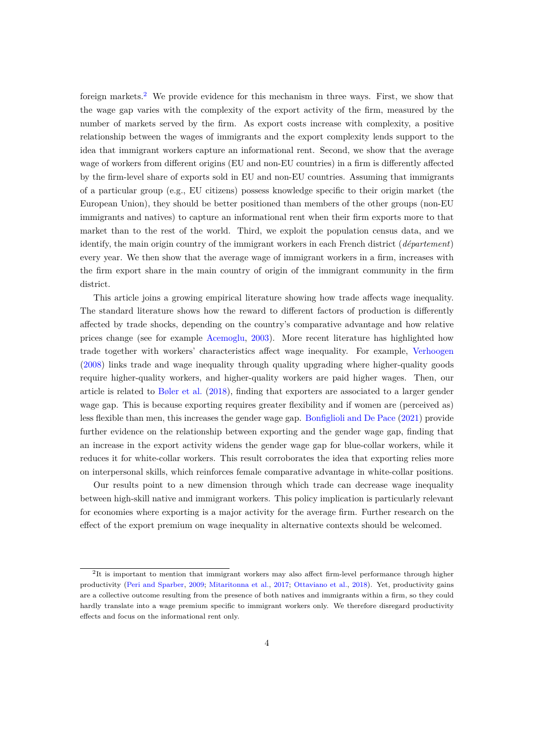foreign markets.<sup>2</sup> We provide evidence for this mechanism in three ways. First, we show that the wage gap varies with the complexity of the export activity of the firm, measured by the number of markets served by the firm. As export costs increase with complexity, a positive relationship between the wages of immigrants and the export complexity lends support to the idea that immigrant workers capture an informational rent. Second, we show that the average wage of workers from different origins (EU and non-EU countries) in a firm is differently affected by the firm-level share of exports sold in EU and non-EU countries. Assuming that immigrants of a particular group (e.g., EU citizens) possess knowledge specific to their origin market (the European Union), they should be better positioned than members of the other groups (non-EU immigrants and natives) to capture an informational rent when their firm exports more to that market than to the rest of the world. Third, we exploit the population census data, and we identify, the main origin country of the immigrant workers in each French district (*département*) every year. We then show that the average wage of immigrant workers in a firm, increases with the firm export share in the main country of origin of the immigrant community in the firm district.

This article joins a growing empirical literature showing how trade affects wage inequality. The standard literature shows how the reward to different factors of production is differently affected by trade shocks, depending on the country's comparative advantage and how relative prices change (see for example [Acemoglu,](#page-35-6) [2003](#page-35-6)). More recent literature has highlighted how trade together with workers' characteristics affect wage inequality. For example, [Verhoogen](#page-37-5) [\(2008](#page-37-5)) links trade and wage inequality through quality upgrading where higher-quality goods require higher-quality workers, and higher-quality workers are paid higher wages. Then, our article is related to [Bøler et al.](#page-35-7) [\(2018\)](#page-35-7), finding that exporters are associated to a larger gender wage gap. This is because exporting requires greater flexibility and if women are (perceived as) less flexible than men, this increases the gender wage gap. [Bonfiglioli and De Pace](#page-35-8) [\(2021](#page-35-8)) provide further evidence on the relationship between exporting and the gender wage gap, finding that an increase in the export activity widens the gender wage gap for blue-collar workers, while it reduces it for white-collar workers. This result corroborates the idea that exporting relies more on interpersonal skills, which reinforces female comparative advantage in white-collar positions.

Our results point to a new dimension through which trade can decrease wage inequality between high-skill native and immigrant workers. This policy implication is particularly relevant for economies where exporting is a major activity for the average firm. Further research on the effect of the export premium on wage inequality in alternative contexts should be welcomed.

<sup>&</sup>lt;sup>2</sup>It is important to mention that immigrant workers may also affect firm-level performance through higher productivity [\(Peri and Sparber](#page-37-6), [2009;](#page-37-6) [Mitaritonna et al.,](#page-36-13) [2017](#page-36-13); [Ottaviano et al.](#page-37-1), [2018\)](#page-37-1). Yet, productivity gains are a collective outcome resulting from the presence of both natives and immigrants within a firm, so they could hardly translate into a wage premium specific to immigrant workers only. We therefore disregard productivity effects and focus on the informational rent only.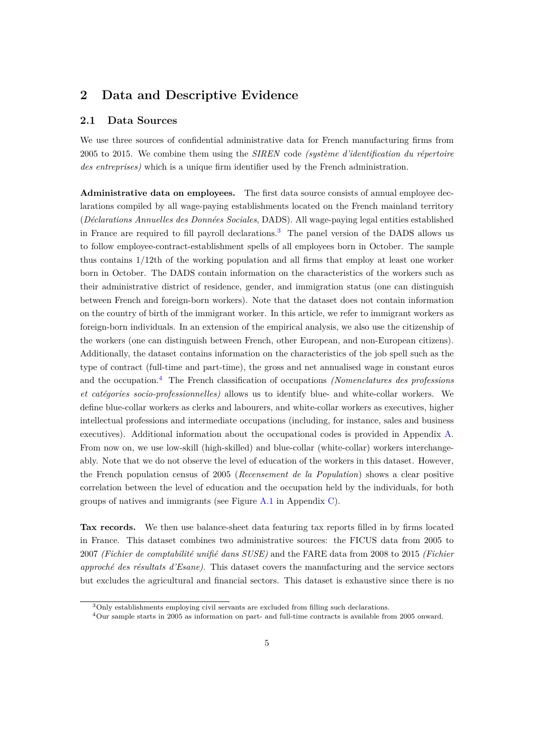### **2 Data and Descriptive Evidence**

#### **2.1 Data Sources**

We use three sources of confidential administrative data for French manufacturing firms from 2005 to 2015. We combine them using the *SIREN* code *(système d'identification du répertoire des entreprises)* which is a unique firm identifier used by the French administration.

**Administrative data on employees.** The first data source consists of annual employee declarations compiled by all wage-paying establishments located on the French mainland territory (*Déclarations Annuelles des Données Sociales*, DADS). All wage-paying legal entities established in France are required to fill payroll declarations.<sup>3</sup> The panel version of the DADS allows us to follow employee-contract-establishment spells of all employees born in October. The sample thus contains 1/12th of the working population and all firms that employ at least one worker born in October. The DADS contain information on the characteristics of the workers such as their administrative district of residence, gender, and immigration status (one can distinguish between French and foreign-born workers). Note that the dataset does not contain information on the country of birth of the immigrant worker. In this article, we refer to immigrant workers as foreign-born individuals. In an extension of the empirical analysis, we also use the citizenship of the workers (one can distinguish between French, other European, and non-European citizens). Additionally, the dataset contains information on the characteristics of the job spell such as the type of contract (full-time and part-time), the gross and net annualised wage in constant euros and the occupation.<sup>4</sup> The French classification of occupations *(Nomenclatures des professions et catégories socio-professionnelles)* allows us to identify blue- and white-collar workers. We define blue-collar workers as clerks and labourers, and white-collar workers as executives, higher intellectual professions and intermediate occupations (including, for instance, sales and business executives). Additional information about the occupational codes is provided in Appendix [A](#page-38-0). From now on, we use low-skill (high-skilled) and blue-collar (white-collar) workers interchangeably. Note that we do not observe the level of education of the workers in this dataset. However, the French population census of 2005 (*Recensement de la Population*) shows a clear positive correlation between the level of education and the occupation held by the individuals, for both groups of natives and immigrants (see Figure [A.1](#page-40-0) in Appendix [C\)](#page-40-1).

**Tax records.** We then use balance-sheet data featuring tax reports filled in by firms located in France. This dataset combines two administrative sources: the FICUS data from 2005 to 2007 *(Fichier de comptabilité unifié dans SUSE)* and the FARE data from 2008 to 2015 *(Fichier approché des résultats d'Esane)*. This dataset covers the manufacturing and the service sectors but excludes the agricultural and financial sectors. This dataset is exhaustive since there is no

<sup>3</sup>Only establishments employing civil servants are excluded from filling such declarations.

<sup>4</sup>Our sample starts in 2005 as information on part- and full-time contracts is available from 2005 onward.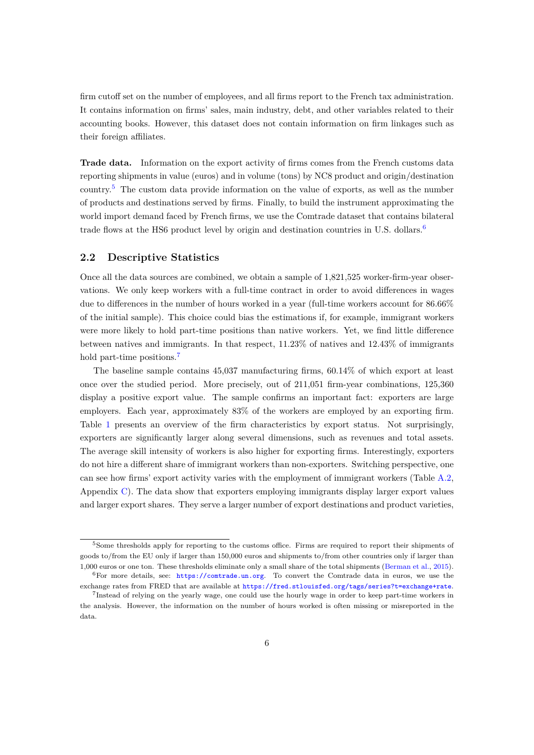firm cutoff set on the number of employees, and all firms report to the French tax administration. It contains information on firms' sales, main industry, debt, and other variables related to their accounting books. However, this dataset does not contain information on firm linkages such as their foreign affiliates.

**Trade data.** Information on the export activity of firms comes from the French customs data reporting shipments in value (euros) and in volume (tons) by NC8 product and origin/destination country.<sup>5</sup> The custom data provide information on the value of exports, as well as the number of products and destinations served by firms. Finally, to build the instrument approximating the world import demand faced by French firms, we use the Comtrade dataset that contains bilateral trade flows at the HS6 product level by origin and destination countries in U.S. dollars.<sup>6</sup>

#### **2.2 Descriptive Statistics**

Once all the data sources are combined, we obtain a sample of 1,821,525 worker-firm-year observations. We only keep workers with a full-time contract in order to avoid differences in wages due to differences in the number of hours worked in a year (full-time workers account for 86.66% of the initial sample). This choice could bias the estimations if, for example, immigrant workers were more likely to hold part-time positions than native workers. Yet, we find little difference between natives and immigrants. In that respect, 11.23% of natives and 12.43% of immigrants hold part-time positions.<sup>7</sup>

The baseline sample contains 45,037 manufacturing firms, 60.14% of which export at least once over the studied period. More precisely, out of 211,051 firm-year combinations, 125,360 display a positive export value. The sample confirms an important fact: exporters are large employers. Each year, approximately 83% of the workers are employed by an exporting firm. Table [1](#page-8-0) presents an overview of the firm characteristics by export status. Not surprisingly, exporters are significantly larger along several dimensions, such as revenues and total assets. The average skill intensity of workers is also higher for exporting firms. Interestingly, exporters do not hire a different share of immigrant workers than non-exporters. Switching perspective, one can see how firms' export activity varies with the employment of immigrant workers (Table [A.2](#page-41-0), Appendix [C](#page-40-1)). The data show that exporters employing immigrants display larger export values and larger export shares. They serve a larger number of export destinations and product varieties,

<sup>5</sup>Some thresholds apply for reporting to the customs office. Firms are required to report their shipments of goods to/from the EU only if larger than 150,000 euros and shipments to/from other countries only if larger than 1,000 euros or one ton. These thresholds eliminate only a small share of the total shipments ([Berman et al.,](#page-35-9) [2015](#page-35-9)).  $6$ For more details, see: <https://comtrade.un.org>. To convert the Comtrade data in euros, we use the

exchange rates from FRED that are available at <https://fred.stlouisfed.org/tags/series?t=exchange+rate>.

<sup>7</sup> Instead of relying on the yearly wage, one could use the hourly wage in order to keep part-time workers in the analysis. However, the information on the number of hours worked is often missing or misreported in the data.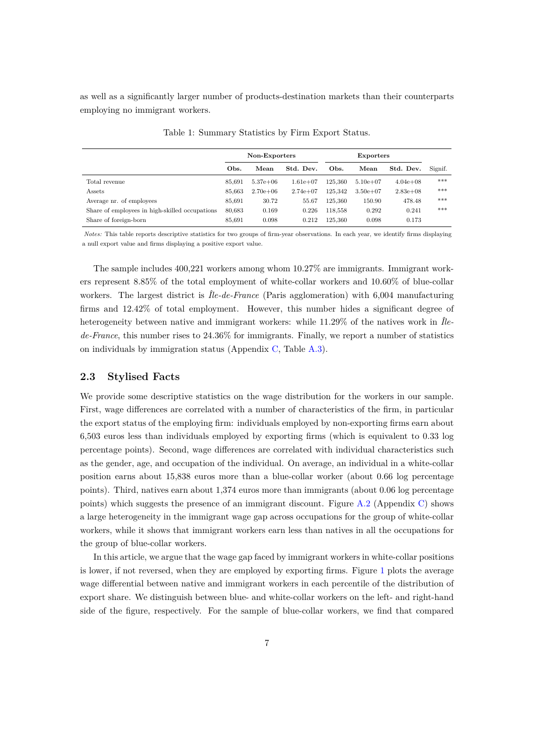as well as a significantly larger number of products-destination markets than their counterparts employing no immigrant workers.

<span id="page-8-0"></span>

|                                                | Non-Exporters |              |              | <b>Exporters</b> |              |              |         |
|------------------------------------------------|---------------|--------------|--------------|------------------|--------------|--------------|---------|
|                                                | Obs.          | Mean         | Std. Dev.    | Obs.             | Mean         | Std. Dev.    | Signif. |
| Total revenue                                  | 85.691        | $5.37e + 06$ | $1.61e + 07$ | 125.360          | $5.10e + 07$ | $4.04e + 08$ | ***     |
| Assets                                         | 85,663        | $2.70e + 06$ | $2.74e+07$   | 125.342          | $3.50e + 07$ | $2.83e+0.8$  | ***     |
| Average nr. of employees                       | 85.691        | 30.72        | 55.67        | 125.360          | 150.90       | 478.48       | ***     |
| Share of employees in high-skilled occupations | 80,683        | 0.169        | 0.226        | 118,558          | 0.292        | 0.241        | ***     |
| Share of foreign-born                          | 85,691        | 0.098        | 0.212        | 125.360          | 0.098        | 0.173        |         |

Table 1: Summary Statistics by Firm Export Status.

*Notes:* This table reports descriptive statistics for two groups of firm-year observations. In each year, we identify firms displaying a null export value and firms displaying a positive export value.

The sample includes 400,221 workers among whom 10.27% are immigrants. Immigrant workers represent 8.85% of the total employment of white-collar workers and 10.60% of blue-collar workers. The largest district is *Île-de-France* (Paris agglomeration) with 6,004 manufacturing firms and 12.42% of total employment. However, this number hides a significant degree of heterogeneity between native and immigrant workers: while 11.29% of the natives work in *Îlede-France*, this number rises to 24.36% for immigrants. Finally, we report a number of statistics on individuals by immigration status (Appendix [C](#page-40-1), Table [A.3](#page-41-1)).

#### **2.3 Stylised Facts**

We provide some descriptive statistics on the wage distribution for the workers in our sample. First, wage differences are correlated with a number of characteristics of the firm, in particular the export status of the employing firm: individuals employed by non-exporting firms earn about 6,503 euros less than individuals employed by exporting firms (which is equivalent to 0.33 log percentage points). Second, wage differences are correlated with individual characteristics such as the gender, age, and occupation of the individual. On average, an individual in a white-collar position earns about 15,838 euros more than a blue-collar worker (about 0.66 log percentage points). Third, natives earn about 1,374 euros more than immigrants (about 0.06 log percentage points) which suggests the presence of an immigrant discount. Figure [A.2](#page-42-0) (Appendix [C](#page-40-1)) shows a large heterogeneity in the immigrant wage gap across occupations for the group of white-collar workers, while it shows that immigrant workers earn less than natives in all the occupations for the group of blue-collar workers.

In this article, we argue that the wage gap faced by immigrant workers in white-collar positions is lower, if not reversed, when they are employed by exporting firms. Figure [1](#page-9-0) plots the average wage differential between native and immigrant workers in each percentile of the distribution of export share. We distinguish between blue- and white-collar workers on the left- and right-hand side of the figure, respectively. For the sample of blue-collar workers, we find that compared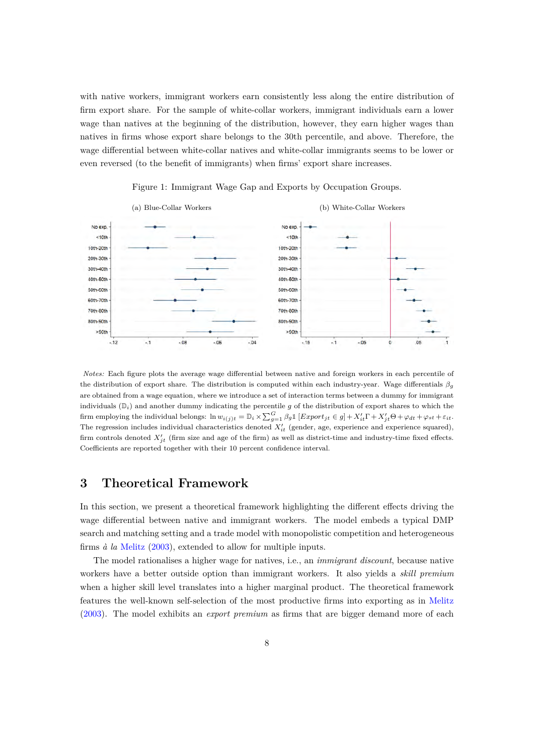with native workers, immigrant workers earn consistently less along the entire distribution of firm export share. For the sample of white-collar workers, immigrant individuals earn a lower wage than natives at the beginning of the distribution, however, they earn higher wages than natives in firms whose export share belongs to the 30th percentile, and above. Therefore, the wage differential between white-collar natives and white-collar immigrants seems to be lower or even reversed (to the benefit of immigrants) when firms' export share increases.

<span id="page-9-0"></span>

Figure 1: Immigrant Wage Gap and Exports by Occupation Groups.

*Notes:* Each figure plots the average wage differential between native and foreign workers in each percentile of the distribution of export share. The distribution is computed within each industry-year. Wage differentials *βg* are obtained from a wage equation, where we introduce a set of interaction terms between a dummy for immigrant individuals  $(\mathbb{D}_i)$  and another dummy indicating the percentile g of the distribution of export shares to which the firm employing the individual belongs:  $\ln w_{i(j)t} = \mathbb{D}_i \times \sum_{g=1}^G \beta_g 1 \left[ Export_{jt} \in g \right] + X'_{it} \Gamma + X'_{jt} \Theta + \varphi_{dt} + \varphi_{st} + \varepsilon_{it}$ . The regression includes individual characteristics denoted *X′ it* (gender, age, experience and experience squared), firm controls denoted *X′ jt* (firm size and age of the firm) as well as district-time and industry-time fixed effects. Coefficients are reported together with their 10 percent confidence interval.

### **3 Theoretical Framework**

In this section, we present a theoretical framework highlighting the different effects driving the wage differential between native and immigrant workers. The model embeds a typical DMP search and matching setting and a trade model with monopolistic competition and heterogeneous firms *à la* [Melitz](#page-36-8) ([2003\)](#page-36-8), extended to allow for multiple inputs.

The model rationalises a higher wage for natives, i.e., an *immigrant discount*, because native workers have a better outside option than immigrant workers. It also yields a *skill premium* when a higher skill level translates into a higher marginal product. The theoretical framework features the well-known self-selection of the most productive firms into exporting as in [Melitz](#page-36-8) [\(2003](#page-36-8)). The model exhibits an *export premium* as firms that are bigger demand more of each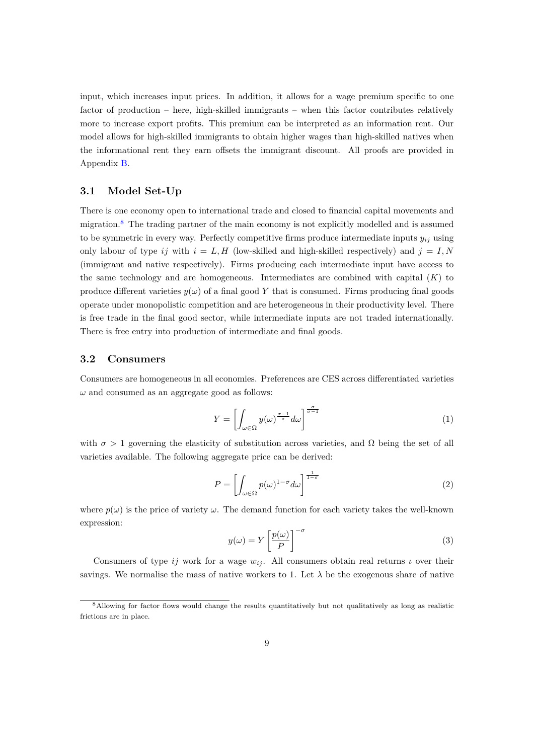input, which increases input prices. In addition, it allows for a wage premium specific to one factor of production – here, high-skilled immigrants – when this factor contributes relatively more to increase export profits. This premium can be interpreted as an information rent. Our model allows for high-skilled immigrants to obtain higher wages than high-skilled natives when the informational rent they earn offsets the immigrant discount. All proofs are provided in Appendix [B](#page-39-0).

#### **3.1 Model Set-Up**

There is one economy open to international trade and closed to financial capital movements and migration.<sup>8</sup> The trading partner of the main economy is not explicitly modelled and is assumed to be symmetric in every way. Perfectly competitive firms produce intermediate inputs  $y_{ij}$  using only labour of type *ij* with  $i = L, H$  (low-skilled and high-skilled respectively) and  $j = I, N$ (immigrant and native respectively). Firms producing each intermediate input have access to the same technology and are homogeneous. Intermediates are combined with capital (*K*) to produce different varieties  $y(\omega)$  of a final good Y that is consumed. Firms producing final goods operate under monopolistic competition and are heterogeneous in their productivity level. There is free trade in the final good sector, while intermediate inputs are not traded internationally. There is free entry into production of intermediate and final goods.

### **3.2 Consumers**

Consumers are homogeneous in all economies. Preferences are CES across differentiated varieties  $\omega$  and consumed as an aggregate good as follows:

$$
Y = \left[ \int_{\omega \in \Omega} y(\omega)^{\frac{\sigma - 1}{\sigma}} d\omega \right]^{\frac{\sigma}{\sigma - 1}} \tag{1}
$$

with  $\sigma > 1$  governing the elasticity of substitution across varieties, and  $\Omega$  being the set of all varieties available. The following aggregate price can be derived:

$$
P = \left[ \int_{\omega \in \Omega} p(\omega)^{1-\sigma} d\omega \right]^{\frac{1}{1-\sigma}} \tag{2}
$$

where  $p(\omega)$  is the price of variety  $\omega$ . The demand function for each variety takes the well-known expression:

$$
y(\omega) = Y \left[ \frac{p(\omega)}{P} \right]^{-\sigma} \tag{3}
$$

Consumers of type  $ij$  work for a wage  $w_{ij}$ . All consumers obtain real returns  $\iota$  over their savings. We normalise the mass of native workers to 1. Let  $\lambda$  be the exogenous share of native

<sup>&</sup>lt;sup>8</sup>Allowing for factor flows would change the results quantitatively but not qualitatively as long as realistic frictions are in place.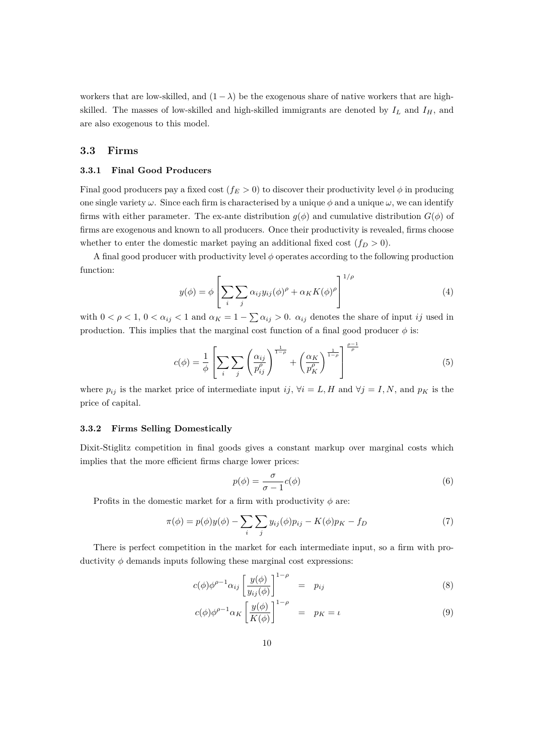workers that are low-skilled, and  $(1 - \lambda)$  be the exogenous share of native workers that are highskilled. The masses of low-skilled and high-skilled immigrants are denoted by  $I_L$  and  $I_H$ , and are also exogenous to this model.

#### **3.3 Firms**

#### **3.3.1 Final Good Producers**

Final good producers pay a fixed cost  $(f_E > 0)$  to discover their productivity level  $\phi$  in producing one single variety  $\omega$ . Since each firm is characterised by a unique  $\phi$  and a unique  $\omega$ , we can identify firms with either parameter. The ex-ante distribution  $g(\phi)$  and cumulative distribution  $G(\phi)$  of firms are exogenous and known to all producers. Once their productivity is revealed, firms choose whether to enter the domestic market paying an additional fixed cost  $(f_D > 0)$ .

A final good producer with productivity level *ϕ* operates according to the following production function:

<span id="page-11-2"></span>
$$
y(\phi) = \phi \left[ \sum_{i} \sum_{j} \alpha_{ij} y_{ij} (\phi)^{\rho} + \alpha_K K(\phi)^{\rho} \right]^{1/\rho}
$$
(4)

with  $0 < \rho < 1$ ,  $0 < \alpha_{ij} < 1$  and  $\alpha_K = 1 - \sum \alpha_{ij} > 0$ .  $\alpha_{ij}$  denotes the share of input *ij* used in production. This implies that the marginal cost function of a final good producer  $\phi$  is:

<span id="page-11-0"></span>
$$
c(\phi) = \frac{1}{\phi} \left[ \sum_{i} \sum_{j} \left( \frac{\alpha_{ij}}{p_{ij}^{\rho}} \right)^{\frac{1}{1-\rho}} + \left( \frac{\alpha_K}{p_K^{\rho}} \right)^{\frac{1}{1-\rho}} \right]^{\frac{\rho-1}{\rho}}
$$
(5)

where  $p_{ij}$  is the market price of intermediate input *ij*,  $\forall i = L, H$  and  $\forall j = I, N$ , and  $p_K$  is the price of capital.

#### **3.3.2 Firms Selling Domestically**

Dixit-Stiglitz competition in final goods gives a constant markup over marginal costs which implies that the more efficient firms charge lower prices:

<span id="page-11-3"></span>
$$
p(\phi) = \frac{\sigma}{\sigma - 1} c(\phi) \tag{6}
$$

Profits in the domestic market for a firm with productivity  $\phi$  are:

$$
\pi(\phi) = p(\phi)y(\phi) - \sum_{i} \sum_{j} y_{ij}(\phi)p_{ij} - K(\phi)p_{K} - f_{D}
$$
\n(7)

There is perfect competition in the market for each intermediate input, so a firm with productivity  $\phi$  demands inputs following these marginal cost expressions:

<span id="page-11-1"></span>
$$
c(\phi)\phi^{\rho-1}\alpha_{ij}\left[\frac{y(\phi)}{y_{ij}(\phi)}\right]^{1-\rho} = p_{ij} \tag{8}
$$

$$
c(\phi)\phi^{\rho-1}\alpha_K \left[\frac{y(\phi)}{K(\phi)}\right]^{1-\rho} = p_K = \iota \tag{9}
$$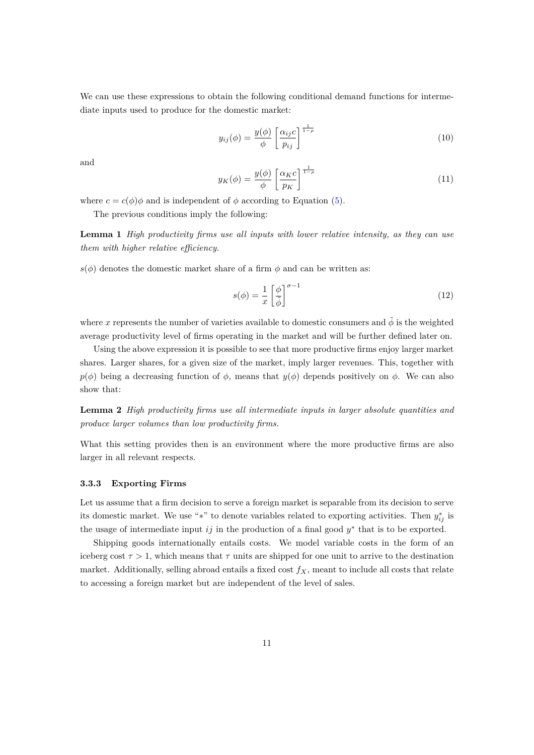We can use these expressions to obtain the following conditional demand functions for intermediate inputs used to produce for the domestic market:

<span id="page-12-0"></span>
$$
y_{ij}(\phi) = \frac{y(\phi)}{\phi} \left[ \frac{\alpha_{ij}c}{p_{ij}} \right]^{\frac{1}{1-\rho}}
$$
\n(10)

and

$$
y_K(\phi) = \frac{y(\phi)}{\phi} \left[ \frac{\alpha_K c}{p_K} \right]^{\frac{1}{1-\rho}}
$$
\n(11)

where  $c = c(\phi)\phi$  and is independent of  $\phi$  according to Equation [\(5](#page-11-0)).

The previous conditions imply the following:

**Lemma 1** *High productivity firms use all inputs with lower relative intensity, as they can use them with higher relative efficiency.*

 $s(\phi)$  denotes the domestic market share of a firm  $\phi$  and can be written as:

$$
s(\phi) = \frac{1}{x} \left[ \frac{\phi}{\tilde{\phi}} \right]^{\sigma - 1} \tag{12}
$$

where *x* represents the number of varieties available to domestic consumers and  $\tilde{\phi}$  is the weighted average productivity level of firms operating in the market and will be further defined later on.

Using the above expression it is possible to see that more productive firms enjoy larger market shares. Larger shares, for a given size of the market, imply larger revenues. This, together with  $p(\phi)$  being a decreasing function of  $\phi$ , means that  $y(\phi)$  depends positively on  $\phi$ . We can also show that:

**Lemma 2** *High productivity firms use all intermediate inputs in larger absolute quantities and produce larger volumes than low productivity firms.*

What this setting provides then is an environment where the more productive firms are also larger in all relevant respects.

#### **3.3.3 Exporting Firms**

Let us assume that a firm decision to serve a foreign market is separable from its decision to serve its domestic market. We use "*\**" to denote variables related to exporting activities. Then  $y_{ij}^*$  is the usage of intermediate input *ij* in the production of a final good *y ∗* that is to be exported.

Shipping goods internationally entails costs. We model variable costs in the form of an iceberg cost  $\tau > 1$ , which means that  $\tau$  units are shipped for one unit to arrive to the destination market. Additionally, selling abroad entails a fixed cost  $f_X$ , meant to include all costs that relate to accessing a foreign market but are independent of the level of sales.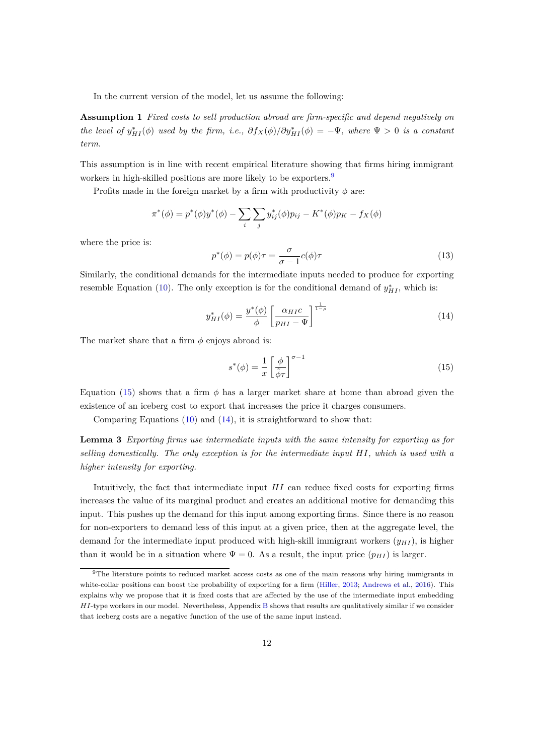In the current version of the model, let us assume the following:

**Assumption 1** *Fixed costs to sell production abroad are firm-specific and depend negatively on the level of*  $y_{HI}^*(\phi)$  *used by the firm, i.e.,*  $\partial f_X(\phi)/\partial y_{HI}^*(\phi) = -\Psi$ *, where*  $\Psi > 0$  *is a constant term.*

This assumption is in line with recent empirical literature showing that firms hiring immigrant workers in high-skilled positions are more likely to be exporters.<sup>9</sup>

Profits made in the foreign market by a firm with productivity  $\phi$  are:

$$
\pi^*(\phi) = p^*(\phi)y^*(\phi) - \sum_i \sum_j y^*_{ij}(\phi)p_{ij} - K^*(\phi)p_K - f_X(\phi)
$$

where the price is:

<span id="page-13-2"></span>
$$
p^*(\phi) = p(\phi)\tau = \frac{\sigma}{\sigma - 1}c(\phi)\tau
$$
\n(13)

Similarly, the conditional demands for the intermediate inputs needed to produce for exporting resemble Equation ([10\)](#page-12-0). The only exception is for the conditional demand of  $y_{HI}^*$ , which is:

<span id="page-13-1"></span>
$$
y_{HI}^*(\phi) = \frac{y^*(\phi)}{\phi} \left[ \frac{\alpha_{HI}c}{p_{HI} - \Psi} \right]^{\frac{1}{1-\rho}}
$$
(14)

The market share that a firm  $\phi$  enjoys abroad is:

<span id="page-13-0"></span>
$$
s^*(\phi) = \frac{1}{x} \left[ \frac{\phi}{\tilde{\phi}\tau} \right]^{\sigma - 1} \tag{15}
$$

Equation [\(15](#page-13-0)) shows that a firm  $\phi$  has a larger market share at home than abroad given the existence of an iceberg cost to export that increases the price it charges consumers.

Comparing Equations  $(10)$  $(10)$  and  $(14)$  $(14)$ , it is straightforward to show that:

**Lemma 3** *Exporting firms use intermediate inputs with the same intensity for exporting as for selling domestically. The only exception is for the intermediate input HI, which is used with a higher intensity for exporting.*

Intuitively, the fact that intermediate input *HI* can reduce fixed costs for exporting firms increases the value of its marginal product and creates an additional motive for demanding this input. This pushes up the demand for this input among exporting firms. Since there is no reason for non-exporters to demand less of this input at a given price, then at the aggregate level, the demand for the intermediate input produced with high-skill immigrant workers  $(y_{HI})$ , is higher than it would be in a situation where  $\Psi = 0$ . As a result, the input price  $(p_{H}$ <sub>*HI*</sub> is larger.

<sup>9</sup>The literature points to reduced market access costs as one of the main reasons why hiring immigrants in white-collar positions can boost the probability of exporting for a firm [\(Hiller,](#page-36-4) [2013;](#page-36-4) [Andrews et al.,](#page-35-2) [2016](#page-35-2)). This explains why we propose that it is fixed costs that are affected by the use of the intermediate input embedding *HI*-type workers in our model. Nevertheless, Appendix [B](#page-39-0) shows that results are qualitatively similar if we consider that iceberg costs are a negative function of the use of the same input instead.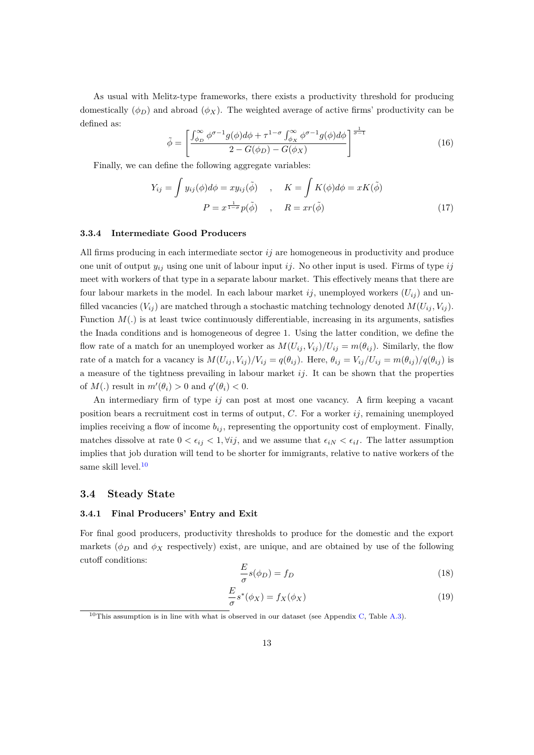As usual with Melitz-type frameworks, there exists a productivity threshold for producing domestically  $(\phi_D)$  and abroad  $(\phi_X)$ . The weighted average of active firms' productivity can be defined as:

$$
\tilde{\phi} = \left[ \frac{\int_{\phi_D}^{\infty} \phi^{\sigma-1} g(\phi) d\phi + \tau^{1-\sigma} \int_{\phi_X}^{\infty} \phi^{\sigma-1} g(\phi) d\phi}{2 - G(\phi_D) - G(\phi_X)} \right]^{\frac{1}{\sigma-1}}
$$
(16)

Finally, we can define the following aggregate variables:

$$
Y_{ij} = \int y_{ij}(\phi)d\phi = xy_{ij}(\tilde{\phi}) , \quad K = \int K(\phi)d\phi = xK(\tilde{\phi})
$$

$$
P = x^{\frac{1}{1-\sigma}}p(\tilde{\phi}) , \quad R = xr(\tilde{\phi})
$$
(17)

#### **3.3.4 Intermediate Good Producers**

All firms producing in each intermediate sector *ij* are homogeneous in productivity and produce one unit of output *yij* using one unit of labour input *ij*. No other input is used. Firms of type *ij* meet with workers of that type in a separate labour market. This effectively means that there are four labour markets in the model. In each labour market *ij*, unemployed workers  $(U_{ij})$  and unfilled vacancies  $(V_{ij})$  are matched through a stochastic matching technology denoted  $M(U_{ij}, V_{ij})$ . Function *M*(*.*) is at least twice continuously differentiable, increasing in its arguments, satisfies the Inada conditions and is homogeneous of degree 1. Using the latter condition, we define the flow rate of a match for an unemployed worker as  $M(U_{ij}, V_{ij})/U_{ij} = m(\theta_{ij})$ . Similarly, the flow rate of a match for a vacancy is  $M(U_{ij}, V_{ij})/V_{ij} = q(\theta_{ij})$ . Here,  $\theta_{ij} = V_{ij}/U_{ij} = m(\theta_{ij})/q(\theta_{ij})$  is a measure of the tightness prevailing in labour market  $ij$ . It can be shown that the properties of  $M(.)$  result in  $m'(\theta_i) > 0$  and  $q'(\theta_i) < 0$ .

An intermediary firm of type *ij* can post at most one vacancy. A firm keeping a vacant position bears a recruitment cost in terms of output, *C*. For a worker *ij*, remaining unemployed implies receiving a flow of income  $b_{ij}$ , representing the opportunity cost of employment. Finally, matches dissolve at rate  $0 < \epsilon_{ij} < 1$ ,  $\forall ij$ , and we assume that  $\epsilon_{iN} < \epsilon_{iI}$ . The latter assumption implies that job duration will tend to be shorter for immigrants, relative to native workers of the same skill level.<sup>10</sup>

#### **3.4 Steady State**

#### **3.4.1 Final Producers' Entry and Exit**

For final good producers, productivity thresholds to produce for the domestic and the export markets ( $\phi_D$  and  $\phi_X$  respectively) exist, are unique, and are obtained by use of the following cutoff conditions:

<span id="page-14-0"></span>
$$
\frac{E}{\sigma}s(\phi_D) = f_D \tag{18}
$$

<span id="page-14-1"></span>
$$
\frac{E}{\sigma}s^*(\phi_X) = f_X(\phi_X) \tag{19}
$$

<sup>&</sup>lt;sup>10</sup>This assumption is in line with what is observed in our dataset (see Appendix [C](#page-40-1), Table [A.3\)](#page-41-1).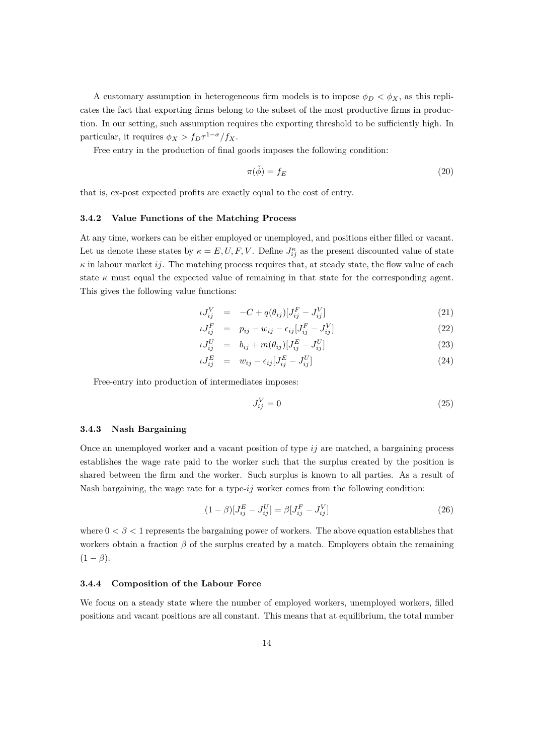A customary assumption in heterogeneous firm models is to impose  $\phi_D < \phi_X$ , as this replicates the fact that exporting firms belong to the subset of the most productive firms in production. In our setting, such assumption requires the exporting threshold to be sufficiently high. In particular, it requires  $\phi_X > f_D \tau^{1-\sigma}/f_X$ .

Free entry in the production of final goods imposes the following condition:

$$
\pi(\tilde{\phi}) = f_E \tag{20}
$$

that is, ex-post expected profits are exactly equal to the cost of entry.

#### **3.4.2 Value Functions of the Matching Process**

At any time, workers can be either employed or unemployed, and positions either filled or vacant. Let us denote these states by  $\kappa = E, U, F, V$ . Define  $J_{ij}^{\kappa}$  as the present discounted value of state  $\kappa$  in labour market *ij*. The matching process requires that, at steady state, the flow value of each state  $\kappa$  must equal the expected value of remaining in that state for the corresponding agent. This gives the following value functions:

<span id="page-15-0"></span>
$$
\iota J_{ij}^V = -C + q(\theta_{ij}) [J_{ij}^F - J_{ij}^V] \tag{21}
$$

$$
\iota J_{ij}^F = p_{ij} - w_{ij} - \epsilon_{ij} [J_{ij}^F - J_{ij}^V] \tag{22}
$$

$$
\iota J_{ij}^U = b_{ij} + m(\theta_{ij}) [J_{ij}^E - J_{ij}^U] \tag{23}
$$

$$
\iota J_{ij}^E = w_{ij} - \epsilon_{ij} [J_{ij}^E - J_{ij}^U] \tag{24}
$$

Free-entry into production of intermediates imposes:

$$
J_{ij}^V = 0 \tag{25}
$$

#### **3.4.3 Nash Bargaining**

Once an unemployed worker and a vacant position of type *ij* are matched, a bargaining process establishes the wage rate paid to the worker such that the surplus created by the position is shared between the firm and the worker. Such surplus is known to all parties. As a result of Nash bargaining, the wage rate for a type-*ij* worker comes from the following condition:

<span id="page-15-1"></span>
$$
(1 - \beta)[J_{ij}^{E} - J_{ij}^{U}] = \beta[J_{ij}^{F} - J_{ij}^{V}]
$$
\n(26)

where  $0 < \beta < 1$  represents the bargaining power of workers. The above equation establishes that workers obtain a fraction  $\beta$  of the surplus created by a match. Employers obtain the remaining  $(1 - \beta)$ .

#### **3.4.4 Composition of the Labour Force**

We focus on a steady state where the number of employed workers, unemployed workers, filled positions and vacant positions are all constant. This means that at equilibrium, the total number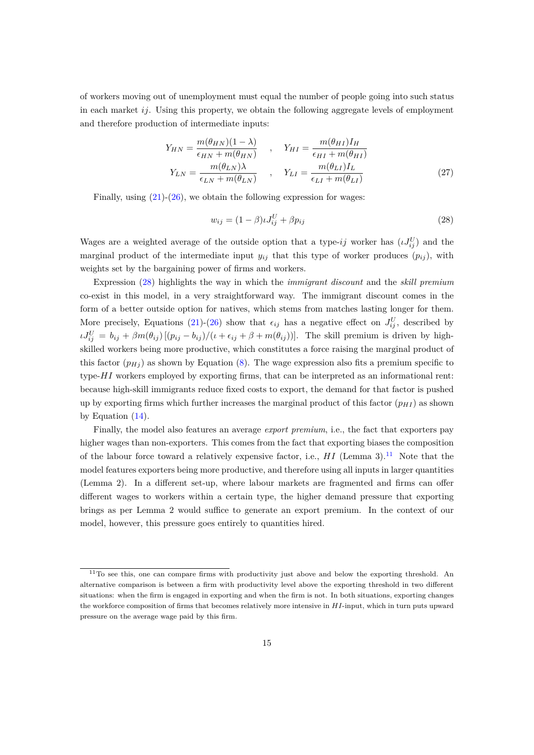of workers moving out of unemployment must equal the number of people going into such status in each market *ij*. Using this property, we obtain the following aggregate levels of employment and therefore production of intermediate inputs:

$$
Y_{HN} = \frac{m(\theta_{HN})(1-\lambda)}{\epsilon_{HN} + m(\theta_{HN})} \quad , \quad Y_{HI} = \frac{m(\theta_{HI})I_H}{\epsilon_{HI} + m(\theta_{HI})}
$$

$$
Y_{LN} = \frac{m(\theta_{LN})\lambda}{\epsilon_{LN} + m(\theta_{LN})} \quad , \quad Y_{LI} = \frac{m(\theta_{LI})I_L}{\epsilon_{LI} + m(\theta_{LI})}
$$
(27)

Finally, using  $(21)-(26)$  $(21)-(26)$  $(21)-(26)$  $(21)-(26)$ , we obtain the following expression for wages:

<span id="page-16-0"></span>
$$
w_{ij} = (1 - \beta)\iota J_{ij}^U + \beta p_{ij} \tag{28}
$$

Wages are a weighted average of the outside option that a type-*ij* worker has  $(\iota J_{ij}^U)$  and the marginal product of the intermediate input  $y_{ij}$  that this type of worker produces  $(p_{ij})$ , with weights set by the bargaining power of firms and workers.

Expression ([28](#page-16-0)) highlights the way in which the *immigrant discount* and the *skill premium* co-exist in this model, in a very straightforward way. The immigrant discount comes in the form of a better outside option for natives, which stems from matches lasting longer for them. More precisely, Equations ([21\)](#page-15-0)-([26\)](#page-15-1) show that  $\epsilon_{ij}$  has a negative effect on  $J_{ij}^U$ , described by  $\iota J_{ij}^U = b_{ij} + \beta m(\theta_{ij}) [(p_{ij} - b_{ij})/(\iota + \epsilon_{ij} + \beta + m(\theta_{ij}))].$  The skill premium is driven by highskilled workers being more productive, which constitutes a force raising the marginal product of this factor  $(p_{Hj})$  as shown by Equation [\(8](#page-11-1)). The wage expression also fits a premium specific to type-*HI* workers employed by exporting firms, that can be interpreted as an informational rent: because high-skill immigrants reduce fixed costs to export, the demand for that factor is pushed up by exporting firms which further increases the marginal product of this factor  $(p_{H}I)$  as shown by Equation [\(14](#page-13-1)).

Finally, the model also features an average *export premium*, i.e., the fact that exporters pay higher wages than non-exporters. This comes from the fact that exporting biases the composition of the labour force toward a relatively expensive factor, i.e.,  $HI$  (Lemma 3).<sup>11</sup> Note that the model features exporters being more productive, and therefore using all inputs in larger quantities (Lemma 2). In a different set-up, where labour markets are fragmented and firms can offer different wages to workers within a certain type, the higher demand pressure that exporting brings as per Lemma 2 would suffice to generate an export premium. In the context of our model, however, this pressure goes entirely to quantities hired.

<sup>&</sup>lt;sup>11</sup>To see this, one can compare firms with productivity just above and below the exporting threshold. An alternative comparison is between a firm with productivity level above the exporting threshold in two different situations: when the firm is engaged in exporting and when the firm is not. In both situations, exporting changes the workforce composition of firms that becomes relatively more intensive in *HI*-input, which in turn puts upward pressure on the average wage paid by this firm.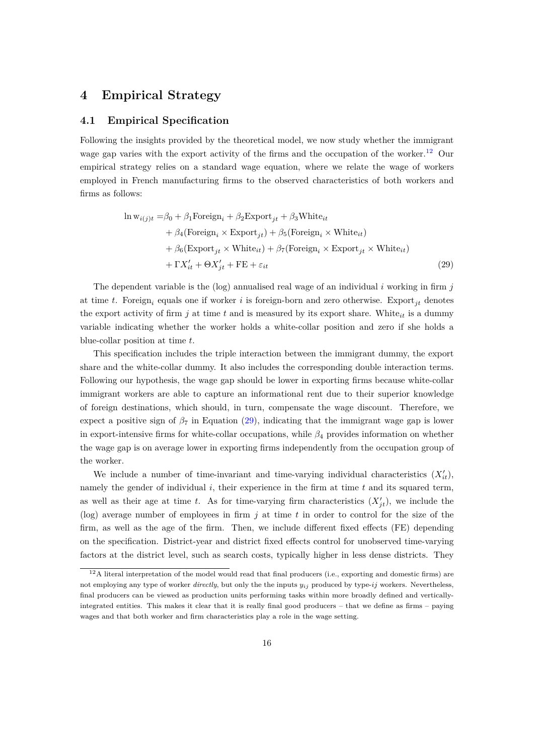### **4 Empirical Strategy**

#### **4.1 Empirical Specification**

Following the insights provided by the theoretical model, we now study whether the immigrant wage gap varies with the export activity of the firms and the occupation of the worker.<sup>12</sup> Our empirical strategy relies on a standard wage equation, where we relate the wage of workers employed in French manufacturing firms to the observed characteristics of both workers and firms as follows:

<span id="page-17-0"></span>
$$
\ln w_{i(j)t} = \beta_0 + \beta_1 \text{Foreign}_i + \beta_2 \text{Export}_{jt} + \beta_3 \text{White}_{it} + \beta_4 (\text{Foreign}_i \times \text{Export}_{jt}) + \beta_5 (\text{Foreign}_i \times \text{White}_{it}) + \beta_6 (\text{Export}_{jt} \times \text{White}_{it}) + \beta_7 (\text{Foreign}_i \times \text{Export}_{jt} \times \text{White}_{it}) + \Gamma X'_{it} + \Theta X'_{jt} + \text{FE} + \varepsilon_{it}
$$
(29)

The dependent variable is the (log) annualised real wage of an individual *i* working in firm *j* at time *t*. Foreign*<sup>i</sup>* equals one if worker *i* is foreign-born and zero otherwise. Export*jt* denotes the export activity of firm  $j$  at time  $t$  and is measured by its export share. White<sub>it</sub> is a dummy variable indicating whether the worker holds a white-collar position and zero if she holds a blue-collar position at time *t*.

This specification includes the triple interaction between the immigrant dummy, the export share and the white-collar dummy. It also includes the corresponding double interaction terms. Following our hypothesis, the wage gap should be lower in exporting firms because white-collar immigrant workers are able to capture an informational rent due to their superior knowledge of foreign destinations, which should, in turn, compensate the wage discount. Therefore, we expect a positive sign of  $\beta_7$  in Equation ([29\)](#page-17-0), indicating that the immigrant wage gap is lower in export-intensive firms for white-collar occupations, while *β*<sup>4</sup> provides information on whether the wage gap is on average lower in exporting firms independently from the occupation group of the worker.

We include a number of time-invariant and time-varying individual characteristics  $(X'_{it})$ , namely the gender of individual *i*, their experience in the firm at time *t* and its squared term, as well as their age at time *t*. As for time-varying firm characteristics  $(X'_{jt})$ , we include the (log) average number of employees in firm *j* at time *t* in order to control for the size of the firm, as well as the age of the firm. Then, we include different fixed effects (FE) depending on the specification. District-year and district fixed effects control for unobserved time-varying factors at the district level, such as search costs, typically higher in less dense districts. They

 $12A$  literal interpretation of the model would read that final producers (i.e., exporting and domestic firms) are not employing any type of worker *directly*, but only the the inputs *yij* produced by type-*ij* workers. Nevertheless, final producers can be viewed as production units performing tasks within more broadly defined and verticallyintegrated entities. This makes it clear that it is really final good producers – that we define as firms – paying wages and that both worker and firm characteristics play a role in the wage setting.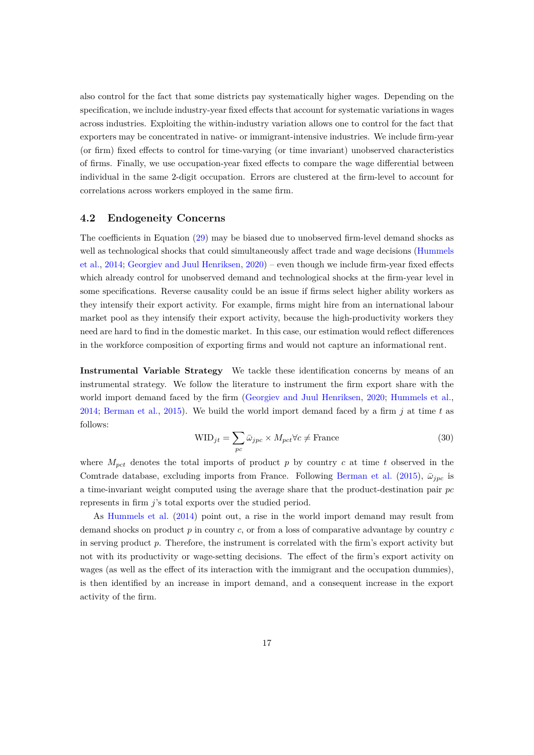also control for the fact that some districts pay systematically higher wages. Depending on the specification, we include industry-year fixed effects that account for systematic variations in wages across industries. Exploiting the within-industry variation allows one to control for the fact that exporters may be concentrated in native- or immigrant-intensive industries. We include firm-year (or firm) fixed effects to control for time-varying (or time invariant) unobserved characteristics of firms. Finally, we use occupation-year fixed effects to compare the wage differential between individual in the same 2-digit occupation. Errors are clustered at the firm-level to account for correlations across workers employed in the same firm.

#### **4.2 Endogeneity Concerns**

The coefficients in Equation ([29\)](#page-17-0) may be biased due to unobserved firm-level demand shocks as well as technological shocks that could simultaneously affect trade and wage decisions ([Hummels](#page-36-12) [et al.](#page-36-12), [2014;](#page-36-12) [Georgiev and Juul Henriksen](#page-36-3), [2020](#page-36-3)) – even though we include firm-year fixed effects which already control for unobserved demand and technological shocks at the firm-year level in some specifications. Reverse causality could be an issue if firms select higher ability workers as they intensify their export activity. For example, firms might hire from an international labour market pool as they intensify their export activity, because the high-productivity workers they need are hard to find in the domestic market. In this case, our estimation would reflect differences in the workforce composition of exporting firms and would not capture an informational rent.

**Instrumental Variable Strategy** We tackle these identification concerns by means of an instrumental strategy. We follow the literature to instrument the firm export share with the world import demand faced by the firm ([Georgiev and Juul Henriksen](#page-36-3), [2020;](#page-36-3) [Hummels et al.](#page-36-12), [2014](#page-36-12); [Berman et al.](#page-35-9), [2015\)](#page-35-9). We build the world import demand faced by a firm *j* at time *t* as follows:

<span id="page-18-0"></span>
$$
WID_{jt} = \sum_{pc} \bar{\omega}_{jpc} \times M_{pct} \forall c \neq \text{France}
$$
\n(30)

where  $M_{\text{pot}}$  denotes the total imports of product p by country c at time t observed in the Comtrade database, excluding imports from France. Following [Berman et al.](#page-35-9) ([2015\)](#page-35-9),  $\bar{\omega}_{inc}$  is a time-invariant weight computed using the average share that the product-destination pair *pc* represents in firm *j*'s total exports over the studied period.

As [Hummels et al.](#page-36-12) ([2014](#page-36-12)) point out, a rise in the world import demand may result from demand shocks on product *p* in country *c*, or from a loss of comparative advantage by country *c* in serving product *p*. Therefore, the instrument is correlated with the firm's export activity but not with its productivity or wage-setting decisions. The effect of the firm's export activity on wages (as well as the effect of its interaction with the immigrant and the occupation dummies), is then identified by an increase in import demand, and a consequent increase in the export activity of the firm.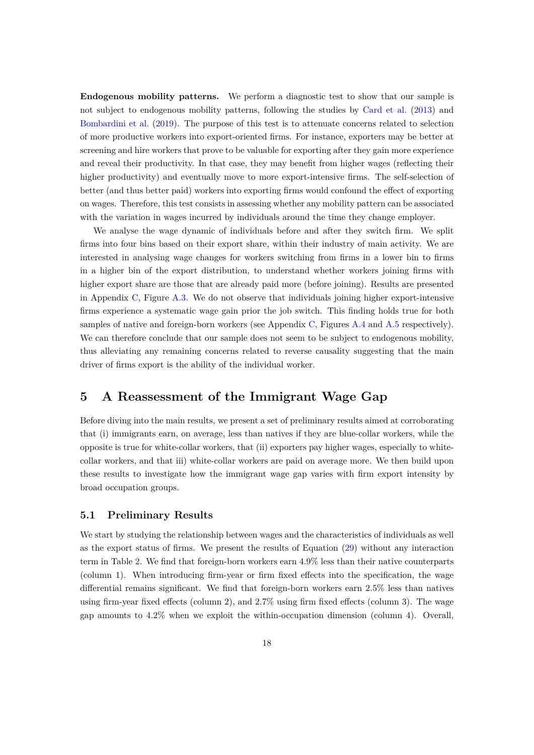**Endogenous mobility patterns.** We perform a diagnostic test to show that our sample is not subject to endogenous mobility patterns, following the studies by [Card et al.](#page-36-14) ([2013\)](#page-36-14) and [Bombardini et al.](#page-35-10) ([2019\)](#page-35-10). The purpose of this test is to attenuate concerns related to selection of more productive workers into export-oriented firms. For instance, exporters may be better at screening and hire workers that prove to be valuable for exporting after they gain more experience and reveal their productivity. In that case, they may benefit from higher wages (reflecting their higher productivity) and eventually move to more export-intensive firms. The self-selection of better (and thus better paid) workers into exporting firms would confound the effect of exporting on wages. Therefore, this test consists in assessing whether any mobility pattern can be associated with the variation in wages incurred by individuals around the time they change employer.

We analyse the wage dynamic of individuals before and after they switch firm. We split firms into four bins based on their export share, within their industry of main activity. We are interested in analysing wage changes for workers switching from firms in a lower bin to firms in a higher bin of the export distribution, to understand whether workers joining firms with higher export share are those that are already paid more (before joining). Results are presented in Appendix [C](#page-40-1), Figure [A.3](#page-42-1). We do not observe that individuals joining higher export-intensive firms experience a systematic wage gain prior the job switch. This finding holds true for both samples of native and foreign-born workers (see Appendix [C](#page-40-1), Figures [A.4](#page-43-0) and [A.5](#page-43-1) respectively). We can therefore conclude that our sample does not seem to be subject to endogenous mobility, thus alleviating any remaining concerns related to reverse causality suggesting that the main driver of firms export is the ability of the individual worker.

### **5 A Reassessment of the Immigrant Wage Gap**

Before diving into the main results, we present a set of preliminary results aimed at corroborating that (i) immigrants earn, on average, less than natives if they are blue-collar workers, while the opposite is true for white-collar workers, that (ii) exporters pay higher wages, especially to whitecollar workers, and that iii) white-collar workers are paid on average more. We then build upon these results to investigate how the immigrant wage gap varies with firm export intensity by broad occupation groups.

#### **5.1 Preliminary Results**

We start by studying the relationship between wages and the characteristics of individuals as well as the export status of firms. We present the results of Equation ([29\)](#page-17-0) without any interaction term in Table [2.](#page-21-0) We find that foreign-born workers earn 4.9% less than their native counterparts (column 1). When introducing firm-year or firm fixed effects into the specification, the wage differential remains significant. We find that foreign-born workers earn 2.5% less than natives using firm-year fixed effects (column 2), and 2.7% using firm fixed effects (column 3). The wage gap amounts to 4.2% when we exploit the within-occupation dimension (column 4). Overall,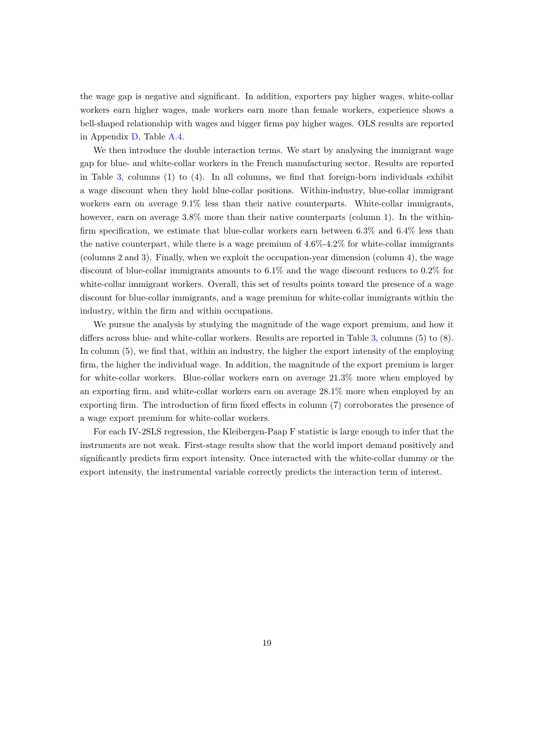the wage gap is negative and significant. In addition, exporters pay higher wages, white-collar workers earn higher wages, male workers earn more than female workers, experience shows a bell-shaped relationship with wages and bigger firms pay higher wages. OLS results are reported in Appendix [D](#page-42-2), Table [A.4.](#page-44-0)

We then introduce the double interaction terms. We start by analysing the immigrant wage gap for blue- and white-collar workers in the French manufacturing sector. Results are reported in Table [3](#page-22-0), columns (1) to (4). In all columns, we find that foreign-born individuals exhibit a wage discount when they hold blue-collar positions. Within-industry, blue-collar immigrant workers earn on average 9.1% less than their native counterparts. White-collar immigrants, however, earn on average  $3.8\%$  more than their native counterparts (column 1). In the withinfirm specification, we estimate that blue-collar workers earn between 6.3% and 6.4% less than the native counterpart, while there is a wage premium of  $4.6\%$ - $4.2\%$  for white-collar immigrants (columns 2 and 3). Finally, when we exploit the occupation-year dimension (column 4), the wage discount of blue-collar immigrants amounts to 6.1% and the wage discount reduces to 0.2% for white-collar immigrant workers. Overall, this set of results points toward the presence of a wage discount for blue-collar immigrants, and a wage premium for white-collar immigrants within the industry, within the firm and within occupations.

We pursue the analysis by studying the magnitude of the wage export premium, and how it differs across blue- and white-collar workers. Results are reported in Table [3,](#page-22-0) columns (5) to (8). In column (5), we find that, within an industry, the higher the export intensity of the employing firm, the higher the individual wage. In addition, the magnitude of the export premium is larger for white-collar workers. Blue-collar workers earn on average 21.3% more when employed by an exporting firm, and white-collar workers earn on average 28.1% more when employed by an exporting firm. The introduction of firm fixed effects in column (7) corroborates the presence of a wage export premium for white-collar workers.

For each IV-2SLS regression, the Kleibergen-Paap F statistic is large enough to infer that the instruments are not weak. First-stage results show that the world import demand positively and significantly predicts firm export intensity. Once interacted with the white-collar dummy or the export intensity, the instrumental variable correctly predicts the interaction term of interest.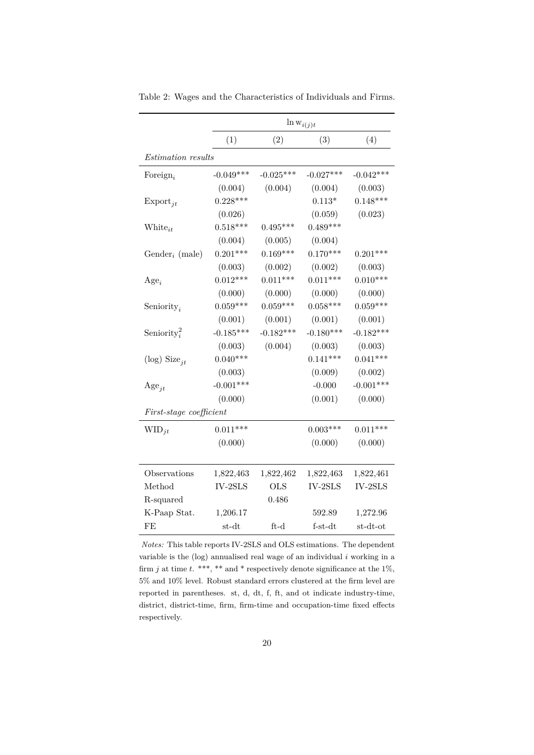<span id="page-21-0"></span>

|                            |             |             | $\ln w_{i(j)t}$ |             |
|----------------------------|-------------|-------------|-----------------|-------------|
|                            | (1)         | (2)         | (3)             | (4)         |
| Estimation results         |             |             |                 |             |
| Foreign <sub>i</sub>       | $-0.049***$ | $-0.025***$ | $-0.027***$     | $-0.042***$ |
|                            | (0.004)     | (0.004)     | (0.004)         | (0.003)     |
| $\mathrm{Export}_{jt}$     | $0.228***$  |             | $0.113*$        | $0.148***$  |
|                            | (0.026)     |             | (0.059)         | (0.023)     |
| White <sub>it</sub>        | $0.518***$  | $0.495***$  | $0.489***$      |             |
|                            | (0.004)     | (0.005)     | (0.004)         |             |
| Gender <sub>i</sub> (male) | $0.201***$  | $0.169***$  | $0.170***$      | $0.201***$  |
|                            | (0.003)     | (0.002)     | (0.002)         | (0.003)     |
| $Age_i$                    | $0.012***$  | $0.011***$  | $0.011***$      | $0.010***$  |
|                            | (0.000)     | (0.000)     | (0.000)         | (0.000)     |
| Seniority <sub>i</sub>     | $0.059***$  | $0.059***$  | $0.058***$      | $0.059***$  |
|                            | (0.001)     | (0.001)     | (0.001)         | (0.001)     |
| Seniority <sup>2</sup>     | $-0.185***$ | $-0.182***$ | $-0.180***$     | $-0.182***$ |
|                            | (0.003)     | (0.004)     | (0.003)         | (0.003)     |
| (log) Size <sub>it</sub>   | $0.040***$  |             | $0.141***$      | $0.041***$  |
|                            | (0.003)     |             | (0.009)         | (0.002)     |
| $\mathrm{Age}_{jt}$        | $-0.001***$ |             | $-0.000$        | $-0.001***$ |
|                            | (0.000)     |             | (0.001)         | (0.000)     |
| First-stage coefficient    |             |             |                 |             |
| $WID_{jt}$                 | $0.011***$  |             | $0.003***$      | $0.011***$  |
|                            | (0.000)     |             | (0.000)         | (0.000)     |
|                            |             |             |                 |             |
| Observations               | 1,822,463   | 1,822,462   | 1,822,463       | 1,822,461   |
| Method                     | $IV-2SLS$   | <b>OLS</b>  | $IV-2SLS$       | $IV-2SLS$   |
| R-squared                  |             | 0.486       |                 |             |
| K-Paap Stat.               | 1,206.17    |             | 592.89          | 1,272.96    |
| FE                         | $st-dt$     | $ft-d$      | $f-st-dt$       | $st-dt-ot$  |

Table 2: Wages and the Characteristics of Individuals and Firms.

*Notes:* This table reports IV-2SLS and OLS estimations. The dependent variable is the (log) annualised real wage of an individual *i* working in a firm *j* at time *t*. \*\*\*, \*\* and \* respectively denote significance at the 1%, 5% and 10% level. Robust standard errors clustered at the firm level are reported in parentheses. st, d, dt, f, ft, and ot indicate industry-time, district, district-time, firm, firm-time and occupation-time fixed effects respectively.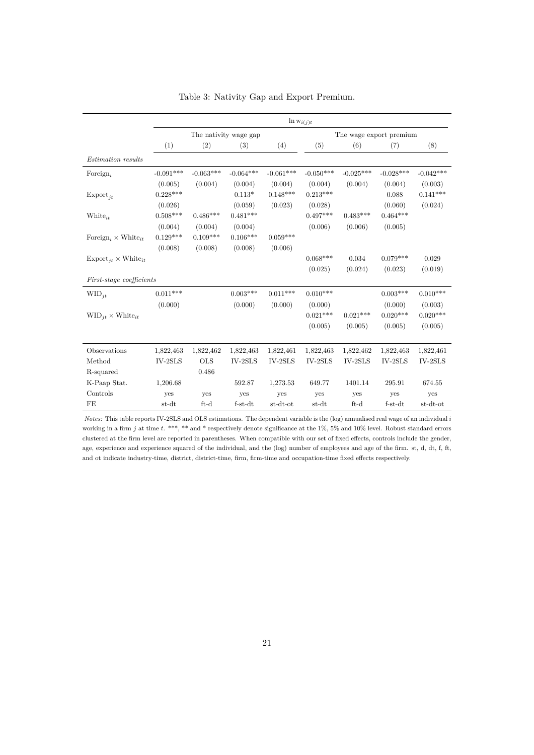<span id="page-22-0"></span>

|                                                   | $\ln w_{i(j)t}$       |             |             |             |                         |             |             |             |
|---------------------------------------------------|-----------------------|-------------|-------------|-------------|-------------------------|-------------|-------------|-------------|
|                                                   | The nativity wage gap |             |             |             | The wage export premium |             |             |             |
|                                                   | (1)                   | (2)         | (3)         | (4)         | (5)                     | (6)         | (7)         | (8)         |
| Estimation results                                |                       |             |             |             |                         |             |             |             |
| Foreign,                                          | $-0.091***$           | $-0.063***$ | $-0.064***$ | $-0.061***$ | $-0.050***$             | $-0.025***$ | $-0.028***$ | $-0.042***$ |
|                                                   | (0.005)               | (0.004)     | (0.004)     | (0.004)     | (0.004)                 | (0.004)     | (0.004)     | (0.003)     |
| $\mathrm{Export}_{it}$                            | $0.228***$            |             | $0.113*$    | $0.148***$  | $0.213***$              |             | 0.088       | $0.141***$  |
|                                                   | (0.026)               |             | (0.059)     | (0.023)     | (0.028)                 |             | (0.060)     | (0.024)     |
| $White_{it}$                                      | $0.508***$            | $0.486***$  | $0.481***$  |             | $0.497***$              | $0.483***$  | $0.464***$  |             |
|                                                   | (0.004)               | (0.004)     | (0.004)     |             | (0.006)                 | (0.006)     | (0.005)     |             |
| Foreign, $\times$ White <sub>it</sub>             | $0.129***$            | $0.109***$  | $0.106***$  | $0.059***$  |                         |             |             |             |
|                                                   | (0.008)               | (0.008)     | (0.008)     | (0.006)     |                         |             |             |             |
| $\mathrm{Export}_{it} \times \mathrm{White}_{it}$ |                       |             |             |             | $0.068***$              | 0.034       | $0.079***$  | 0.029       |
|                                                   |                       |             |             |             | (0.025)                 | (0.024)     | (0.023)     | (0.019)     |
| <i>First-stage coefficients</i>                   |                       |             |             |             |                         |             |             |             |
| $WID_{it}$                                        | $0.011***$            |             | $0.003***$  | $0.011***$  | $0.010***$              |             | $0.003***$  | $0.010***$  |
|                                                   | (0.000)               |             | (0.000)     | (0.000)     | (0.000)                 |             | (0.000)     | (0.003)     |
| $\text{WID}_{it} \times \text{White}_{it}$        |                       |             |             |             | $0.021***$              | $0.021***$  | $0.020***$  | $0.020***$  |
|                                                   |                       |             |             |             | (0.005)                 | (0.005)     | (0.005)     | (0.005)     |
|                                                   |                       |             |             |             |                         |             |             |             |
| Observations                                      | 1,822,463             | 1,822,462   | 1,822,463   | 1,822,461   | 1,822,463               | 1,822,462   | 1,822,463   | 1,822,461   |
| Method                                            | $IV-2SLS$             | <b>OLS</b>  | $IV-2SLS$   | $IV-2SLS$   | IV-2SLS                 | $IV-2SLS$   | IV-2SLS     | $IV-2SLS$   |
| R-squared                                         |                       | 0.486       |             |             |                         |             |             |             |
| K-Paap Stat.                                      | 1,206.68              |             | 592.87      | 1,273.53    | 649.77                  | 1401.14     | 295.91      | 674.55      |
| Controls                                          | yes                   | yes         | yes         | yes         | yes                     | yes         | yes         | yes         |
| FE                                                | st-dt                 | $ft-d$      | $f-st-dt$   | st-dt-ot    | st-dt                   | $ft-d$      | $f-st-dt$   | st-dt-ot    |

|  |  |  |  |  | Table 3: Nativity Gap and Export Premium. |
|--|--|--|--|--|-------------------------------------------|
|--|--|--|--|--|-------------------------------------------|

*Notes:* This table reports IV-2SLS and OLS estimations. The dependent variable is the (log) annualised real wage of an individual *i* working in a firm *j* at time *t*. \*\*\*, \*\* and \* respectively denote significance at the 1%, 5% and 10% level. Robust standard errors clustered at the firm level are reported in parentheses. When compatible with our set of fixed effects, controls include the gender, age, experience and experience squared of the individual, and the (log) number of employees and age of the firm. st, d, dt, f, ft, and ot indicate industry-time, district, district-time, firm, firm-time and occupation-time fixed effects respectively.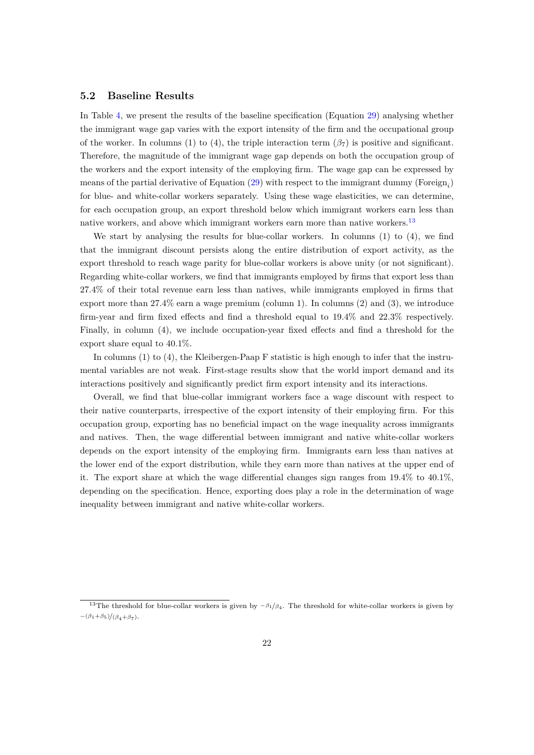#### **5.2 Baseline Results**

In Table [4](#page-24-0), we present the results of the baseline specification (Equation [29\)](#page-17-0) analysing whether the immigrant wage gap varies with the export intensity of the firm and the occupational group of the worker. In columns (1) to (4), the triple interaction term  $(\beta_7)$  is positive and significant. Therefore, the magnitude of the immigrant wage gap depends on both the occupation group of the workers and the export intensity of the employing firm. The wage gap can be expressed by means of the partial derivative of Equation ([29\)](#page-17-0) with respect to the immigrant dummy (Foreign<sub>i</sub>) for blue- and white-collar workers separately. Using these wage elasticities, we can determine, for each occupation group, an export threshold below which immigrant workers earn less than native workers, and above which immigrant workers earn more than native workers.<sup>13</sup>

We start by analysing the results for blue-collar workers. In columns  $(1)$  to  $(4)$ , we find that the immigrant discount persists along the entire distribution of export activity, as the export threshold to reach wage parity for blue-collar workers is above unity (or not significant). Regarding white-collar workers, we find that immigrants employed by firms that export less than 27.4% of their total revenue earn less than natives, while immigrants employed in firms that export more than 27.4% earn a wage premium (column 1). In columns (2) and (3), we introduce firm-year and firm fixed effects and find a threshold equal to 19.4% and 22.3% respectively. Finally, in column (4), we include occupation-year fixed effects and find a threshold for the export share equal to 40.1%.

In columns (1) to (4), the Kleibergen-Paap F statistic is high enough to infer that the instrumental variables are not weak. First-stage results show that the world import demand and its interactions positively and significantly predict firm export intensity and its interactions.

Overall, we find that blue-collar immigrant workers face a wage discount with respect to their native counterparts, irrespective of the export intensity of their employing firm. For this occupation group, exporting has no beneficial impact on the wage inequality across immigrants and natives. Then, the wage differential between immigrant and native white-collar workers depends on the export intensity of the employing firm. Immigrants earn less than natives at the lower end of the export distribution, while they earn more than natives at the upper end of it. The export share at which the wage differential changes sign ranges from 19.4% to 40.1%, depending on the specification. Hence, exporting does play a role in the determination of wage inequality between immigrant and native white-collar workers.

<sup>13</sup>The threshold for blue-collar workers is given by *<sup>−</sup>β*1*/β*4. The threshold for white-collar workers is given by *−*(*β*1+*β*5)*/*(*β*4+*β*7).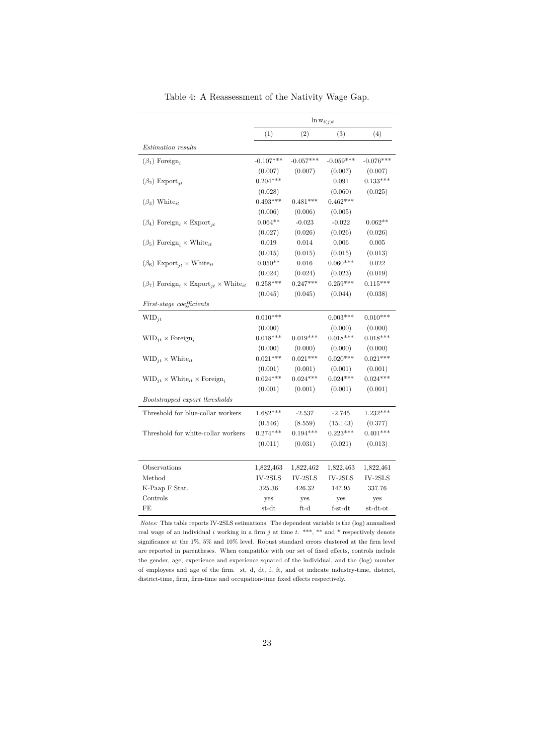<span id="page-24-0"></span>

|                                                                               | $\ln w_{i(j)t}$ |             |             |             |  |
|-------------------------------------------------------------------------------|-----------------|-------------|-------------|-------------|--|
|                                                                               | (1)             | (2)         | (3)         | (4)         |  |
| <i>Estimation results</i>                                                     |                 |             |             |             |  |
| $(\beta_1)$ Foreign <sub>i</sub>                                              | $-0.107***$     | $-0.057***$ | $-0.059***$ | $-0.076***$ |  |
|                                                                               | (0.007)         | (0.007)     | (0.007)     | (0.007)     |  |
| $(\beta_2)$ Export <sub>it</sub>                                              | $0.204***$      |             | 0.091       | $0.133***$  |  |
|                                                                               | (0.028)         |             | (0.060)     | (0.025)     |  |
| $(\beta_3)$ White <sub>it</sub>                                               | $0.493***$      | $0.481***$  | $0.462***$  |             |  |
|                                                                               | (0.006)         | (0.006)     | (0.005)     |             |  |
| $(\beta_4)$ Foreign <sub>i</sub> × Export <sub>it</sub>                       | $0.064**$       | $-0.023$    | $-0.022$    | $0.062**$   |  |
|                                                                               | (0.027)         | (0.026)     | (0.026)     | (0.026)     |  |
| $(\beta_5)$ Foreign, $\times$ White <sub>it</sub>                             | 0.019           | 0.014       | 0.006       | 0.005       |  |
|                                                                               | (0.015)         | (0.015)     | (0.015)     | (0.013)     |  |
| $(\beta_6)$ Export <sub>it</sub> × White <sub>it</sub>                        | $0.050**$       | 0.016       | $0.060***$  | 0.022       |  |
|                                                                               | (0.024)         | (0.024)     | (0.023)     | (0.019)     |  |
| $(\beta_7)$ Foreign <sub>i</sub> × Export <sub>it</sub> × White <sub>it</sub> | $0.258***$      | $0.247***$  | $0.259***$  | $0.115***$  |  |
|                                                                               | (0.045)         | (0.045)     | (0.044)     | (0.038)     |  |
| First-stage coefficients                                                      |                 |             |             |             |  |
| $WID_{it}$                                                                    | $0.010***$      |             | $0.003***$  | $0.010***$  |  |
|                                                                               | (0.000)         |             | (0.000)     | (0.000)     |  |
| $WID_{it} \times Foreign_{it}$                                                | $0.018***$      | $0.019***$  | $0.018***$  | $0.018***$  |  |
|                                                                               | (0.000)         | (0.000)     | (0.000)     | (0.000)     |  |
| $\text{WID}_{it} \times \text{White}_{it}$                                    | $0.021***$      | $0.021***$  | $0.020***$  | $0.021***$  |  |
|                                                                               | (0.001)         | (0.001)     | (0.001)     | (0.001)     |  |
| $\text{WID}_{it} \times \text{White}_{it} \times \text{Foreign}_{i}$          | $0.024***$      | $0.024***$  | $0.024***$  | $0.024***$  |  |
|                                                                               | (0.001)         | (0.001)     | (0.001)     | (0.001)     |  |
| Bootstrapped export thresholds                                                |                 |             |             |             |  |
| Threshold for blue-collar workers                                             | $1.682***$      | $-2.537$    | $-2.745$    | $1.232***$  |  |
|                                                                               | (0.546)         | (8.559)     | (15.143)    | (0.377)     |  |
| Threshold for white-collar workers                                            | $0.274***$      | $0.194***$  | $0.223***$  | $0.401***$  |  |
|                                                                               | (0.011)         | (0.031)     | (0.021)     | (0.013)     |  |
| Observations                                                                  | 1,822,463       | 1,822,462   | 1,822,463   | 1,822,461   |  |
| Method                                                                        | IV-2SLS         | IV-2SLS     | IV-2SLS     | $IV-2SLS$   |  |
| K-Paap F Stat.                                                                | 325.36          | 426.32      | 147.95      | 337.76      |  |
| Controls                                                                      | yes             | yes         | yes         | yes         |  |
| FE                                                                            | st-dt           | ft-d        | $f-st-dt$   | st-dt-ot    |  |

Table 4: A Reassessment of the Nativity Wage Gap.

*Notes:* This table reports IV-2SLS estimations. The dependent variable is the (log) annualised real wage of an individual *i* working in a firm *j* at time *t*. \*\*\*, \*\* and \* respectively denote significance at the 1%, 5% and 10% level. Robust standard errors clustered at the firm level are reported in parentheses. When compatible with our set of fixed effects, controls include the gender, age, experience and experience squared of the individual, and the (log) number of employees and age of the firm. st, d, dt, f, ft, and ot indicate industry-time, district, district-time, firm, firm-time and occupation-time fixed effects respectively.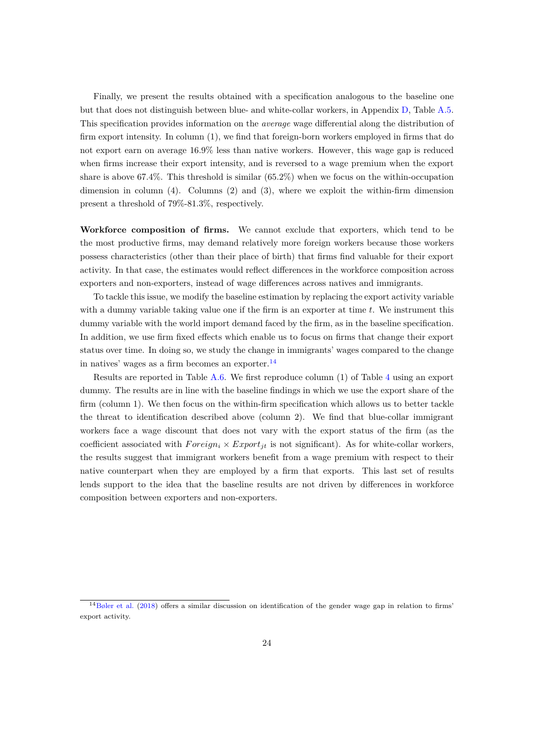Finally, we present the results obtained with a specification analogous to the baseline one but that does not distinguish between blue- and white-collar workers, in Appendix [D](#page-42-2), Table [A.5](#page-45-0). This specification provides information on the *average* wage differential along the distribution of firm export intensity. In column (1), we find that foreign-born workers employed in firms that do not export earn on average 16.9% less than native workers. However, this wage gap is reduced when firms increase their export intensity, and is reversed to a wage premium when the export share is above 67.4%. This threshold is similar (65.2%) when we focus on the within-occupation dimension in column (4). Columns (2) and (3), where we exploit the within-firm dimension present a threshold of 79%-81.3%, respectively.

**Workforce composition of firms.** We cannot exclude that exporters, which tend to be the most productive firms, may demand relatively more foreign workers because those workers possess characteristics (other than their place of birth) that firms find valuable for their export activity. In that case, the estimates would reflect differences in the workforce composition across exporters and non-exporters, instead of wage differences across natives and immigrants.

To tackle this issue, we modify the baseline estimation by replacing the export activity variable with a dummy variable taking value one if the firm is an exporter at time *t*. We instrument this dummy variable with the world import demand faced by the firm, as in the baseline specification. In addition, we use firm fixed effects which enable us to focus on firms that change their export status over time. In doing so, we study the change in immigrants' wages compared to the change in natives' wages as a firm becomes an exporter. $^{14}$ 

Results are reported in Table [A.6.](#page-46-0) We first reproduce column (1) of Table [4](#page-24-0) using an export dummy. The results are in line with the baseline findings in which we use the export share of the firm (column 1). We then focus on the within-firm specification which allows us to better tackle the threat to identification described above (column 2). We find that blue-collar immigrant workers face a wage discount that does not vary with the export status of the firm (as the coefficient associated with  $Foreign_i \times Expert_{jt}$  is not significant). As for white-collar workers, the results suggest that immigrant workers benefit from a wage premium with respect to their native counterpart when they are employed by a firm that exports. This last set of results lends support to the idea that the baseline results are not driven by differences in workforce composition between exporters and non-exporters.

<sup>14</sup>[Bøler](#page-35-7) et al. ([2018\)](#page-35-7) offers a similar discussion on identification of the gender wage gap in relation to firms' export activity.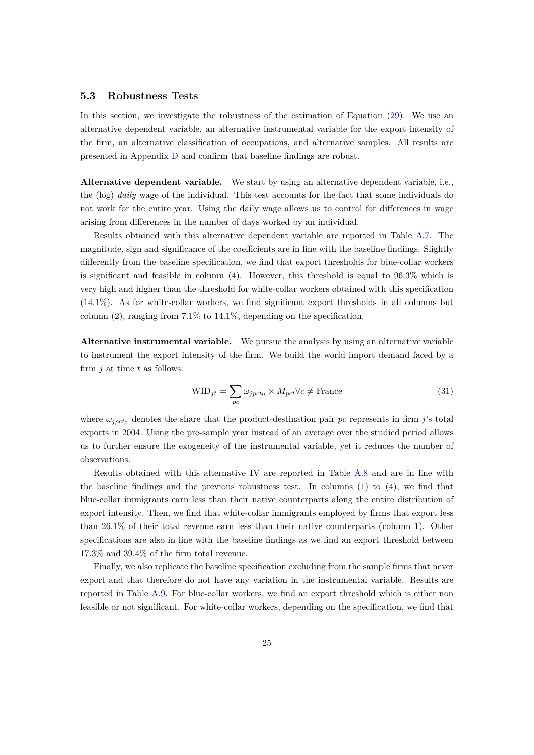#### **5.3 Robustness Tests**

In this section, we investigate the robustness of the estimation of Equation ([29](#page-17-0)). We use an alternative dependent variable, an alternative instrumental variable for the export intensity of the firm, an alternative classification of occupations, and alternative samples. All results are presented in Appendix [D](#page-42-2) and confirm that baseline findings are robust.

**Alternative dependent variable.** We start by using an alternative dependent variable, i.e., the (log) *daily* wage of the individual. This test accounts for the fact that some individuals do not work for the entire year. Using the daily wage allows us to control for differences in wage arising from differences in the number of days worked by an individual.

Results obtained with this alternative dependent variable are reported in Table [A.7.](#page-47-0) The magnitude, sign and significance of the coefficients are in line with the baseline findings. Slightly differently from the baseline specification, we find that export thresholds for blue-collar workers is significant and feasible in column (4). However, this threshold is equal to 96.3% which is very high and higher than the threshold for white-collar workers obtained with this specification (14.1%). As for white-collar workers, we find significant export thresholds in all columns but column  $(2)$ , ranging from 7.1% to 14.1%, depending on the specification.

**Alternative instrumental variable.** We pursue the analysis by using an alternative variable to instrument the export intensity of the firm. We build the world import demand faced by a firm *j* at time *t* as follows:

$$
WID_{jt} = \sum_{pc} \omega_{jpct_0} \times M_{pct} \forall c \neq \text{France}
$$
\n(31)

where  $\omega_{\text{inct}_0}$  denotes the share that the product-destination pair *pc* represents in firm *j*'s total exports in 2004. Using the pre-sample year instead of an average over the studied period allows us to further ensure the exogeneity of the instrumental variable, yet it reduces the number of observations.

Results obtained with this alternative IV are reported in Table [A.8](#page-48-0) and are in line with the baseline findings and the previous robustness test. In columns (1) to (4), we find that blue-collar immigrants earn less than their native counterparts along the entire distribution of export intensity. Then, we find that white-collar immigrants employed by firms that export less than 26.1% of their total revenue earn less than their native counterparts (column 1). Other specifications are also in line with the baseline findings as we find an export threshold between 17.3% and 39.4% of the firm total revenue.

Finally, we also replicate the baseline specification excluding from the sample firms that never export and that therefore do not have any variation in the instrumental variable. Results are reported in Table [A.9](#page-49-0). For blue-collar workers, we find an export threshold which is either non feasible or not significant. For white-collar workers, depending on the specification, we find that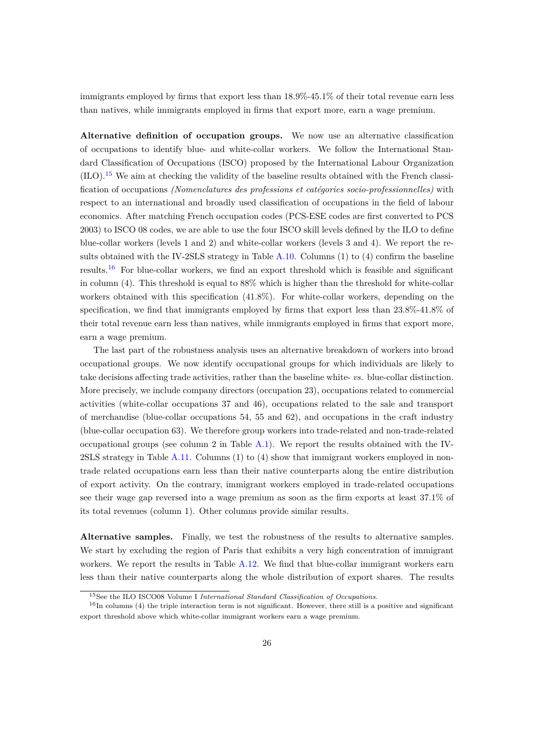immigrants employed by firms that export less than 18.9%-45.1% of their total revenue earn less than natives, while immigrants employed in firms that export more, earn a wage premium.

**Alternative definition of occupation groups.** We now use an alternative classification of occupations to identify blue- and white-collar workers. We follow the International Standard Classification of Occupations (ISCO) proposed by the International Labour Organization (ILO).<sup>15</sup> We aim at checking the validity of the baseline results obtained with the French classification of occupations *(Nomenclatures des professions et catégories socio-professionnelles)* with respect to an international and broadly used classification of occupations in the field of labour economics. After matching French occupation codes (PCS-ESE codes are first converted to PCS 2003) to ISCO 08 codes, we are able to use the four ISCO skill levels defined by the ILO to define blue-collar workers (levels 1 and 2) and white-collar workers (levels 3 and 4). We report the results obtained with the IV-2SLS strategy in Table [A.10.](#page-50-0) Columns (1) to (4) confirm the baseline results.<sup>16</sup> For blue-collar workers, we find an export threshold which is feasible and significant in column (4). This threshold is equal to 88% which is higher than the threshold for white-collar workers obtained with this specification (41.8%). For white-collar workers, depending on the specification, we find that immigrants employed by firms that export less than 23.8%-41.8% of their total revenue earn less than natives, while immigrants employed in firms that export more, earn a wage premium.

The last part of the robustness analysis uses an alternative breakdown of workers into broad occupational groups. We now identify occupational groups for which individuals are likely to take decisions affecting trade activities, rather than the baseline white- *vs.* blue-collar distinction. More precisely, we include company directors (occupation 23), occupations related to commercial activities (white-collar occupations 37 and 46), occupations related to the sale and transport of merchandise (blue-collar occupations 54, 55 and 62), and occupations in the craft industry (blue-collar occupation 63). We therefore group workers into trade-related and non-trade-related occupational groups (see column 2 in Table [A.1\)](#page-38-1). We report the results obtained with the IV-2SLS strategy in Table [A.11](#page-51-0). Columns (1) to (4) show that immigrant workers employed in nontrade related occupations earn less than their native counterparts along the entire distribution of export activity. On the contrary, immigrant workers employed in trade-related occupations see their wage gap reversed into a wage premium as soon as the firm exports at least 37.1% of its total revenues (column 1). Other columns provide similar results.

**Alternative samples.** Finally, we test the robustness of the results to alternative samples. We start by excluding the region of Paris that exhibits a very high concentration of immigrant workers. We report the results in Table [A.12](#page-52-0). We find that blue-collar immigrant workers earn less than their native counterparts along the whole distribution of export shares. The results

<sup>15</sup>See the ILO ISCO08 Volume I *International Standard Classification of Occupations*.

 $16$ In columns (4) the triple interaction term is not significant. However, there still is a positive and significant export threshold above which white-collar immigrant workers earn a wage premium.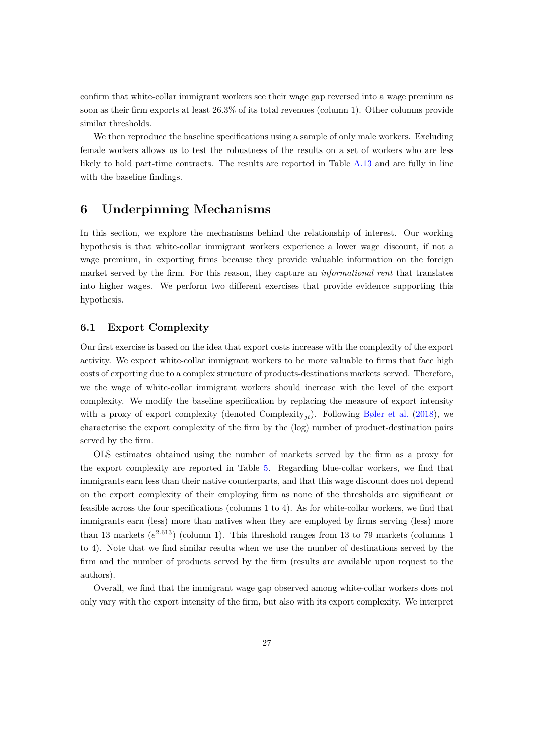confirm that white-collar immigrant workers see their wage gap reversed into a wage premium as soon as their firm exports at least 26.3% of its total revenues (column 1). Other columns provide similar thresholds.

We then reproduce the baseline specifications using a sample of only male workers. Excluding female workers allows us to test the robustness of the results on a set of workers who are less likely to hold part-time contracts. The results are reported in Table [A.13](#page-53-0) and are fully in line with the baseline findings.

### **6 Underpinning Mechanisms**

In this section, we explore the mechanisms behind the relationship of interest. Our working hypothesis is that white-collar immigrant workers experience a lower wage discount, if not a wage premium, in exporting firms because they provide valuable information on the foreign market served by the firm. For this reason, they capture an *informational rent* that translates into higher wages. We perform two different exercises that provide evidence supporting this hypothesis.

#### **6.1 Export Complexity**

Our first exercise is based on the idea that export costs increase with the complexity of the export activity. We expect white-collar immigrant workers to be more valuable to firms that face high costs of exporting due to a complex structure of products-destinations markets served. Therefore, we the wage of white-collar immigrant workers should increase with the level of the export complexity. We modify the baseline specification by replacing the measure of export intensity with a proxy of export complexity (denoted Complexity<sub>it</sub>). Following [Bøler et al.](#page-35-7) ([2018\)](#page-35-7), we characterise the export complexity of the firm by the (log) number of product-destination pairs served by the firm.

OLS estimates obtained using the number of markets served by the firm as a proxy for the export complexity are reported in Table [5](#page-29-0). Regarding blue-collar workers, we find that immigrants earn less than their native counterparts, and that this wage discount does not depend on the export complexity of their employing firm as none of the thresholds are significant or feasible across the four specifications (columns 1 to 4). As for white-collar workers, we find that immigrants earn (less) more than natives when they are employed by firms serving (less) more than 13 markets  $(e^{2.613})$  (column 1). This threshold ranges from 13 to 79 markets (columns 1) to 4). Note that we find similar results when we use the number of destinations served by the firm and the number of products served by the firm (results are available upon request to the authors).

Overall, we find that the immigrant wage gap observed among white-collar workers does not only vary with the export intensity of the firm, but also with its export complexity. We interpret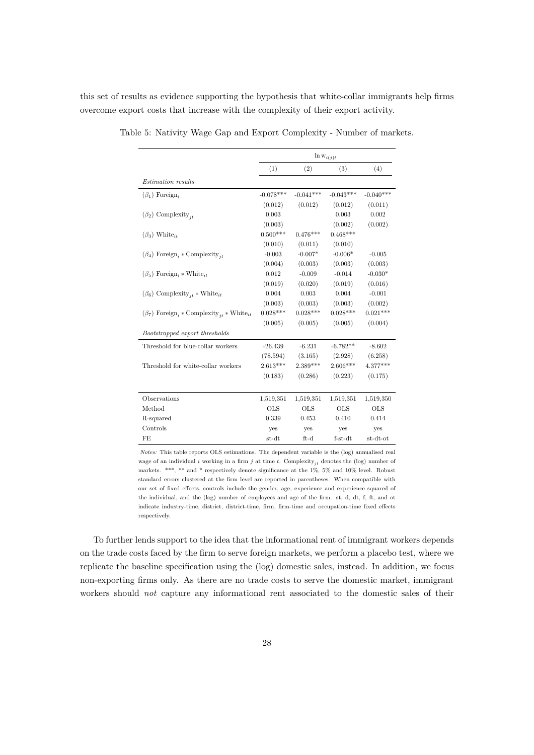this set of results as evidence supporting the hypothesis that white-collar immigrants help firms overcome export costs that increase with the complexity of their export activity.

|                                                                                   |             |             | $\ln w_{i(j)t}$ |             |
|-----------------------------------------------------------------------------------|-------------|-------------|-----------------|-------------|
|                                                                                   | (1)         | (2)         | (3)             | (4)         |
| <i>Estimation</i> results                                                         |             |             |                 |             |
| $(\beta_1)$ Foreign,                                                              | $-0.078***$ | $-0.041***$ | $-0.043***$     | $-0.040***$ |
|                                                                                   | (0.012)     | (0.012)     | (0.012)         | (0.011)     |
| $(\beta_2)$ Complexity <sub>it</sub>                                              | 0.003       |             | 0.003           | 0.002       |
|                                                                                   | (0.003)     |             | (0.002)         | (0.002)     |
| $(\beta_3)$ White <sub>it</sub>                                                   | $0.500***$  | $0.476***$  | $0.468***$      |             |
|                                                                                   | (0.010)     | (0.011)     | (0.010)         |             |
| $(\beta_4)$ Foreign <sub>i</sub> * Complexity <sub>jt</sub>                       | $-0.003$    | $-0.007*$   | $-0.006*$       | $-0.005$    |
|                                                                                   | (0.004)     | (0.003)     | (0.003)         | (0.003)     |
| $(\beta_5)$ Foreign, * White <sub>it</sub>                                        | 0.012       | $-0.009$    | $-0.014$        | $-0.030*$   |
|                                                                                   | (0.019)     | (0.020)     | (0.019)         | (0.016)     |
| $(\beta_6)$ Complexity <sub>jt</sub> * White <sub>it</sub>                        | 0.004       | 0.003       | 0.004           | $-0.001$    |
|                                                                                   | (0.003)     | (0.003)     | (0.003)         | (0.002)     |
| $(\beta_7)$ Foreign <sub>i</sub> * Complexity <sub>it</sub> * White <sub>it</sub> | $0.028***$  | $0.028***$  | $0.028***$      | $0.021***$  |
|                                                                                   | (0.005)     | (0.005)     | (0.005)         | (0.004)     |
| Bootstrapped export thresholds                                                    |             |             |                 |             |
| Threshold for blue-collar workers                                                 | $-26.439$   | $-6.231$    | $-6.782**$      | $-8.602$    |
|                                                                                   | (78.594)    | (3.165)     | (2.928)         | (6.258)     |
| Threshold for white-collar workers                                                | $2.613***$  | $2.389***$  | $2.606***$      | $4.377***$  |
|                                                                                   | (0.183)     | (0.286)     | (0.223)         | (0.175)     |
|                                                                                   |             |             |                 |             |
| Observations                                                                      | 1,519,351   | 1,519,351   | 1,519,351       | 1,519,350   |
| Method                                                                            | <b>OLS</b>  | <b>OLS</b>  | <b>OLS</b>      | <b>OLS</b>  |
| R-squared                                                                         | 0.339       | 0.453       | 0.410           | 0.414       |
| Controls                                                                          | yes         | yes         | yes             | yes         |
| FE                                                                                | st-dt       | $ft-d$      | $f-<>st-dt$     | st-dt-ot    |

<span id="page-29-0"></span>Table 5: Nativity Wage Gap and Export Complexity - Number of markets.

*Notes:* This table reports OLS estimations. The dependent variable is the (log) annualised real wage of an individual *i* working in a firm *j* at time *t*. Complexity<sub>jt</sub> denotes the (log) number of markets. \*\*\*, \*\* and \* respectively denote significance at the 1%, 5% and 10% level. Robust standard errors clustered at the firm level are reported in parentheses. When compatible with our set of fixed effects, controls include the gender, age, experience and experience squared of the individual, and the (log) number of employees and age of the firm. st, d, dt, f, ft, and ot indicate industry-time, district, district-time, firm, firm-time and occupation-time fixed effects respectively.

To further lends support to the idea that the informational rent of immigrant workers depends on the trade costs faced by the firm to serve foreign markets, we perform a placebo test, where we replicate the baseline specification using the (log) domestic sales, instead. In addition, we focus non-exporting firms only. As there are no trade costs to serve the domestic market, immigrant workers should *not* capture any informational rent associated to the domestic sales of their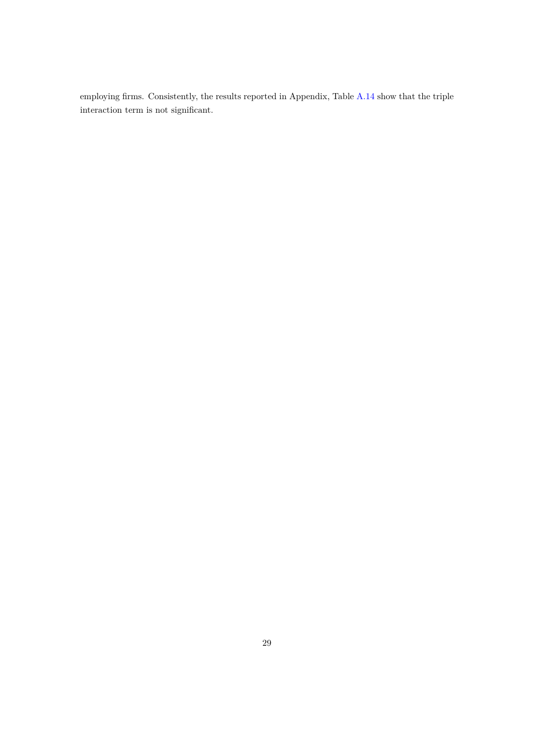employing firms. Consistently, the results reported in Appendix, Table [A.14](#page-54-0) show that the triple interaction term is not significant.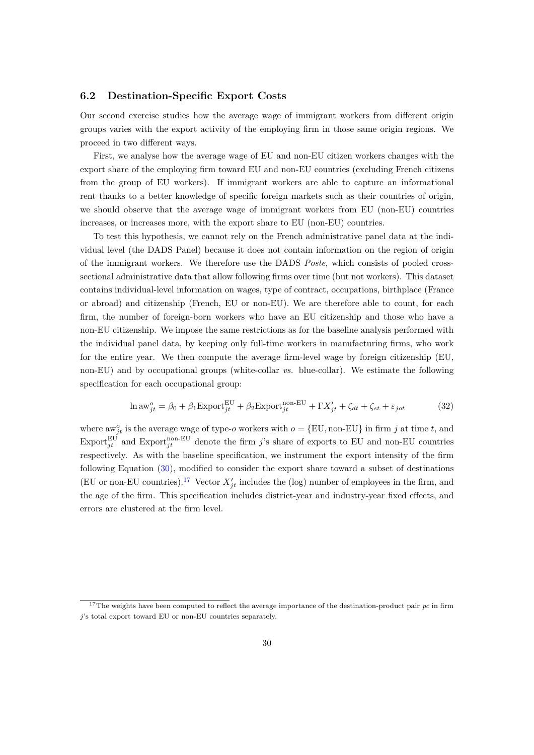#### **6.2 Destination-Specific Export Costs**

Our second exercise studies how the average wage of immigrant workers from different origin groups varies with the export activity of the employing firm in those same origin regions. We proceed in two different ways.

First, we analyse how the average wage of EU and non-EU citizen workers changes with the export share of the employing firm toward EU and non-EU countries (excluding French citizens from the group of EU workers). If immigrant workers are able to capture an informational rent thanks to a better knowledge of specific foreign markets such as their countries of origin, we should observe that the average wage of immigrant workers from EU (non-EU) countries increases, or increases more, with the export share to EU (non-EU) countries.

To test this hypothesis, we cannot rely on the French administrative panel data at the individual level (the DADS Panel) because it does not contain information on the region of origin of the immigrant workers. We therefore use the DADS *Poste*, which consists of pooled crosssectional administrative data that allow following firms over time (but not workers). This dataset contains individual-level information on wages, type of contract, occupations, birthplace (France or abroad) and citizenship (French, EU or non-EU). We are therefore able to count, for each firm, the number of foreign-born workers who have an EU citizenship and those who have a non-EU citizenship. We impose the same restrictions as for the baseline analysis performed with the individual panel data, by keeping only full-time workers in manufacturing firms, who work for the entire year. We then compute the average firm-level wage by foreign citizenship (EU, non-EU) and by occupational groups (white-collar *vs.* blue-collar). We estimate the following specification for each occupational group:

$$
\ln aw_{jt}^o = \beta_0 + \beta_1 \text{Export}_{jt}^{\text{EU}} + \beta_2 \text{Export}_{jt}^{\text{non-EU}} + \Gamma X_{jt}' + \zeta_{dt} + \zeta_{st} + \varepsilon_{jot} \tag{32}
$$

where  $aw_{jt}^o$  is the average wage of type-*o* workers with  $o = \{EU, \text{non-EU}\}\$ in firm *j* at time *t*, and  $\text{Export}_{jt}^{\text{EU}}$  and  $\text{Export}_{jt}^{\text{non-EU}}$  denote the firm *j*'s share of exports to EU and non-EU countries respectively. As with the baseline specification, we instrument the export intensity of the firm following Equation [\(30](#page-18-0)), modified to consider the export share toward a subset of destinations (EU or non-EU countries).<sup>17</sup> Vector  $X'_{jt}$  includes the (log) number of employees in the firm, and the age of the firm. This specification includes district-year and industry-year fixed effects, and errors are clustered at the firm level.

<sup>&</sup>lt;sup>17</sup>The weights have been computed to reflect the average importance of the destination-product pair  $pc$  in firm *j*'s total export toward EU or non-EU countries separately.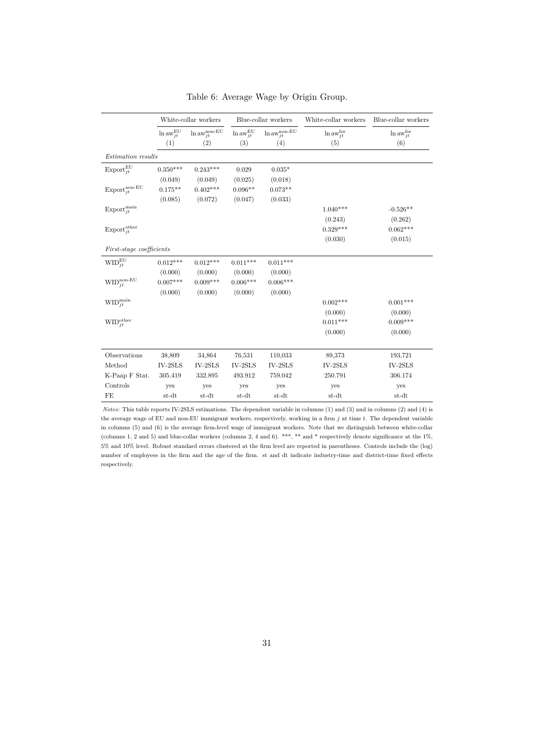<span id="page-32-0"></span>

|                                          |                           | White-collar workers                  |                           | Blue-collar workers                   | White-collar workers | Blue-collar workers        |
|------------------------------------------|---------------------------|---------------------------------------|---------------------------|---------------------------------------|----------------------|----------------------------|
|                                          | $\ln aw_{jt}^{\text{EU}}$ | $\ln\mathrm{aw}^\mathrm{non-EU}_{jt}$ | $\ln aw_{jt}^{\text{EU}}$ | $\ln\mathrm{aw}^\mathrm{non-EU}_{jt}$ | $\ln aw_{jt}^{for}$  | $\ln aw_{jt}^{\text{for}}$ |
|                                          | (1)                       | (2)                                   | (3)                       | (4)                                   | (5)                  | (6)                        |
| Estimation results                       |                           |                                       |                           |                                       |                      |                            |
| $\mathrm{Export}_{it}^{\mathrm{EU}}$     | $0.350***$                | $0.243***$                            | 0.029                     | $0.035*$                              |                      |                            |
|                                          | (0.049)                   | (0.049)                               | (0.025)                   | (0.018)                               |                      |                            |
| $\mathrm{Export}_{jt}^{\mathrm{non-EU}}$ | $0.175**$                 | $0.402***$                            | $0.096**$                 | $0.073**$                             |                      |                            |
|                                          | (0.085)                   | (0.072)                               | (0.047)                   | (0.033)                               |                      |                            |
| $\mathrm{Export}_{jt}^{\text{main}}$     |                           |                                       |                           |                                       | $1.040***$           | $-0.526**$                 |
|                                          |                           |                                       |                           |                                       | (0.243)              | (0.262)                    |
| $\mathrm{Export}_{it}^{\mathrm{other}}$  |                           |                                       |                           |                                       | $0.329***$           | $0.062***$                 |
|                                          |                           |                                       |                           |                                       | (0.030)              | (0.015)                    |
| <i>First-stage coefficients</i>          |                           |                                       |                           |                                       |                      |                            |
| $\text{WID}_{it}^{\text{EU}}$            | $0.012***$                | $0.012***$                            | $0.011***$                | $0.011***$                            |                      |                            |
|                                          | (0.000)                   | (0.000)                               | (0.000)                   | (0.000)                               |                      |                            |
| $\text{WID}^{\text{non-EU}}_{jt}$        | $0.007***$                | $0.009***$                            | $0.006***$                | $0.006***$                            |                      |                            |
|                                          | (0.000)                   | (0.000)                               | (0.000)                   | (0.000)                               |                      |                            |
| $\text{WID}_{jt}^{\text{main}}$          |                           |                                       |                           |                                       | $0.002***$           | $0.001***$                 |
|                                          |                           |                                       |                           |                                       | (0.000)              | (0.000)                    |
| $\text{WID}^{\text{other}}_{jt}$         |                           |                                       |                           |                                       | $0.011***$           | $0.009***$                 |
|                                          |                           |                                       |                           |                                       | (0.000)              | (0.000)                    |
|                                          |                           |                                       |                           |                                       |                      |                            |
| Observations                             | 38,809                    | 34,864                                | 76,531                    | 110,033                               | 89,373               | 193,721                    |
| Method                                   | $IV-2SLS$                 | $IV-2SLS$                             | $IV-2SLS$                 | $IV-2SLS$                             | $IV-2SLS$            | $IV-2SLS$                  |
| K-Paap F Stat.                           | 305.419                   | 332.895                               | 493.912                   | 759.042                               | 250.791              | 306.174                    |
| Controls                                 | yes                       | yes                                   | yes                       | yes                                   | yes                  | yes                        |
| FE                                       | st-dt                     | st-dt                                 | st-dt                     | st-dt                                 | st-dt                | st-dt                      |

Table 6: Average Wage by Origin Group.

*Notes:* This table reports IV-2SLS estimations. The dependent variable in columns (1) and (3) and in columns (2) and (4) is the average wage of EU and non-EU immigrant workers, respectively, working in a firm *j* at time *t*. The dependent variable in columns (5) and (6) is the average firm-level wage of immigrant workers. Note that we distinguish between white-collar (columns 1, 2 and 5) and blue-collar workers (columns 2, 4 and 6). \*\*\*, \*\* and \* respectively denote significance at the  $1\%$ , 5% and 10% level. Robust standard errors clustered at the firm level are reported in parentheses. Controls include the (log) number of employees in the firm and the age of the firm. st and dt indicate industry-time and district-time fixed effects respectively.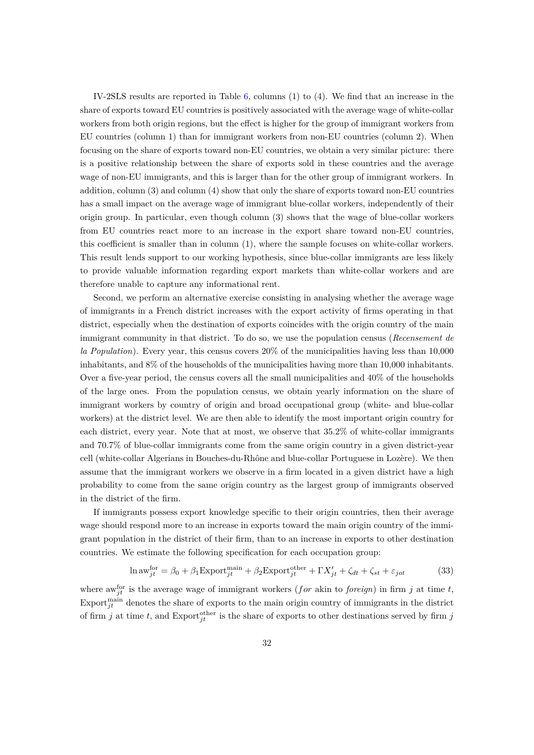IV-2SLS results are reported in Table [6,](#page-32-0) columns (1) to (4). We find that an increase in the share of exports toward EU countries is positively associated with the average wage of white-collar workers from both origin regions, but the effect is higher for the group of immigrant workers from EU countries (column 1) than for immigrant workers from non-EU countries (column 2). When focusing on the share of exports toward non-EU countries, we obtain a very similar picture: there is a positive relationship between the share of exports sold in these countries and the average wage of non-EU immigrants, and this is larger than for the other group of immigrant workers. In addition, column (3) and column (4) show that only the share of exports toward non-EU countries has a small impact on the average wage of immigrant blue-collar workers, independently of their origin group. In particular, even though column (3) shows that the wage of blue-collar workers from EU countries react more to an increase in the export share toward non-EU countries, this coefficient is smaller than in column (1), where the sample focuses on white-collar workers. This result lends support to our working hypothesis, since blue-collar immigrants are less likely to provide valuable information regarding export markets than white-collar workers and are therefore unable to capture any informational rent.

Second, we perform an alternative exercise consisting in analysing whether the average wage of immigrants in a French district increases with the export activity of firms operating in that district, especially when the destination of exports coincides with the origin country of the main immigrant community in that district. To do so, we use the population census (*Recensement de la Population*). Every year, this census covers 20% of the municipalities having less than 10,000 inhabitants, and 8% of the households of the municipalities having more than 10,000 inhabitants. Over a five-year period, the census covers all the small municipalities and  $40\%$  of the households of the large ones. From the population census, we obtain yearly information on the share of immigrant workers by country of origin and broad occupational group (white- and blue-collar workers) at the district level. We are then able to identify the most important origin country for each district, every year. Note that at most, we observe that 35.2% of white-collar immigrants and 70.7% of blue-collar immigrants come from the same origin country in a given district-year cell (white-collar Algerians in Bouches-du-Rhône and blue-collar Portuguese in Lozère). We then assume that the immigrant workers we observe in a firm located in a given district have a high probability to come from the same origin country as the largest group of immigrants observed in the district of the firm.

If immigrants possess export knowledge specific to their origin countries, then their average wage should respond more to an increase in exports toward the main origin country of the immigrant population in the district of their firm, than to an increase in exports to other destination countries. We estimate the following specification for each occupation group:

$$
\ln \text{aw}^{\text{for}}_{jt} = \beta_0 + \beta_1 \text{Export}^{\text{main}}_{jt} + \beta_2 \text{Export}^{\text{other}}_{jt} + \Gamma X'_{jt} + \zeta_{dt} + \zeta_{st} + \varepsilon_{jot} \tag{33}
$$

where aw<sup>for</sup> is the average wage of immigrant workers (*for* akin to *foreign*) in firm *j* at time *t*, Export<sup>main</sup> denotes the share of exports to the main origin country of immigrants in the district of firm *j* at time *t*, and Export<sup>other</sup> is the share of exports to other destinations served by firm *j*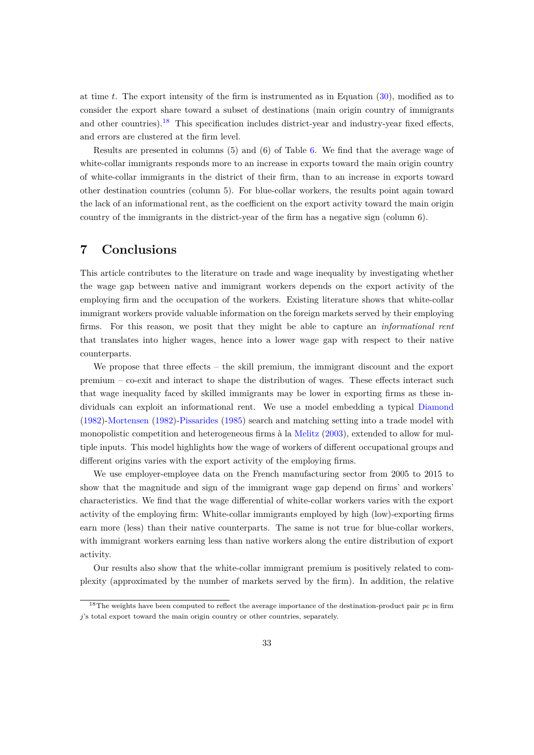at time *t*. The export intensity of the firm is instrumented as in Equation [\(30](#page-18-0)), modified as to consider the export share toward a subset of destinations (main origin country of immigrants and other countries). $^{18}$  This specification includes district-year and industry-year fixed effects, and errors are clustered at the firm level.

Results are presented in columns (5) and (6) of Table [6.](#page-32-0) We find that the average wage of white-collar immigrants responds more to an increase in exports toward the main origin country of white-collar immigrants in the district of their firm, than to an increase in exports toward other destination countries (column 5). For blue-collar workers, the results point again toward the lack of an informational rent, as the coefficient on the export activity toward the main origin country of the immigrants in the district-year of the firm has a negative sign (column 6).

### **7 Conclusions**

This article contributes to the literature on trade and wage inequality by investigating whether the wage gap between native and immigrant workers depends on the export activity of the employing firm and the occupation of the workers. Existing literature shows that white-collar immigrant workers provide valuable information on the foreign markets served by their employing firms. For this reason, we posit that they might be able to capture an *informational rent* that translates into higher wages, hence into a lower wage gap with respect to their native counterparts.

We propose that three effects – the skill premium, the immigrant discount and the export premium – co-exit and interact to shape the distribution of wages. These effects interact such that wage inequality faced by skilled immigrants may be lower in exporting firms as these individuals can exploit an informational rent. We use a model embedding a typical [Diamond](#page-36-7) [\(1982](#page-36-7))[-Mortensen](#page-37-2) [\(1982](#page-37-2))[-Pissarides](#page-37-3) [\(1985](#page-37-3)) search and matching setting into a trade model with monopolistic competition and heterogeneous firms à la [Melitz](#page-36-8) ([2003\)](#page-36-8), extended to allow for multiple inputs. This model highlights how the wage of workers of different occupational groups and different origins varies with the export activity of the employing firms.

We use employer-employee data on the French manufacturing sector from 2005 to 2015 to show that the magnitude and sign of the immigrant wage gap depend on firms' and workers' characteristics. We find that the wage differential of white-collar workers varies with the export activity of the employing firm: White-collar immigrants employed by high (low)-exporting firms earn more (less) than their native counterparts. The same is not true for blue-collar workers, with immigrant workers earning less than native workers along the entire distribution of export activity.

Our results also show that the white-collar immigrant premium is positively related to complexity (approximated by the number of markets served by the firm). In addition, the relative

<sup>18</sup>The weights have been computed to reflect the average importance of the destination-product pair *pc* in firm *j*'s total export toward the main origin country or other countries, separately.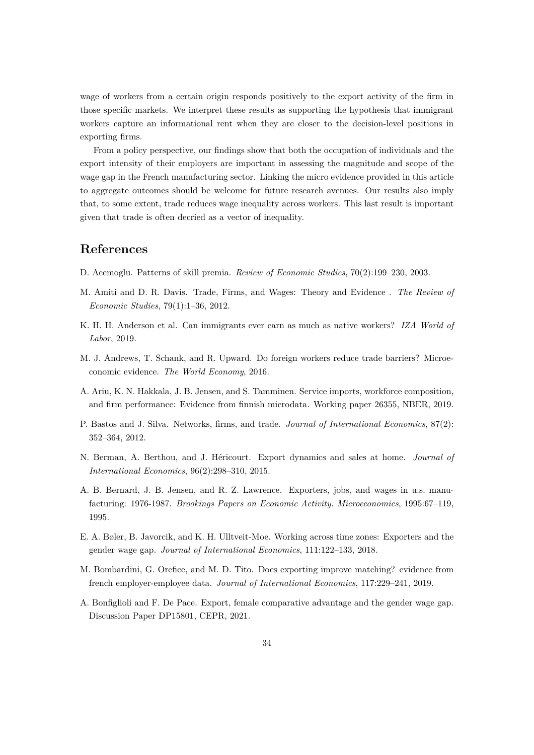wage of workers from a certain origin responds positively to the export activity of the firm in those specific markets. We interpret these results as supporting the hypothesis that immigrant workers capture an informational rent when they are closer to the decision-level positions in exporting firms.

From a policy perspective, our findings show that both the occupation of individuals and the export intensity of their employers are important in assessing the magnitude and scope of the wage gap in the French manufacturing sector. Linking the micro evidence provided in this article to aggregate outcomes should be welcome for future research avenues. Our results also imply that, to some extent, trade reduces wage inequality across workers. This last result is important given that trade is often decried as a vector of inequality.

### **References**

- <span id="page-35-6"></span>D. Acemoglu. Patterns of skill premia. *Review of Economic Studies*, 70(2):199–230, 2003.
- <span id="page-35-5"></span>M. Amiti and D. R. Davis. Trade, Firms, and Wages: Theory and Evidence . *The Review of Economic Studies*, 79(1):1–36, 2012.
- <span id="page-35-0"></span>K. H. H. Anderson et al. Can immigrants ever earn as much as native workers? *IZA World of Labor*, 2019.
- <span id="page-35-2"></span>M. J. Andrews, T. Schank, and R. Upward. Do foreign workers reduce trade barriers? Microeconomic evidence. *The World Economy*, 2016.
- <span id="page-35-4"></span>A. Ariu, K. N. Hakkala, J. B. Jensen, and S. Tamminen. Service imports, workforce composition, and firm performance: Evidence from finnish microdata. Working paper 26355, NBER, 2019.
- <span id="page-35-3"></span>P. Bastos and J. Silva. Networks, firms, and trade. *Journal of International Economics*, 87(2): 352–364, 2012.
- <span id="page-35-9"></span>N. Berman, A. Berthou, and J. Héricourt. Export dynamics and sales at home. *Journal of International Economics*, 96(2):298–310, 2015.
- <span id="page-35-1"></span>A. B. Bernard, J. B. Jensen, and R. Z. Lawrence. Exporters, jobs, and wages in u.s. manufacturing: 1976-1987. *Brookings Papers on Economic Activity. Microeconomics*, 1995:67–119, 1995.
- <span id="page-35-7"></span>E. A. Bøler, B. Javorcik, and K. H. Ulltveit-Moe. Working across time zones: Exporters and the gender wage gap. *Journal of International Economics*, 111:122–133, 2018.
- <span id="page-35-10"></span>M. Bombardini, G. Orefice, and M. D. Tito. Does exporting improve matching? evidence from french employer-employee data. *Journal of International Economics*, 117:229–241, 2019.
- <span id="page-35-8"></span>A. Bonfiglioli and F. De Pace. Export, female comparative advantage and the gender wage gap. Discussion Paper DP15801, CEPR, 2021.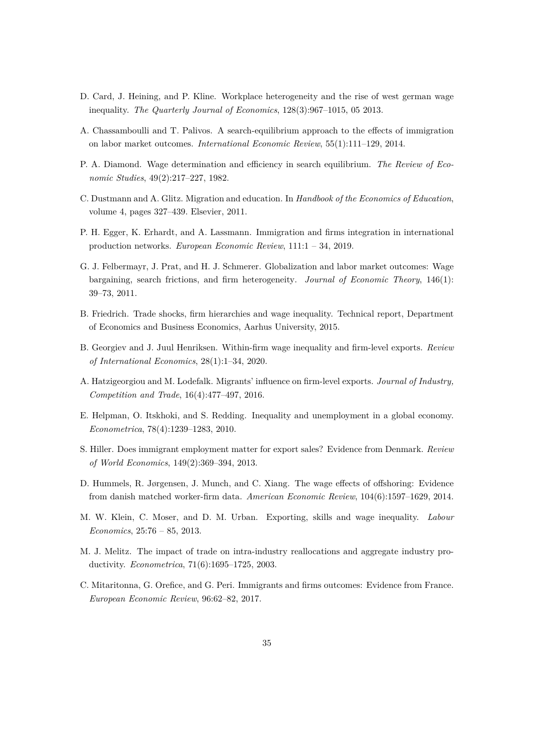- <span id="page-36-14"></span>D. Card, J. Heining, and P. Kline. Workplace heterogeneity and the rise of west german wage inequality. *The Quarterly Journal of Economics*, 128(3):967–1015, 05 2013.
- <span id="page-36-9"></span>A. Chassamboulli and T. Palivos. A search-equilibrium approach to the effects of immigration on labor market outcomes. *International Economic Review*, 55(1):111–129, 2014.
- <span id="page-36-7"></span>P. A. Diamond. Wage determination and efficiency in search equilibrium. *The Review of Economic Studies*, 49(2):217–227, 1982.
- <span id="page-36-0"></span>C. Dustmann and A. Glitz. Migration and education. In *Handbook of the Economics of Education*, volume 4, pages 327–439. Elsevier, 2011.
- <span id="page-36-6"></span>P. H. Egger, K. Erhardt, and A. Lassmann. Immigration and firms integration in international production networks. *European Economic Review*, 111:1 – 34, 2019.
- <span id="page-36-11"></span>G. J. Felbermayr, J. Prat, and H. J. Schmerer. Globalization and labor market outcomes: Wage bargaining, search frictions, and firm heterogeneity. *Journal of Economic Theory*, 146(1): 39–73, 2011.
- <span id="page-36-2"></span>B. Friedrich. Trade shocks, firm hierarchies and wage inequality. Technical report, Department of Economics and Business Economics, Aarhus University, 2015.
- <span id="page-36-3"></span>B. Georgiev and J. Juul Henriksen. Within-firm wage inequality and firm-level exports. *Review of International Economics*, 28(1):1–34, 2020.
- <span id="page-36-5"></span>A. Hatzigeorgiou and M. Lodefalk. Migrants' influence on firm-level exports. *Journal of Industry, Competition and Trade*, 16(4):477–497, 2016.
- <span id="page-36-10"></span>E. Helpman, O. Itskhoki, and S. Redding. Inequality and unemployment in a global economy. *Econometrica*, 78(4):1239–1283, 2010.
- <span id="page-36-4"></span>S. Hiller. Does immigrant employment matter for export sales? Evidence from Denmark. *Review of World Economics*, 149(2):369–394, 2013.
- <span id="page-36-12"></span>D. Hummels, R. Jørgensen, J. Munch, and C. Xiang. The wage effects of offshoring: Evidence from danish matched worker-firm data. *American Economic Review*, 104(6):1597–1629, 2014.
- <span id="page-36-1"></span>M. W. Klein, C. Moser, and D. M. Urban. Exporting, skills and wage inequality. *Labour Economics*, 25:76 – 85, 2013.
- <span id="page-36-8"></span>M. J. Melitz. The impact of trade on intra-industry reallocations and aggregate industry productivity. *Econometrica*, 71(6):1695–1725, 2003.
- <span id="page-36-13"></span>C. Mitaritonna, G. Orefice, and G. Peri. Immigrants and firms outcomes: Evidence from France. *European Economic Review*, 96:62–82, 2017.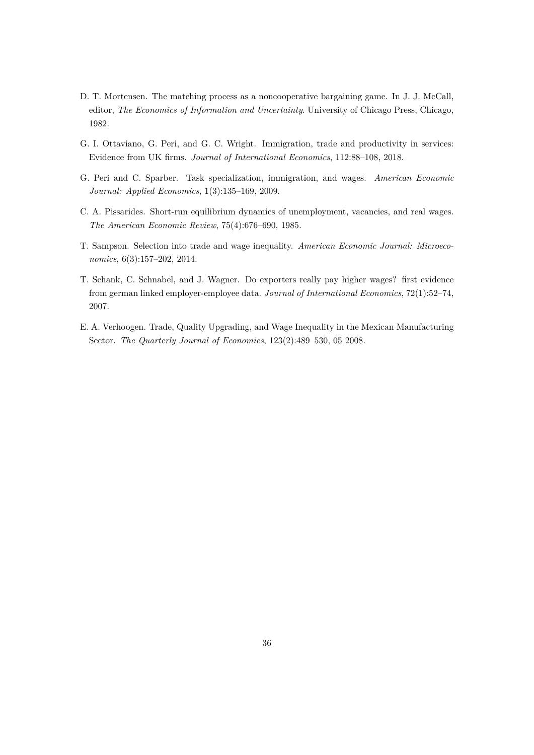- <span id="page-37-2"></span>D. T. Mortensen. The matching process as a noncooperative bargaining game. In J. J. McCall, editor, *The Economics of Information and Uncertainty*. University of Chicago Press, Chicago, 1982.
- <span id="page-37-1"></span>G. I. Ottaviano, G. Peri, and G. C. Wright. Immigration, trade and productivity in services: Evidence from UK firms. *Journal of International Economics*, 112:88–108, 2018.
- <span id="page-37-6"></span>G. Peri and C. Sparber. Task specialization, immigration, and wages. *American Economic Journal: Applied Economics*, 1(3):135–169, 2009.
- <span id="page-37-3"></span>C. A. Pissarides. Short-run equilibrium dynamics of unemployment, vacancies, and real wages. *The American Economic Review*, 75(4):676–690, 1985.
- <span id="page-37-4"></span>T. Sampson. Selection into trade and wage inequality. *American Economic Journal: Microeconomics*, 6(3):157–202, 2014.
- <span id="page-37-0"></span>T. Schank, C. Schnabel, and J. Wagner. Do exporters really pay higher wages? first evidence from german linked employer-employee data. *Journal of International Economics*, 72(1):52–74, 2007.
- <span id="page-37-5"></span>E. A. Verhoogen. Trade, Quality Upgrading, and Wage Inequality in the Mexican Manufacturing Sector. *The Quarterly Journal of Economics*, 123(2):489–530, 05 2008.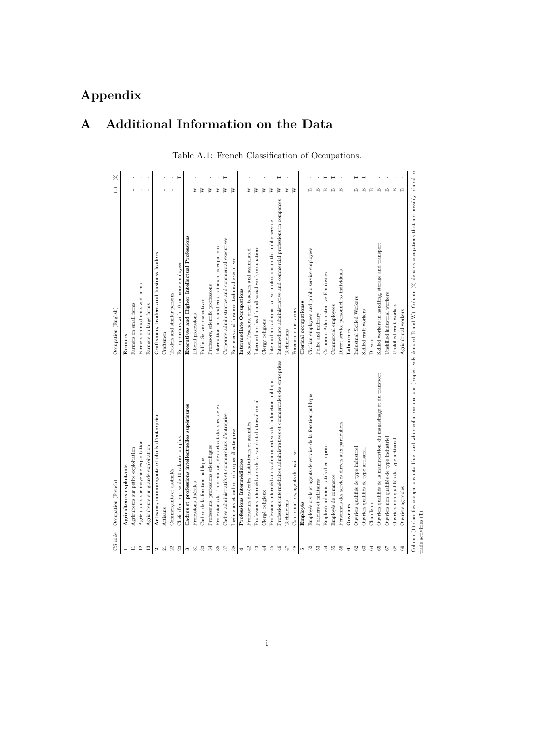# **Appendix**

# <span id="page-38-0"></span>**A Additional Information on the Data**

Table A.1: French Classification of Occupations.

<span id="page-38-1"></span>

| CS code                 | Occupation (French)                                                                                                                                                   | Occupation (English)                                                | $\widehat{E}$            | $\widehat{c}$ |
|-------------------------|-----------------------------------------------------------------------------------------------------------------------------------------------------------------------|---------------------------------------------------------------------|--------------------------|---------------|
|                         |                                                                                                                                                                       |                                                                     |                          |               |
|                         | Agriculteurs exploitants                                                                                                                                              | Farmers                                                             |                          |               |
| $\equiv$                | Agriculteurs sur petite exploitation                                                                                                                                  | Farmers on small farms                                              |                          |               |
| $\overline{12}$         | Agriculteurs sur moyenne exploitation                                                                                                                                 | Farmers on medium-sized farms                                       |                          |               |
| $\mathbf{r}$            | Agriculteurs sur grande exploitation                                                                                                                                  | Farmers on large farms                                              |                          | $\mathbf{r}$  |
| $\mathbf{c}$            | Artisans, commergants et chefs d'entreprise                                                                                                                           | Craftsmen, traders and business leaders                             |                          |               |
| $\overline{\mathbf{z}}$ | Artisans                                                                                                                                                              | Craftsmen                                                           |                          | $\mathbf{r}$  |
| 22                      | Commerçants et assimilés                                                                                                                                              | Traders and similar persons                                         |                          | $\mathbf{r}$  |
| 23                      | Chefs d'entreprise de 10 salariés ou plus                                                                                                                             | Entrepreneurs with 10 or more employees                             |                          | $\vdash$      |
|                         | Cadres et professions intellectuelles supérieures                                                                                                                     | Executives and Higher Intellectual Professions                      |                          |               |
| ಣ ನ                     | Professions libérales                                                                                                                                                 | Liberal professions                                                 | ≳                        |               |
| 33                      | Cadres de la fonction publique                                                                                                                                        | Public Service executives                                           | ≳                        |               |
| $\approx$               | Professeurs, professions scientifiques                                                                                                                                | Professors, scientific professions                                  | ≽                        |               |
| 33                      | Professions de l'information, des arts et des spectacles                                                                                                              | Information, arts and entertainment occupations                     | ≥                        |               |
| 75                      | Cadres administratifs et commerciaux d'entreprise                                                                                                                     | Corporate administrative and commercial executives                  | ≥                        |               |
| 38                      | Ingénieurs et cadres techniques d'entreprise                                                                                                                          | Engineers and business technical executives                         | ≥                        |               |
| ₹                       | Professions Intermédiaires                                                                                                                                            | Intermediate Occupations                                            |                          |               |
| ₽                       | Professeurs des écoles, instituteurs et assimilés                                                                                                                     | School Teachers, other teachers and assimilated                     | ≽                        |               |
| $\ddot{a}$              | Professions intermédiaires de la santé et du travail social                                                                                                           | Intermediate health and social work occupations                     | ≳                        |               |
| #                       | Clergé, religieux                                                                                                                                                     | Clergy, religious                                                   | ≽                        |               |
| 45                      | Professions intermédiaires administratives de la fonction publique                                                                                                    | Intermediate administrative professions in the public service       | ≥                        |               |
| $\frac{4}{6}$           | Professions intermédiaires administratives et commerciales des entreprises                                                                                            | Intermediate administrative and commercial professions in companies | ≽                        |               |
| Ĥ                       | Techniciens                                                                                                                                                           | Technicians                                                         | ≥                        |               |
| $\frac{8}{2}$           | Contremaîtres, agents de maîtrise                                                                                                                                     | Foremen, supervisors                                                | ₿                        |               |
| ı0                      | Employés                                                                                                                                                              | Clerical occupationss                                               |                          |               |
| S2                      | Employés civils et agents de service de la fonction publique                                                                                                          | Civilian employees and public service employees                     | $\infty$                 |               |
| B                       | Policiers et militaires                                                                                                                                               | Police and military                                                 | $\mathbf{r}$             |               |
| 2                       | Employés administratifs d'entreprise                                                                                                                                  | Corporate Administrative Employees                                  | $\mathbf{r}$             |               |
| 铝                       | Employés de commerce                                                                                                                                                  | Commercial employees                                                | $\mathbf{m}$             | е             |
| S                       | Personnels des services directs aux particuliers                                                                                                                      | Direct service personnel to individuals                             | $\mathbf{r}$             |               |
| $\circ$                 | Ouvriers                                                                                                                                                              | Labourers                                                           |                          |               |
| 2                       | Ouvriers qualifiés de type industriel                                                                                                                                 | Industrial Skilled Workers                                          | m                        |               |
| 3                       | Ouvriers qualifiés de type artisanal                                                                                                                                  | Skilled craft workers                                               | $\mathbf{m}$             |               |
| 34                      | Chauffeurs                                                                                                                                                            | Drivers                                                             | $\mathbf{\Omega}$        |               |
| ఆ                       | Ouvriers qualifiés de la manutention, du magasinage et du transport                                                                                                   | Skilled workers in handling, storage and transport                  | $\mathbf{m}$             |               |
| 57                      | Ouvriers non qualifiés de type industriel                                                                                                                             | Unskilled industrial workers                                        | $\mathbf{m}$             |               |
| $8^{\circ}$             | Ouvriers non qualifiés de type artisanal                                                                                                                              | Unskilled craft workers                                             | $\mathbf{\underline{m}}$ |               |
| 8                       | Ouvriers agricoles                                                                                                                                                    | Agricultural workers                                                |                          |               |
| trade activities (T)    | Column (1) classifies occupations into blue- and white-collar occupations (respectively denoted B and W). Column (2) denotes occupations that are possibly related to |                                                                     |                          |               |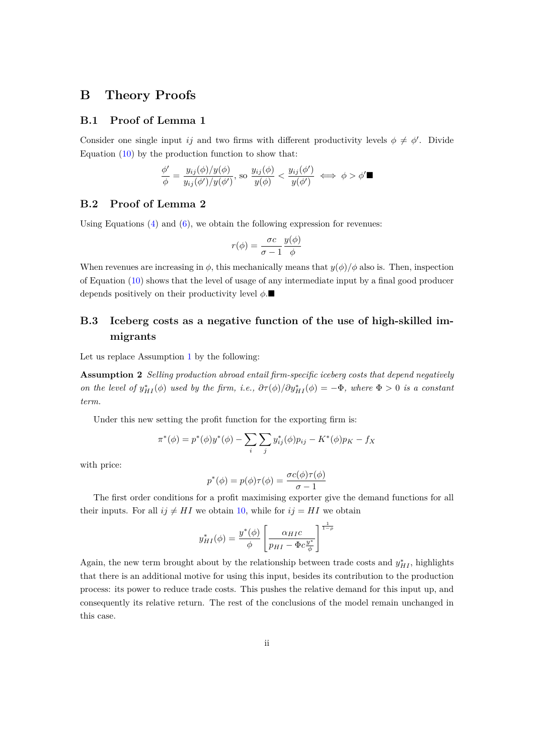### <span id="page-39-0"></span>**B Theory Proofs**

#### **B.1 Proof of Lemma 1**

Consider one single input *ij* and two firms with different productivity levels  $\phi \neq \phi'$ . Divide Equation  $(10)$  $(10)$  by the production function to show that:

$$
\frac{\phi'}{\phi} = \frac{y_{ij}(\phi)/y(\phi)}{y_{ij}(\phi')/y(\phi')}, \text{ so } \frac{y_{ij}(\phi)}{y(\phi)} < \frac{y_{ij}(\phi')}{y(\phi')} \iff \phi > \phi' \blacksquare
$$

#### **B.2 Proof of Lemma 2**

Using Equations  $(4)$  $(4)$  and  $(6)$  $(6)$ , we obtain the following expression for revenues:

$$
r(\phi) = \frac{\sigma c}{\sigma - 1} \frac{y(\phi)}{\phi}
$$

When revenues are increasing in  $\phi$ , this mechanically means that  $y(\phi)/\phi$  also is. Then, inspection of Equation ([10\)](#page-12-0) shows that the level of usage of any intermediate input by a final good producer depends positively on their productivity level *ϕ*.■

### **B.3 Iceberg costs as a negative function of the use of high-skilled immigrants**

Let us replace Assumption [1](#page-13-2) by the following:

**Assumption 2** *Selling production abroad entail firm-specific iceberg costs that depend negatively on the level of*  $y_{HI}^*(\phi)$  *used by the firm, i.e.,*  $\partial \tau(\phi)/\partial y_{HI}^*(\phi) = -\Phi$ *, where*  $\Phi > 0$  *is a constant term.*

Under this new setting the profit function for the exporting firm is:

$$
\pi^*(\phi) = p^*(\phi)y^*(\phi) - \sum_i \sum_j y^*_{ij}(\phi)p_{ij} - K^*(\phi)p_K - f_X
$$

with price:

$$
p^*(\phi) = p(\phi)\tau(\phi) = \frac{\sigma c(\phi)\tau(\phi)}{\sigma - 1}
$$

The first order conditions for a profit maximising exporter give the demand functions for all their inputs. For all  $ij \neq HI$  we obtain [10,](#page-12-0) while for  $ij = HI$  we obtain

$$
y_{HI}^*(\phi) = \frac{y^*(\phi)}{\phi} \left[ \frac{\alpha_{HI}c}{p_{HI} - \Phi c \frac{y^*}{\phi}} \right]^{\frac{1}{1-\rho}}
$$

Again, the new term brought about by the relationship between trade costs and  $y_{HI}^*$ , highlights that there is an additional motive for using this input, besides its contribution to the production process: its power to reduce trade costs. This pushes the relative demand for this input up, and consequently its relative return. The rest of the conclusions of the model remain unchanged in this case.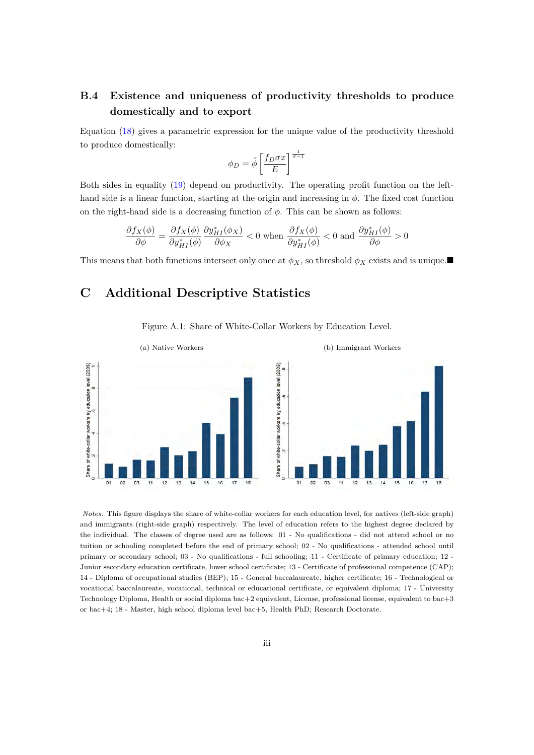### **B.4 Existence and uniqueness of productivity thresholds to produce domestically and to export**

Equation ([18\)](#page-14-0) gives a parametric expression for the unique value of the productivity threshold to produce domestically:

$$
\phi_D = \tilde{\phi} \left[ \frac{f_D \sigma x}{E} \right]^{\frac{1}{\sigma - 1}}
$$

Both sides in equality ([19\)](#page-14-1) depend on productivity. The operating profit function on the lefthand side is a linear function, starting at the origin and increasing in *ϕ*. The fixed cost function on the right-hand side is a decreasing function of *ϕ*. This can be shown as follows:

$$
\frac{\partial f_X(\phi)}{\partial \phi} = \frac{\partial f_X(\phi)}{\partial y_{HI}^*(\phi)} \frac{\partial y_{HI}^*(\phi_X)}{\partial \phi_X} < 0 \text{ when } \frac{\partial f_X(\phi)}{\partial y_{HI}^*(\phi)} < 0 \text{ and } \frac{\partial y_{HI}^*(\phi)}{\partial \phi} > 0
$$

This means that both functions intersect only once at  $\phi_X$ , so threshold  $\phi_X$  exists and is unique.■

### <span id="page-40-1"></span>**C Additional Descriptive Statistics**

<span id="page-40-0"></span>

Figure A.1: Share of White-Collar Workers by Education Level.

*Notes:* This figure displays the share of white-collar workers for each education level, for natives (left-side graph) and immigrants (right-side graph) respectively. The level of education refers to the highest degree declared by the individual. The classes of degree used are as follows: 01 - No qualifications - did not attend school or no tuition or schooling completed before the end of primary school; 02 - No qualifications - attended school until primary or secondary school; 03 - No qualifications - full schooling; 11 - Certificate of primary education; 12 - Junior secondary education certificate, lower school certificate; 13 - Certificate of professional competence (CAP); 14 - Diploma of occupational studies (BEP); 15 - General baccalaureate, higher certificate; 16 - Technological or vocational baccalaureate, vocational, technical or educational certificate, or equivalent diploma; 17 - University Technology Diploma, Health or social diploma bac+2 equivalent, License, professional license, equivalent to bac+3 or bac+4; 18 - Master, high school diploma level bac+5, Health PhD; Research Doctorate.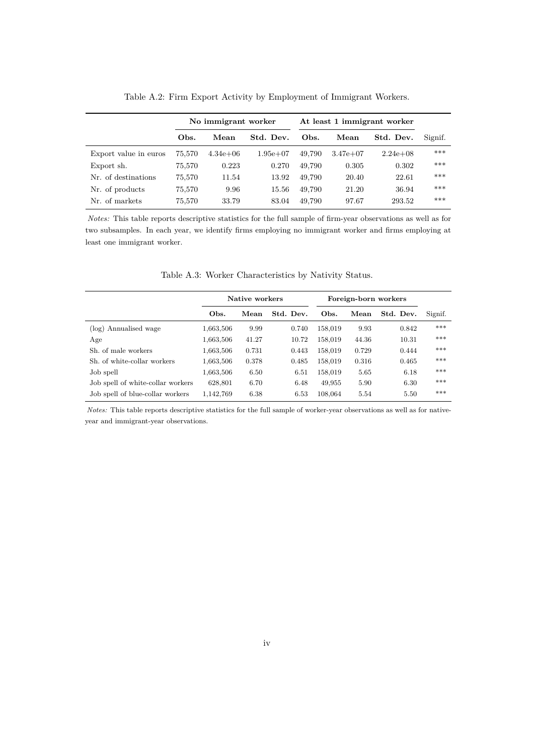<span id="page-41-0"></span>

|                       | No immigrant worker |              |            |        | At least 1 immigrant worker |             |         |  |
|-----------------------|---------------------|--------------|------------|--------|-----------------------------|-------------|---------|--|
|                       | Obs.                | Mean         | Std. Dev.  | Obs.   | Mean                        | Std. Dev.   | Signif. |  |
| Export value in euros | 75.570              | $4.34e + 06$ | $1.95e+07$ | 49.790 | $3.47e+07$                  | $2.24e+0.8$ | $***$   |  |
| Export sh.            | 75,570              | 0.223        | 0.270      | 49.790 | 0.305                       | 0.302       | ***     |  |
| Nr. of destinations   | 75,570              | 11.54        | 13.92      | 49.790 | 20.40                       | 22.61       | $***$   |  |
| Nr. of products       | 75,570              | 9.96         | 15.56      | 49.790 | 21.20                       | 36.94       | $***$   |  |
| Nr. of markets        | 75,570              | 33.79        | 83.04      | 49.790 | 97.67                       | 293.52      | ***     |  |

Table A.2: Firm Export Activity by Employment of Immigrant Workers.

*Notes:* This table reports descriptive statistics for the full sample of firm-year observations as well as for two subsamples. In each year, we identify firms employing no immigrant worker and firms employing at least one immigrant worker.

<span id="page-41-1"></span>

|                                   | Native workers |       |           | Foreign-born workers |       |           |         |
|-----------------------------------|----------------|-------|-----------|----------------------|-------|-----------|---------|
|                                   | Obs.           | Mean  | Std. Dev. | Obs.                 | Mean  | Std. Dev. | Signif. |
| (log) Annualised wage             | 1,663,506      | 9.99  | 0.740     | 158,019              | 9.93  | 0.842     | ***     |
| Age                               | 1,663,506      | 41.27 | 10.72     | 158,019              | 44.36 | 10.31     | ***     |
| Sh. of male workers               | 1,663,506      | 0.731 | 0.443     | 158,019              | 0.729 | 0.444     | ***     |
| Sh. of white-collar workers       | 1,663,506      | 0.378 | 0.485     | 158,019              | 0.316 | 0.465     | ***     |
| Job spell                         | 1,663,506      | 6.50  | 6.51      | 158,019              | 5.65  | 6.18      | ***     |
| Job spell of white-collar workers | 628,801        | 6.70  | 6.48      | 49,955               | 5.90  | 6.30      | ***     |
| Job spell of blue-collar workers  | 1,142,769      | 6.38  | 6.53      | 108,064              | 5.54  | 5.50      | ***     |

Table A.3: Worker Characteristics by Nativity Status.

*Notes:* This table reports descriptive statistics for the full sample of worker-year observations as well as for nativeyear and immigrant-year observations.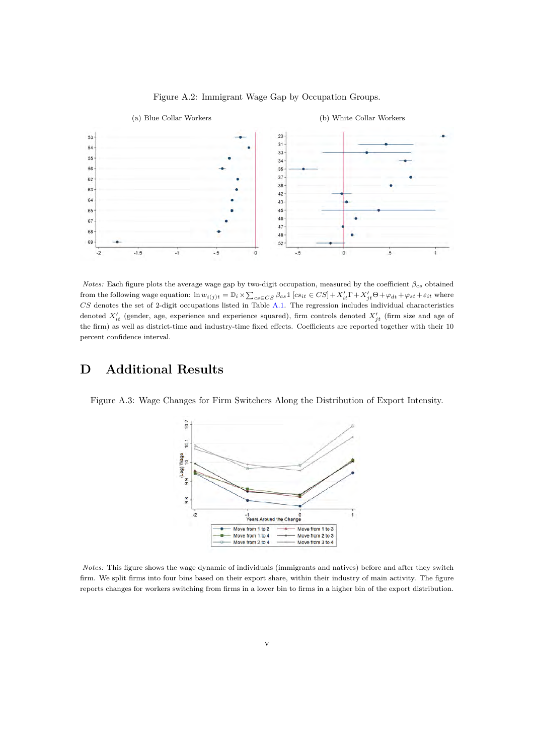<span id="page-42-0"></span>

Figure A.2: Immigrant Wage Gap by Occupation Groups.

*Notes:* Each figure plots the average wage gap by two-digit occupation, measured by the coefficient  $β<sub>cs</sub>$  obtained from the following wage equation:  $\ln w_{i(j)t} = D_i \times \sum_{cs \in CS} \beta_{cs} \mathbb{1} [cs_{it} \in CS] + X'_{it} \Gamma + X'_{jt} \Theta + \varphi_{dt} + \varphi_{st} + \varepsilon_{it}$  where *CS* denotes the set of 2-digit occupations listed in Table [A.1.](#page-38-1) The regression includes individual characteristics denoted *X′ it* (gender, age, experience and experience squared), firm controls denoted *X′ jt* (firm size and age of the firm) as well as district-time and industry-time fixed effects. Coefficients are reported together with their 10 percent confidence interval.

## <span id="page-42-2"></span>**D Additional Results**



<span id="page-42-1"></span>Figure A.3: Wage Changes for Firm Switchers Along the Distribution of Export Intensity.

*Notes:* This figure shows the wage dynamic of individuals (immigrants and natives) before and after they switch firm. We split firms into four bins based on their export share, within their industry of main activity. The figure reports changes for workers switching from firms in a lower bin to firms in a higher bin of the export distribution.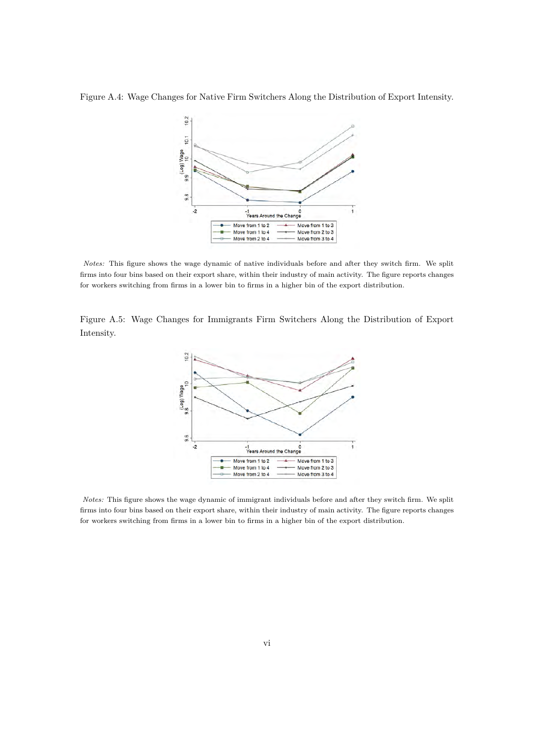<span id="page-43-0"></span>Figure A.4: Wage Changes for Native Firm Switchers Along the Distribution of Export Intensity.



*Notes:* This figure shows the wage dynamic of native individuals before and after they switch firm. We split firms into four bins based on their export share, within their industry of main activity. The figure reports changes for workers switching from firms in a lower bin to firms in a higher bin of the export distribution.

<span id="page-43-1"></span>Figure A.5: Wage Changes for Immigrants Firm Switchers Along the Distribution of Export Intensity.



*Notes:* This figure shows the wage dynamic of immigrant individuals before and after they switch firm. We split firms into four bins based on their export share, within their industry of main activity. The figure reports changes for workers switching from firms in a lower bin to firms in a higher bin of the export distribution.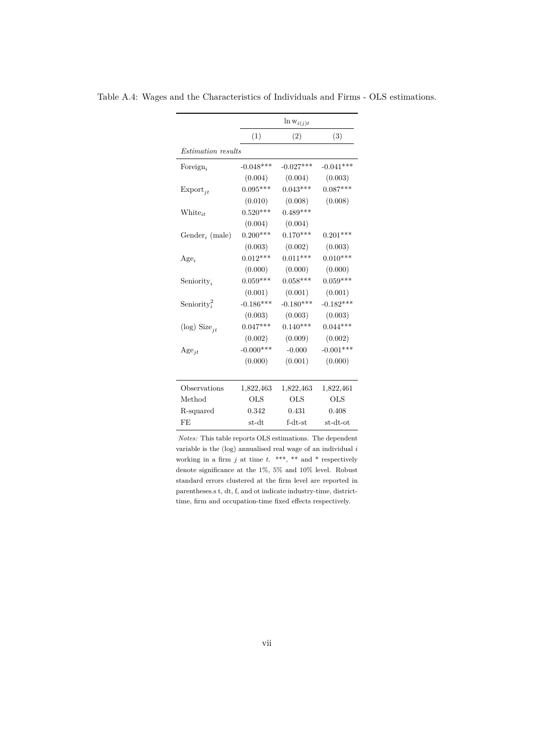|                            |             | $\ln w_{i(j)t}$ |              |
|----------------------------|-------------|-----------------|--------------|
|                            | (1)         | (2)             | (3)          |
| <i>Estimation results</i>  |             |                 |              |
| Foreign,                   | $-0.048***$ | $-0.027***$     | $-0.041***$  |
|                            | (0.004)     | (0.004)         | (0.003)      |
| $\mathrm{Export}_{it}$     | $0.095***$  | $0.043***$      | $0.087***$   |
|                            | (0.010)     | (0.008)         | (0.008)      |
| $White_{it}$               | $0.520***$  | $0.489***$      |              |
|                            | (0.004)     | (0.004)         |              |
| Gender <sub>i</sub> (male) | $0.200***$  | $0.170***$      | $0.201***$   |
|                            | (0.003)     | (0.002)         | (0.003)      |
| $Age_i$                    | $0.012***$  | $0.011***$      | $0.010***$   |
|                            | (0.000)     | (0.000)         | (0.000)      |
| Seniority <sub>i</sub>     | $0.059***$  | $0.058***$      | $0.059***$   |
|                            | (0.001)     | (0.001)         | (0.001)      |
| Seniority <sup>2</sup>     | $-0.186***$ | $-0.180***$     | $-0.182***$  |
|                            | (0.003)     | (0.003)         | (0.003)      |
| (log) $Size_{jt}$          | $0.047***$  | $0.140***$      | $0.044***$   |
|                            | (0.002)     | (0.009)         | (0.002)      |
| $Age_{jt}$                 | $-0.000***$ | $-0.000$        | $-0.001***$  |
|                            | (0.000)     | (0.001)         | (0.000)      |
|                            |             |                 |              |
| Observations               | 1,822,463   | 1,822,463       | 1,822,461    |
| Method                     | <b>OLS</b>  | <b>OLS</b>      | $_{\rm OLS}$ |
| R-squared                  | 0.342       | 0.431           | 0.408        |
| FE                         | st-dt       | $f-dt-st$       | st-dt-ot     |

<span id="page-44-0"></span>Table A.4: Wages and the Characteristics of Individuals and Firms - OLS estimations.

*Notes:* This table reports OLS estimations. The dependent variable is the (log) annualised real wage of an individual *i* working in a firm  $j$  at time  $t$ . \*\*\*, \*\* and \* respectively denote significance at the 1%, 5% and 10% level. Robust standard errors clustered at the firm level are reported in parentheses.s t, dt, f, and ot indicate industry-time, districttime, firm and occupation-time fixed effects respectively.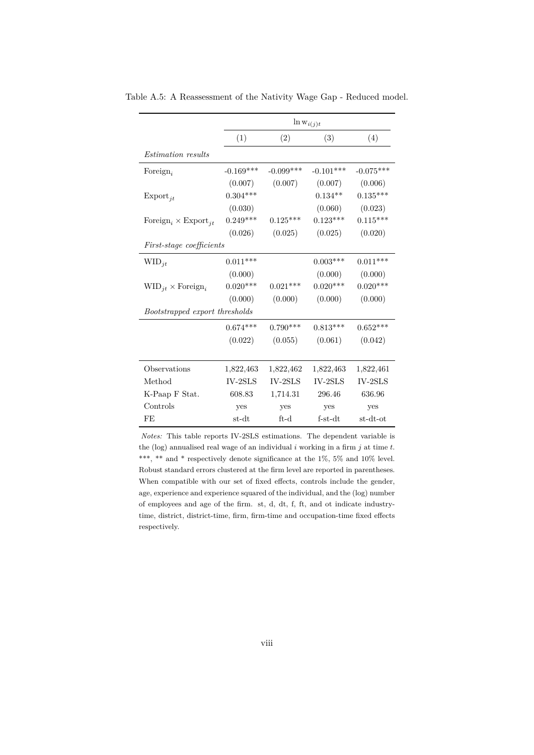|                                                    |             |             | $\ln w_{i(j)t}$ |             |
|----------------------------------------------------|-------------|-------------|-----------------|-------------|
|                                                    | (1)         | (2)         | (3)             | (4)         |
| <i>Estimation results</i>                          |             |             |                 |             |
| Foreign,                                           | $-0.169***$ | $-0.099***$ | $-0.101***$     | $-0.075***$ |
|                                                    | (0.007)     | (0.007)     | (0.007)         | (0.006)     |
| $\mathrm{Export}_{it}$                             | $0.304***$  |             | $0.134**$       | $0.135***$  |
|                                                    | (0.030)     |             | (0.060)         | (0.023)     |
| Foreign <sub>i</sub> $\times$ Export <sub>it</sub> | $0.249***$  | $0.125***$  | $0.123***$      | $0.115***$  |
|                                                    | (0.026)     | (0.025)     | (0.025)         | (0.020)     |
| First-stage coefficients                           |             |             |                 |             |
| $WID_{it}$                                         | $0.011***$  |             | $0.003***$      | $0.011***$  |
|                                                    | (0.000)     |             | (0.000)         | (0.000)     |
| $\text{WID}_{jt} \times \text{Foreign}_{i}$        | $0.020***$  | $0.021***$  | $0.020***$      | $0.020***$  |
|                                                    | (0.000)     | (0.000)     | (0.000)         | (0.000)     |
| Bootstrapped export thresholds                     |             |             |                 |             |
|                                                    | $0.674***$  | $0.790***$  | $0.813***$      | $0.652***$  |
|                                                    | (0.022)     | (0.055)     | (0.061)         | (0.042)     |
|                                                    |             |             |                 |             |
| Observations                                       | 1,822,463   | 1,822,462   | 1,822,463       | 1,822,461   |
| Method                                             | $IV-2SLS$   | $IV-2SLS$   | $IV-2SLS$       | $IV-2SLS$   |
| K-Paap F Stat.                                     | 608.83      | 1,714.31    | 296.46          | 636.96      |
| Controls                                           | yes         | yes         | yes             | yes         |
| FE                                                 | st-dt       | $ft-d$      | $f-<>st-dt$     | st-dt-ot    |

<span id="page-45-0"></span>Table A.5: A Reassessment of the Nativity Wage Gap - Reduced model.

*Notes:* This table reports IV-2SLS estimations. The dependent variable is the (log) annualised real wage of an individual *i* working in a firm *j* at time *t*. \*\*\*, \*\* and \* respectively denote significance at the 1%, 5% and 10% level. Robust standard errors clustered at the firm level are reported in parentheses. When compatible with our set of fixed effects, controls include the gender, age, experience and experience squared of the individual, and the (log) number of employees and age of the firm. st, d, dt, f, ft, and ot indicate industrytime, district, district-time, firm, firm-time and occupation-time fixed effects respectively.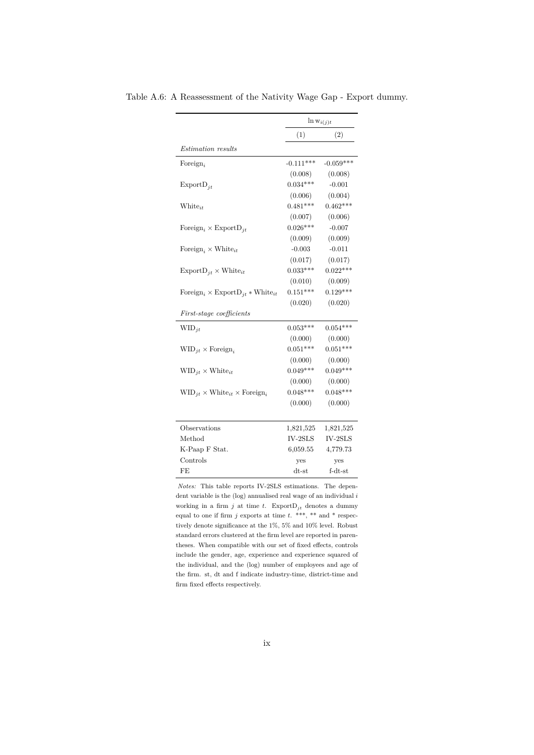|                                                                            | $\ln w_{i(j)t}$ |             |  |
|----------------------------------------------------------------------------|-----------------|-------------|--|
|                                                                            | (1)             | (2)         |  |
| Estimation results                                                         |                 |             |  |
| Foreign,                                                                   | $-0.111***$     | $-0.059***$ |  |
|                                                                            | (0.008)         | (0.008)     |  |
| $\mathrm{ExportD}_{jt}$                                                    | $0.034***$      | $-0.001$    |  |
|                                                                            | (0.006)         | (0.004)     |  |
| $White_{it}$                                                               | $0.481***$      | $0.462***$  |  |
|                                                                            | (0.007)         | (0.006)     |  |
| Foreign <sub>i</sub> $\times$ ExportD <sub>it</sub>                        | $0.026***$      | $-0.007$    |  |
|                                                                            | (0.009)         | (0.009)     |  |
| Foreign, $\times$ White <sub>it</sub>                                      | $-0.003$        | $-0.011$    |  |
|                                                                            | (0.017)         | (0.017)     |  |
| $\text{ExportD}_{it} \times \text{White}_{it}$                             | $0.033***$      | $0.022***$  |  |
|                                                                            | (0.010)         | (0.009)     |  |
| Foreign <sub>i</sub> $\times$ Export D <sub>jt</sub> * White <sub>it</sub> | $0.151***$      | $0.129***$  |  |
|                                                                            | (0.020)         | (0.020)     |  |
| First-stage coefficients                                                   |                 |             |  |
| $WID_{it}$                                                                 | $0.053***$      | $0.054***$  |  |
|                                                                            | (0.000)         | (0.000)     |  |
| $WID_{it} \times \text{Foreign}_{i}$                                       | $0.051***$      | $0.051***$  |  |
|                                                                            | (0.000)         | (0.000)     |  |
| $\text{WID}_{jt} \times \text{White}_{it}$                                 | $0.049***$      | $0.049***$  |  |
|                                                                            | (0.000)         | (0.000)     |  |
| $\text{WID}_{it} \times \text{White}_{it} \times \text{Foreign}_{i}$       | $0.048***$      | $0.048***$  |  |
|                                                                            | (0.000)         | (0.000)     |  |
| Observations                                                               | 1,821,525       | 1,821,525   |  |
| Method                                                                     | $IV-2SLS$       | $IV-2SLS$   |  |
| K-Paap F Stat.                                                             | 6,059.55        | 4,779.73    |  |
| Controls                                                                   | yes             | yes         |  |
| FE                                                                         | $dt$ -st        | $f-dt-st$   |  |

<span id="page-46-0"></span>Table A.6: A Reassessment of the Nativity Wage Gap - Export dummy.

*Notes:* This table reports IV-2SLS estimations. The dependent variable is the (log) annualised real wage of an individual *i* working in a firm  $j$  at time  $t$ . Export $D_{jt}$  denotes a dummy equal to one if firm  $j$  exports at time  $t$ . \*\*\*, \*\* and \* respectively denote significance at the 1%, 5% and 10% level. Robust standard errors clustered at the firm level are reported in parentheses. When compatible with our set of fixed effects, controls include the gender, age, experience and experience squared of the individual, and the (log) number of employees and age of the firm. st, dt and f indicate industry-time, district-time and firm fixed effects respectively.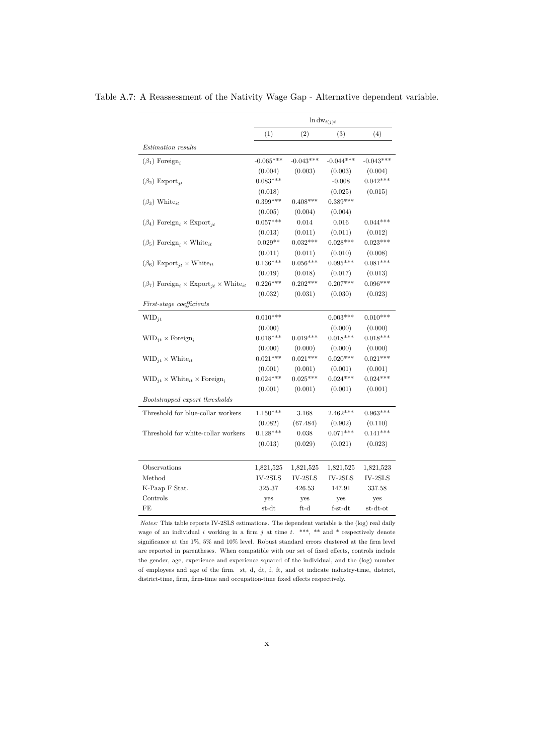|                                                                               | $\ln \mathrm{dw}_{i(j)t}$ |             |             |             |
|-------------------------------------------------------------------------------|---------------------------|-------------|-------------|-------------|
|                                                                               | (1)                       | (2)         | (3)         | (4)         |
| <i>Estimation results</i>                                                     |                           |             |             |             |
| $(\beta_1)$ Foreign <sub>i</sub>                                              | $-0.065***$               | $-0.043***$ | $-0.044***$ | $-0.043***$ |
|                                                                               | (0.004)                   | (0.003)     | (0.003)     | (0.004)     |
| $(\beta_2)$ Export <sub>it</sub>                                              | $0.083***$                |             | $-0.008$    | $0.042***$  |
|                                                                               | (0.018)                   |             | (0.025)     | (0.015)     |
| $(\beta_3)$ White <sub>it</sub>                                               | $0.399***$                | $0.408***$  | $0.389***$  |             |
|                                                                               | (0.005)                   | (0.004)     | (0.004)     |             |
| $(\beta_4)$ Foreign, $\times$ Export <sub>it</sub>                            | $0.057***$                | 0.014       | 0.016       | $0.044***$  |
|                                                                               | (0.013)                   | (0.011)     | (0.011)     | (0.012)     |
| $(\beta_5)$ Foreign, $\times$ White <sub>it</sub>                             | $0.029**$                 | $0.032***$  | $0.028***$  | $0.023***$  |
|                                                                               | (0.011)                   | (0.011)     | (0.010)     | (0.008)     |
| $(\beta_6)$ Export <sub>it</sub> × White <sub>it</sub>                        | $0.136***$                | $0.056***$  | $0.095***$  | $0.081***$  |
|                                                                               | (0.019)                   | (0.018)     | (0.017)     | (0.013)     |
| $(\beta_7)$ Foreign <sub>i</sub> × Export <sub>jt</sub> × White <sub>it</sub> | $0.226***$                | $0.202***$  | $0.207***$  | $0.096***$  |
|                                                                               | (0.032)                   | (0.031)     | (0.030)     | (0.023)     |
| <i>First-stage coefficients</i>                                               |                           |             |             |             |
| $WID_{it}$                                                                    | $0.010***$                |             | $0.003***$  | $0.010***$  |
|                                                                               | (0.000)                   |             | (0.000)     | (0.000)     |
| $WID_{it} \times Foreign_{it}$                                                | $0.018***$                | $0.019***$  | $0.018***$  | $0.018***$  |
|                                                                               | (0.000)                   | (0.000)     | (0.000)     | (0.000)     |
| $\text{WID}_{it} \times \text{White}_{it}$                                    | $0.021***$                | $0.021***$  | $0.020***$  | $0.021***$  |
|                                                                               | (0.001)                   | (0.001)     | (0.001)     | (0.001)     |
| $\text{WID}_{it} \times \text{White}_{it} \times \text{Foreign}_{i}$          | $0.024***$                | $0.025***$  | $0.024***$  | $0.024***$  |
|                                                                               | (0.001)                   | (0.001)     | (0.001)     | (0.001)     |
| Bootstrapped export thresholds                                                |                           |             |             |             |
| Threshold for blue-collar workers                                             | $1.150***$                | 3.168       | $2.462***$  | $0.963***$  |
|                                                                               | (0.082)                   | (67.484)    | (0.902)     | (0.110)     |
| Threshold for white-collar workers                                            | $0.128***$                | 0.038       | $0.071***$  | $0.141***$  |
|                                                                               | (0.013)                   | (0.029)     | (0.021)     | (0.023)     |
| Observations                                                                  | 1,821,525                 | 1,821,525   | 1,821,525   | 1,821,523   |
| Method                                                                        | $IV-2SLS$                 | $IV-2SLS$   | $IV-2SLS$   | $IV-2SLS$   |
| K-Paap F Stat.                                                                | 325.37                    | 426.53      | 147.91      | 337.58      |
| Controls                                                                      | yes                       | yes         | yes         | yes         |
| FE                                                                            | st-dt                     | $ft-d$      | $f-st-dt$   | st-dt-ot    |
|                                                                               |                           |             |             |             |

<span id="page-47-0"></span>Table A.7: A Reassessment of the Nativity Wage Gap - Alternative dependent variable.

*Notes:* This table reports IV-2SLS estimations. The dependent variable is the (log) real daily wage of an individual  $i$  working in a firm  $j$  at time  $t$ . \*\*\*, \*\* and \* respectively denote significance at the 1%, 5% and 10% level. Robust standard errors clustered at the firm level are reported in parentheses. When compatible with our set of fixed effects, controls include the gender, age, experience and experience squared of the individual, and the (log) number of employees and age of the firm. st, d, dt, f, ft, and ot indicate industry-time, district, district-time, firm, firm-time and occupation-time fixed effects respectively.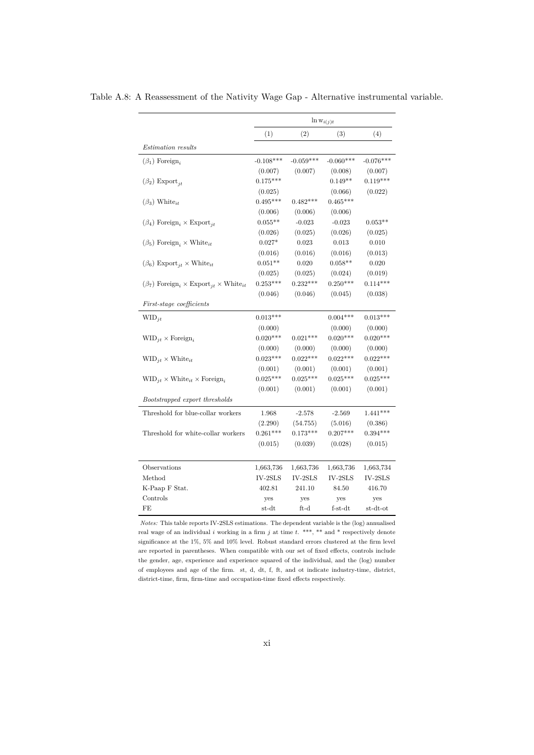|                                                                               | $\ln w_{i(j)t}$ |               |                          |                         |
|-------------------------------------------------------------------------------|-----------------|---------------|--------------------------|-------------------------|
|                                                                               | (1)             | (2)           | (3)                      | (4)                     |
| <i>Estimation results</i>                                                     |                 |               |                          |                         |
| $(\beta_1)$ Foreign <sub>i</sub>                                              | $-0.108***$     | $-0.059***$   | $-0.060***$              | $-0.076***$             |
|                                                                               | (0.007)         | (0.007)       | (0.008)                  | (0.007)                 |
| $(\beta_2)$ Export <sub>it</sub>                                              | $0.175***$      |               | $0.149**$                | $0.119***$              |
|                                                                               | (0.025)         |               | (0.066)                  | (0.022)                 |
| $(\beta_3)$ White <sub>it</sub>                                               | $0.495***$      | $0.482***$    | $0.465***$               |                         |
|                                                                               | (0.006)         | (0.006)       | (0.006)                  |                         |
| $(\beta_4)$ Foreign, $\times$ Export <sub>it</sub>                            | $0.055**$       | $-0.023$      | $-0.023$                 | $0.053**$               |
|                                                                               | (0.026)         | (0.025)       | (0.026)                  | (0.025)                 |
| $(\beta_5)$ Foreign, $\times$ White <sub>it</sub>                             | $0.027*$        | 0.023         | 0.013                    | 0.010                   |
|                                                                               | (0.016)         | (0.016)       | (0.016)                  | (0.013)                 |
| $(\beta_6)$ Export <sub>it</sub> × White <sub>it</sub>                        | $0.051**$       | 0.020         | $0.058**$                | 0.020                   |
|                                                                               | (0.025)         | (0.025)       | (0.024)                  | (0.019)                 |
| $(\beta_7)$ Foreign <sub>i</sub> × Export <sub>it</sub> × White <sub>it</sub> | $0.253***$      | $0.232***$    | $0.250***$               | $0.114***$              |
|                                                                               | (0.046)         | (0.046)       | (0.045)                  | (0.038)                 |
| First-stage coefficients                                                      |                 |               |                          |                         |
| $WID_{it}$                                                                    | $0.013***$      |               | $0.004***$               | $0.013***$              |
|                                                                               | (0.000)         |               | (0.000)                  | (0.000)                 |
| $\text{WID}_{it} \times \text{Foreign}_{i}$                                   | $0.020***$      | $0.021***$    | $0.020***$               | $0.020***$              |
|                                                                               | (0.000)         | (0.000)       | (0.000)                  | (0.000)                 |
| $\text{WID}_{it} \times \text{White}_{it}$                                    | $0.023***$      | $0.022***$    | $0.022***$               | $0.022***$              |
|                                                                               | (0.001)         | (0.001)       | (0.001)                  | (0.001)                 |
| $\text{WID}_{it} \times \text{White}_{it} \times \text{Foreign}_{i}$          | $0.025***$      | $0.025***$    | $0.025***$               | $0.025***$              |
|                                                                               | (0.001)         | (0.001)       | (0.001)                  | (0.001)                 |
| Bootstrapped export thresholds                                                |                 |               |                          |                         |
| Threshold for blue-collar workers                                             | 1.968           | $-2.578$      | $-2.569$                 | $1.441***$              |
|                                                                               | (2.290)         | (54.755)      | (5.016)                  | (0.386)                 |
| Threshold for white-collar workers                                            | $0.261***$      | $0.173***$    | $0.207***$               | $0.394***$              |
|                                                                               | (0.015)         | (0.039)       | (0.028)                  | (0.015)                 |
| Observations                                                                  | 1,663,736       | 1,663,736     | 1,663,736                | 1,663,734               |
| Method                                                                        | IV-2SLS         | IV-2SLS       | $\operatorname{IV-2SLS}$ | $\text{IV-}2\text{SLS}$ |
| K-Paap F Stat.                                                                | 402.81          | 241.10        | 84.50                    | 416.70                  |
| Controls                                                                      | yes             | yes           | yes                      | yes                     |
| FE                                                                            | st-dt           | $_{\rm ft-d}$ | $f-st-dt$                | $_{\rm st-dt-ot}$       |

<span id="page-48-0"></span>Table A.8: A Reassessment of the Nativity Wage Gap - Alternative instrumental variable.

*Notes:* This table reports IV-2SLS estimations. The dependent variable is the (log) annualised real wage of an individual  $i$  working in a firm  $j$  at time  $t$ . \*\*\*, \*\* and \* respectively denote significance at the 1%, 5% and 10% level. Robust standard errors clustered at the firm level are reported in parentheses. When compatible with our set of fixed effects, controls include the gender, age, experience and experience squared of the individual, and the (log) number of employees and age of the firm. st, d, dt, f, ft, and ot indicate industry-time, district, district-time, firm, firm-time and occupation-time fixed effects respectively.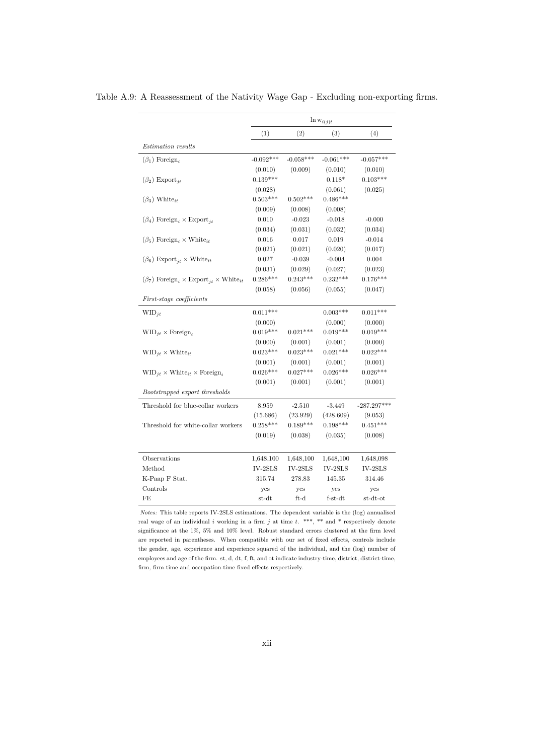|                                                                               | $\ln w_{i(j)t}$ |             |             |               |
|-------------------------------------------------------------------------------|-----------------|-------------|-------------|---------------|
|                                                                               | (1)             | (2)         | (3)         | (4)           |
| <i>Estimation results</i>                                                     |                 |             |             |               |
| $(\beta_1)$ Foreign,                                                          | $-0.092***$     | $-0.058***$ | $-0.061***$ | $-0.057***$   |
|                                                                               | (0.010)         | (0.009)     | (0.010)     | (0.010)       |
| $(\beta_2)$ Export <sub>it</sub>                                              | $0.139***$      |             | $0.118*$    | $0.103***$    |
|                                                                               | (0.028)         |             | (0.061)     | (0.025)       |
| $(\beta_3)$ White <sub>it</sub>                                               | $0.503***$      | $0.502***$  | $0.486***$  |               |
|                                                                               | (0.009)         | (0.008)     | (0.008)     |               |
| $(\beta_4)$ Foreign <sub>i</sub> × Export <sub>it</sub>                       | 0.010           | $-0.023$    | $-0.018$    | $-0.000$      |
|                                                                               | (0.034)         | (0.031)     | (0.032)     | (0.034)       |
| $(\beta_5)$ Foreign, $\times$ White <sub>it</sub>                             | 0.016           | 0.017       | 0.019       | $-0.014$      |
|                                                                               | (0.021)         | (0.021)     | (0.020)     | (0.017)       |
| $(\beta_6)$ Export <sub>it</sub> × White <sub>it</sub>                        | 0.027           | $-0.039$    | $-0.004$    | 0.004         |
|                                                                               | (0.031)         | (0.029)     | (0.027)     | (0.023)       |
| $(\beta_7)$ Foreign <sub>i</sub> × Export <sub>it</sub> × White <sub>it</sub> | $0.286***$      | $0.243***$  | $0.232***$  | $0.176***$    |
|                                                                               | (0.058)         | (0.056)     | (0.055)     | (0.047)       |
| <i>First-stage coefficients</i>                                               |                 |             |             |               |
| $WID_{it}$                                                                    | $0.011***$      |             | $0.003***$  | $0.011***$    |
|                                                                               | (0.000)         |             | (0.000)     | (0.000)       |
| $\text{WID}_{it} \times \text{Foreign}_{i}$                                   | $0.019***$      | $0.021***$  | $0.019***$  | $0.019***$    |
|                                                                               | (0.000)         | (0.001)     | (0.001)     | (0.000)       |
| $\text{WID}_{it} \times \text{White}_{it}$                                    | $0.023***$      | $0.023***$  | $0.021***$  | $0.022***$    |
|                                                                               | (0.001)         | (0.001)     | (0.001)     | (0.001)       |
| $\text{WID}_{it} \times \text{White}_{it} \times \text{Foreign}_{i}$          | $0.026***$      | $0.027***$  | $0.026***$  | $0.026***$    |
|                                                                               | (0.001)         | (0.001)     | (0.001)     | (0.001)       |
| Bootstrapped export thresholds                                                |                 |             |             |               |
| Threshold for blue-collar workers                                             | 8.959           | $-2.510$    | $-3.449$    | $-287.297***$ |
|                                                                               | (15.686)        | (23.929)    | (428.609)   | (9.053)       |
| Threshold for white-collar workers                                            | $0.258***$      | $0.189***$  | $0.198***$  | $0.451***$    |
|                                                                               | (0.019)         | (0.038)     | (0.035)     | (0.008)       |
| Observations                                                                  | 1,648,100       | 1,648,100   | 1,648,100   | 1,648,098     |
| Method                                                                        | $IV-2SLS$       | IV-2SLS     | $IV-2SLS$   | $IV-2SLS$     |
| K-Paap F Stat.                                                                | 315.74          | 278.83      | 145.35      | 314.46        |
| Controls                                                                      | yes             | yes         | yes         | ves           |
| FE                                                                            | $_{\rm st-dt}$  | $ft-d$      | $f-<$       | st-dt-ot      |

<span id="page-49-0"></span>Table A.9: A Reassessment of the Nativity Wage Gap - Excluding non-exporting firms.

*Notes:* This table reports IV-2SLS estimations. The dependent variable is the (log) annualised real wage of an individual *i* working in a firm *j* at time *t*. \*\*\*, \*\* and \* respectively denote significance at the 1%, 5% and 10% level. Robust standard errors clustered at the firm level are reported in parentheses. When compatible with our set of fixed effects, controls include the gender, age, experience and experience squared of the individual, and the (log) number of employees and age of the firm. st, d, dt, f, ft, and ot indicate industry-time, district, district-time, firm, firm-time and occupation-time fixed effects respectively.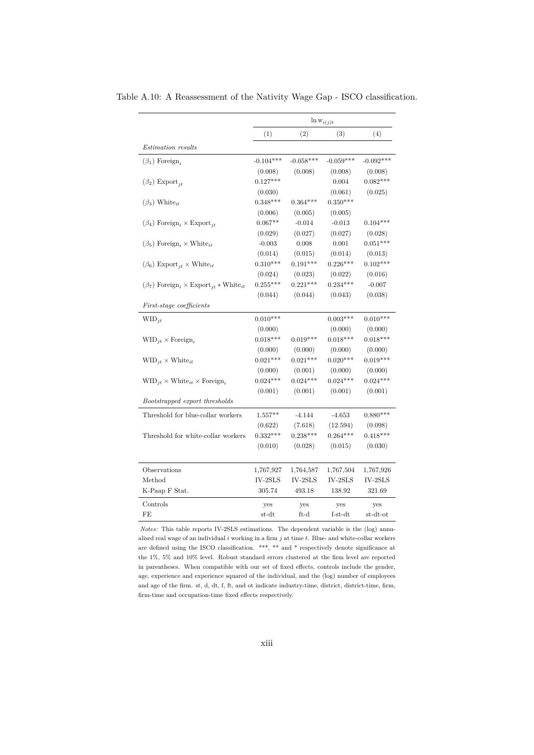|                                                                               |                        | $\ln w_{i(j)t}$        |                        |                        |
|-------------------------------------------------------------------------------|------------------------|------------------------|------------------------|------------------------|
|                                                                               | (1)                    | (2)                    | (3)                    | (4)                    |
| <i>Estimation results</i>                                                     |                        |                        |                        |                        |
| $(\beta_1)$ Foreign,                                                          | $-0.104***$            | $-0.058***$            | $-0.059***$            | $-0.092***$            |
|                                                                               | (0.008)                | (0.008)                | (0.008)                | (0.008)                |
| $(\beta_2)$ Export <sub>it</sub>                                              | $0.127***$             |                        | 0.004                  | $0.082***$             |
|                                                                               | (0.030)                |                        | (0.061)                | (0.025)                |
| $(\beta_3)$ White <sub>it</sub>                                               | $0.348***$             | $0.364***$             | $0.350***$             |                        |
|                                                                               | (0.006)                | (0.005)                | (0.005)                |                        |
| $(\beta_4)$ Foreign <sub>i</sub> × Export <sub>it</sub>                       | $0.067**$              | $-0.014$               | $-0.013$               | $0.104***$             |
|                                                                               | (0.029)                | (0.027)                | (0.027)                | (0.028)                |
| $(\beta_5)$ Foreign <sub>i</sub> × White <sub>it</sub>                        | $-0.003$               | 0.008                  | 0.001                  | $0.051***$             |
|                                                                               | (0.014)                | (0.015)                | (0.014)                | (0.013)                |
| $(\beta_6)$ Export <sub>it</sub> × White <sub>it</sub>                        | $0.310***$             | $0.191***$             | $0.226***$             | $0.102***$             |
|                                                                               | (0.024)                | (0.023)                | (0.022)                | (0.016)                |
| $(\beta_7)$ Foreign <sub>i</sub> × Export <sub>it</sub> * White <sub>it</sub> | $0.255***$             | $0.221***$             | $0.234***$             | $-0.007$               |
|                                                                               | (0.044)                | (0.044)                | (0.043)                | (0.038)                |
| First-stage coefficients                                                      |                        |                        |                        |                        |
| $WID_{it}$                                                                    | $0.010***$             |                        | $0.003***$             | $0.010***$             |
|                                                                               | (0.000)                |                        | (0.000)                | (0.000)                |
| $WID_{it} \times Foreign_{it}$                                                | $0.018***$             | $0.019***$             | $0.018***$             | $0.018***$             |
|                                                                               | (0.000)                | (0.000)                | (0.000)                | (0.000)                |
| $\text{WID}_{it} \times \text{White}_{it}$                                    | $0.021***$             | $0.021***$             | $0.020***$             | $0.019***$             |
|                                                                               | (0.000)                | (0.001)                | (0.000)                | (0.000)                |
| $\text{WID}_{it} \times \text{White}_{it} \times \text{Foreign}_{i}$          | $0.024***$             | $0.024***$             | $0.024***$             | $0.024***$             |
|                                                                               | (0.001)                | (0.001)                | (0.001)                | (0.001)                |
| Bootstrapped export thresholds                                                |                        |                        |                        |                        |
| Threshold for blue-collar workers                                             | $1.557**$              | $-4.144$               | $-4.653$               | $0.880***$             |
|                                                                               | (0.622)                | (7.618)                | (12.594)               | (0.098)                |
| Threshold for white-collar workers                                            | $0.332***$             | $0.238***$             | $0.264***$             | $0.418***$             |
|                                                                               | (0.010)                | (0.028)                | (0.015)                | (0.030)                |
|                                                                               |                        |                        |                        |                        |
| Observations                                                                  | 1,767,927<br>$IV-2SLS$ | 1,764,587<br>$IV-2SLS$ | 1,767,504<br>$IV-2SLS$ | 1,767,926<br>$IV-2SLS$ |
| Method                                                                        | 305.74                 | 493.18                 |                        |                        |
| K-Paap F Stat.                                                                |                        |                        | 138.92                 | 321.69                 |
| Controls                                                                      | yes                    | yes                    | yes                    | yes                    |
| FE                                                                            | st-dt                  | $ft-d$                 | $f-st-dt$              | st-dt-ot               |

<span id="page-50-0"></span>Table A.10: A Reassessment of the Nativity Wage Gap - ISCO classification.

*Notes:* This table reports IV-2SLS estimations. The dependent variable is the (log) annualised real wage of an individual *i* working in a firm *j* at time *t*. Blue- and white-collar workers are defined using the ISCO classification. \*\*\*, \*\* and \* respectively denote significance at the 1%, 5% and 10% level. Robust standard errors clustered at the firm level are reported in parentheses. When compatible with our set of fixed effects, controls include the gender, age, experience and experience squared of the individual, and the (log) number of employees and age of the firm. st, d, dt, f, ft, and ot indicate industry-time, district, district-time, firm, firm-time and occupation-time fixed effects respectively.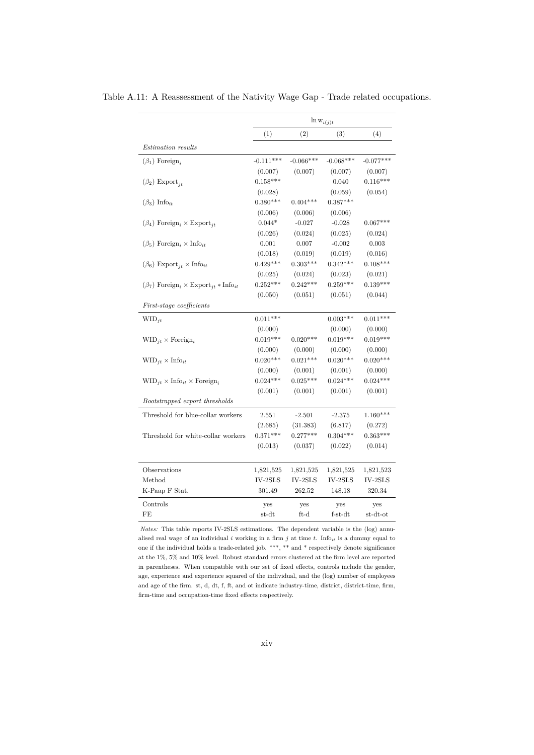|                                                                              | $\ln w_{i(j)t}$ |             |             |             |
|------------------------------------------------------------------------------|-----------------|-------------|-------------|-------------|
|                                                                              | (1)             | (2)         | (3)         | (4)         |
| <i>Estimation results</i>                                                    |                 |             |             |             |
| $(\beta_1)$ Foreign,                                                         | $-0.111***$     | $-0.066***$ | $-0.068***$ | $-0.077***$ |
|                                                                              | (0.007)         | (0.007)     | (0.007)     | (0.007)     |
| $(\beta_2)$ Export <sub>jt</sub>                                             | $0.158***$      |             | 0.040       | $0.116***$  |
|                                                                              | (0.028)         |             | (0.059)     | (0.054)     |
| $(\beta_3)$ Info <sub>it</sub>                                               | $0.380***$      | $0.404***$  | $0.387***$  |             |
|                                                                              | (0.006)         | (0.006)     | (0.006)     |             |
| $(\beta_4)$ Foreign <sub>i</sub> × Export <sub>it</sub>                      | $0.044*$        | $-0.027$    | $-0.028$    | $0.067***$  |
|                                                                              | (0.026)         | (0.024)     | (0.025)     | (0.024)     |
| $(\beta_5)$ Foreign, $\times$ Info <sub>it</sub>                             | 0.001           | 0.007       | $-0.002$    | 0.003       |
|                                                                              | (0.018)         | (0.019)     | (0.019)     | (0.016)     |
| $(\beta_6)$ Export <sub>it</sub> $\times$ Info <sub>it</sub>                 | $0.429***$      | $0.303***$  | $0.342***$  | $0.108***$  |
|                                                                              | (0.025)         | (0.024)     | (0.023)     | (0.021)     |
| $(\beta_7)$ Foreign <sub>i</sub> × Export <sub>it</sub> * Info <sub>it</sub> | $0.252***$      | $0.242***$  | $0.259***$  | $0.139***$  |
|                                                                              | (0.050)         | (0.051)     | (0.051)     | (0.044)     |
| First-stage coefficients                                                     |                 |             |             |             |
| $WID_{it}$                                                                   | $0.011***$      |             | $0.003***$  | $0.011***$  |
|                                                                              | (0.000)         |             | (0.000)     | (0.000)     |
| $\text{WID}_{it} \times \text{Foreign}_{i}$                                  | $0.019***$      | $0.020***$  | $0.019***$  | $0.019***$  |
|                                                                              | (0.000)         | (0.000)     | (0.000)     | (0.000)     |
| $\text{WID}_{jt} \times \text{Info}_{it}$                                    | $0.020***$      | $0.021***$  | $0.020***$  | $0.020***$  |
|                                                                              | (0.000)         | (0.001)     | (0.001)     | (0.000)     |
| $\text{WID}_{it} \times \text{Info}_{it} \times \text{Foreign}_{i}$          | $0.024***$      | $0.025***$  | $0.024***$  | $0.024***$  |
|                                                                              | (0.001)         | (0.001)     | (0.001)     | (0.001)     |
| Bootstrapped export thresholds                                               |                 |             |             |             |
| Threshold for blue-collar workers                                            | 2.551           | $-2.501$    | $-2.375$    | $1.160***$  |
|                                                                              | (2.685)         | (31.383)    | (6.817)     | (0.272)     |
| Threshold for white-collar workers                                           | $0.371***$      | $0.277***$  | $0.304***$  | $0.363***$  |
|                                                                              | (0.013)         | (0.037)     | (0.022)     | (0.014)     |
| Observations                                                                 | 1,821,525       | 1,821,525   | 1,821,525   | 1,821,523   |
| Method                                                                       | $IV-2SLS$       | $IV-2SLS$   | $IV-2SLS$   | $IV-2SLS$   |
| K-Paap F Stat.                                                               | 301.49          | 262.52      | 148.18      | 320.34      |
| Controls                                                                     | yes             | yes         | yes         | yes         |
| FE                                                                           | st-dt           | $ft-d$      | $f-<>st-dt$ | st-dt-ot    |

<span id="page-51-0"></span>Table A.11: A Reassessment of the Nativity Wage Gap - Trade related occupations.

*Notes:* This table reports IV-2SLS estimations. The dependent variable is the (log) annualised real wage of an individual *i* working in a firm *j* at time *t*. Info*it* is a dummy equal to one if the individual holds a trade-related job. \*\*\*, \*\* and \* respectively denote significance at the  $1\%,\,5\%$  and  $10\%$  level. Robust standard errors clustered at the firm level are reported in parentheses. When compatible with our set of fixed effects, controls include the gender, age, experience and experience squared of the individual, and the (log) number of employees and age of the firm. st, d, dt, f, ft, and ot indicate industry-time, district, district-time, firm, firm-time and occupation-time fixed effects respectively.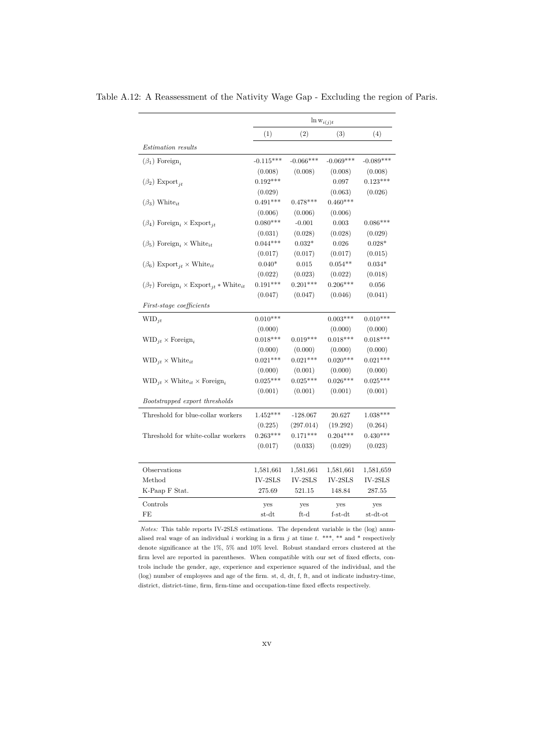|                                                                               |                | $\ln w_{i(j)t}$ |             |             |
|-------------------------------------------------------------------------------|----------------|-----------------|-------------|-------------|
|                                                                               | (1)            | (2)             | (3)         | (4)         |
| <b>Estimation</b> results                                                     |                |                 |             |             |
| $(\beta_1)$ Foreign,                                                          | $-0.115***$    | $-0.066***$     | $-0.069***$ | $-0.089***$ |
|                                                                               | (0.008)        | (0.008)         | (0.008)     | (0.008)     |
| $(\beta_2)$ Export <sub>jt</sub>                                              | $0.192***$     |                 | 0.097       | $0.123***$  |
|                                                                               | (0.029)        |                 | (0.063)     | (0.026)     |
| $(\beta_3)$ White <sub>it</sub>                                               | $0.491***$     | $0.478***$      | $0.460***$  |             |
|                                                                               | (0.006)        | (0.006)         | (0.006)     |             |
| $(\beta_4)$ Foreign <sub>i</sub> × Export <sub>it</sub>                       | $0.080***$     | $-0.001$        | 0.003       | $0.086***$  |
|                                                                               | (0.031)        | (0.028)         | (0.028)     | (0.029)     |
| $(\beta_5)$ Foreign, $\times$ White <sub>it</sub>                             | $0.044***$     | $0.032*$        | 0.026       | $0.028*$    |
|                                                                               | (0.017)        | (0.017)         | (0.017)     | (0.015)     |
| $(\beta_6)$ Export <sub>it</sub> × White <sub>it</sub>                        | $0.040*$       | 0.015           | $0.054**$   | $0.034*$    |
|                                                                               | (0.022)        | (0.023)         | (0.022)     | (0.018)     |
| $(\beta_7)$ Foreign <sub>i</sub> × Export <sub>it</sub> * White <sub>it</sub> | $0.191***$     | $0.201***$      | $0.206***$  | 0.056       |
|                                                                               | (0.047)        | (0.047)         | (0.046)     | (0.041)     |
| First-stage coefficients                                                      |                |                 |             |             |
| $WID_{it}$                                                                    | $0.010***$     |                 | $0.003***$  | $0.010***$  |
|                                                                               | (0.000)        |                 | (0.000)     | (0.000)     |
| $\text{WID}_{it} \times \text{Foreign}_{i}$                                   | $0.018***$     | $0.019***$      | $0.018***$  | $0.018***$  |
|                                                                               | (0.000)        | (0.000)         | (0.000)     | (0.000)     |
| $\text{WID}_{jt} \times \text{White}_{it}$                                    | $0.021***$     | $0.021***$      | $0.020***$  | $0.021***$  |
|                                                                               | (0.000)        | (0.001)         | (0.000)     | (0.000)     |
| $\text{WID}_{it} \times \text{White}_{it} \times \text{Foreign}_{i}$          | $0.025***$     | $0.025***$      | $0.026***$  | $0.025***$  |
|                                                                               | (0.001)        | (0.001)         | (0.001)     | (0.001)     |
| Bootstrapped export thresholds                                                |                |                 |             |             |
| Threshold for blue-collar workers                                             | $1.452***$     | $-128.067$      | 20.627      | $1.038***$  |
|                                                                               | (0.225)        | (297.014)       | (19.292)    | (0.264)     |
| Threshold for white-collar workers                                            | $0.263***$     | $0.171***$      | $0.204***$  | $0.430***$  |
|                                                                               | (0.017)        | (0.033)         | (0.029)     | (0.023)     |
| Observations                                                                  | 1,581,661      | 1,581,661       | 1,581,661   | 1,581,659   |
| Method                                                                        | $IV-2SLS$      | $IV-2SLS$       | $IV-2SLS$   | $IV-2SLS$   |
| K-Paap F Stat.                                                                | 275.69         | 521.15          | 148.84      | 287.55      |
| Controls                                                                      | yes            | yes             | yes         | yes         |
| FE                                                                            | $_{\rm st-dt}$ | $ft-d$          | $f-<>st-dt$ | st-dt-ot    |

<span id="page-52-0"></span>Table A.12: A Reassessment of the Nativity Wage Gap - Excluding the region of Paris.

*Notes:* This table reports IV-2SLS estimations. The dependent variable is the (log) annualised real wage of an individual *i* working in a firm *j* at time *t*. \*\*\*, \*\* and \* respectively denote significance at the 1%, 5% and 10% level. Robust standard errors clustered at the firm level are reported in parentheses. When compatible with our set of fixed effects, controls include the gender, age, experience and experience squared of the individual, and the (log) number of employees and age of the firm. st, d, dt, f, ft, and ot indicate industry-time, district, district-time, firm, firm-time and occupation-time fixed effects respectively.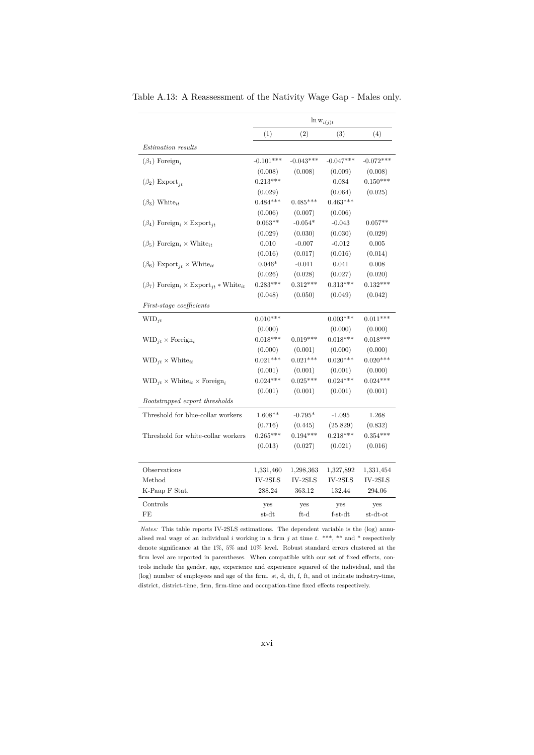|                                                                               | $\ln w_{i(j)t}$ |             |             |             |
|-------------------------------------------------------------------------------|-----------------|-------------|-------------|-------------|
|                                                                               | (1)             | (2)         | (3)         | (4)         |
| <b>Estimation</b> results                                                     |                 |             |             |             |
| $(\beta_1)$ Foreign,                                                          | $-0.101***$     | $-0.043***$ | $-0.047***$ | $-0.072***$ |
|                                                                               | (0.008)         | (0.008)     | (0.009)     | (0.008)     |
| $(\beta_2)$ Export <sub>jt</sub>                                              | $0.213***$      |             | 0.084       | $0.150***$  |
|                                                                               | (0.029)         |             | (0.064)     | (0.025)     |
| $(\beta_3)$ White <sub>it</sub>                                               | $0.484***$      | $0.485***$  | $0.463***$  |             |
|                                                                               | (0.006)         | (0.007)     | (0.006)     |             |
| $(\beta_4)$ Foreign <sub>i</sub> × Export <sub>it</sub>                       | $0.063**$       | $-0.054*$   | $-0.043$    | $0.057**$   |
|                                                                               | (0.029)         | (0.030)     | (0.030)     | (0.029)     |
| $(\beta_5)$ Foreign <sub>i</sub> × White <sub>it</sub>                        | 0.010           | $-0.007$    | $-0.012$    | 0.005       |
|                                                                               | (0.016)         | (0.017)     | (0.016)     | (0.014)     |
| $(\beta_6)$ Export <sub>it</sub> × White <sub>it</sub>                        | $0.046*$        | $-0.011$    | 0.041       | 0.008       |
|                                                                               | (0.026)         | (0.028)     | (0.027)     | (0.020)     |
| $(\beta_7)$ Foreign <sub>i</sub> × Export <sub>it</sub> * White <sub>it</sub> | $0.283***$      | $0.312***$  | $0.313***$  | $0.132***$  |
|                                                                               | (0.048)         | (0.050)     | (0.049)     | (0.042)     |
| First-stage coefficients                                                      |                 |             |             |             |
| $WID_{it}$                                                                    | $0.010***$      |             | $0.003***$  | $0.011***$  |
|                                                                               | (0.000)         |             | (0.000)     | (0.000)     |
| $WID_{it} \times Foreign_{it}$                                                | $0.018***$      | $0.019***$  | $0.018***$  | $0.018***$  |
|                                                                               | (0.000)         | (0.001)     | (0.000)     | (0.000)     |
| $\text{WID}_{it} \times \text{White}_{it}$                                    | $0.021***$      | $0.021***$  | $0.020***$  | $0.020***$  |
|                                                                               | (0.001)         | (0.001)     | (0.001)     | (0.000)     |
| $\text{WID}_{it} \times \text{White}_{it} \times \text{Foreign}_{i}$          | $0.024***$      | $0.025***$  | $0.024***$  | $0.024***$  |
|                                                                               | (0.001)         | (0.001)     | (0.001)     | (0.001)     |
| Bootstrapped export thresholds                                                |                 |             |             |             |
| Threshold for blue-collar workers                                             | $1.608**$       | $-0.795*$   | $-1.095$    | 1.268       |
|                                                                               | (0.716)         | (0.445)     | (25.829)    | (0.832)     |
| Threshold for white-collar workers                                            | $0.265***$      | $0.194***$  | $0.218***$  | $0.354***$  |
|                                                                               | (0.013)         | (0.027)     | (0.021)     | (0.016)     |
|                                                                               |                 |             |             |             |
| Observations                                                                  | 1,331,460       | 1,298,363   | 1,327,892   | 1,331,454   |
| Method                                                                        | $IV-2SLS$       | $IV-2SLS$   | IV-2SLS     | $IV-2SLS$   |
| K-Paap F Stat.                                                                | 288.24          | 363.12      | 132.44      | 294.06      |
| Controls                                                                      | yes             | yes         | yes         | yes         |
| FE                                                                            | st-dt           | ft-d        | $f-st-dt$   | st-dt-ot    |

<span id="page-53-0"></span>Table A.13: A Reassessment of the Nativity Wage Gap - Males only.

*Notes:* This table reports IV-2SLS estimations. The dependent variable is the (log) annualised real wage of an individual *i* working in a firm *j* at time *t*. \*\*\*, \*\* and \* respectively denote significance at the 1%, 5% and 10% level. Robust standard errors clustered at the firm level are reported in parentheses. When compatible with our set of fixed effects, controls include the gender, age, experience and experience squared of the individual, and the (log) number of employees and age of the firm. st, d, dt, f, ft, and ot indicate industry-time, district, district-time, firm, firm-time and occupation-time fixed effects respectively.